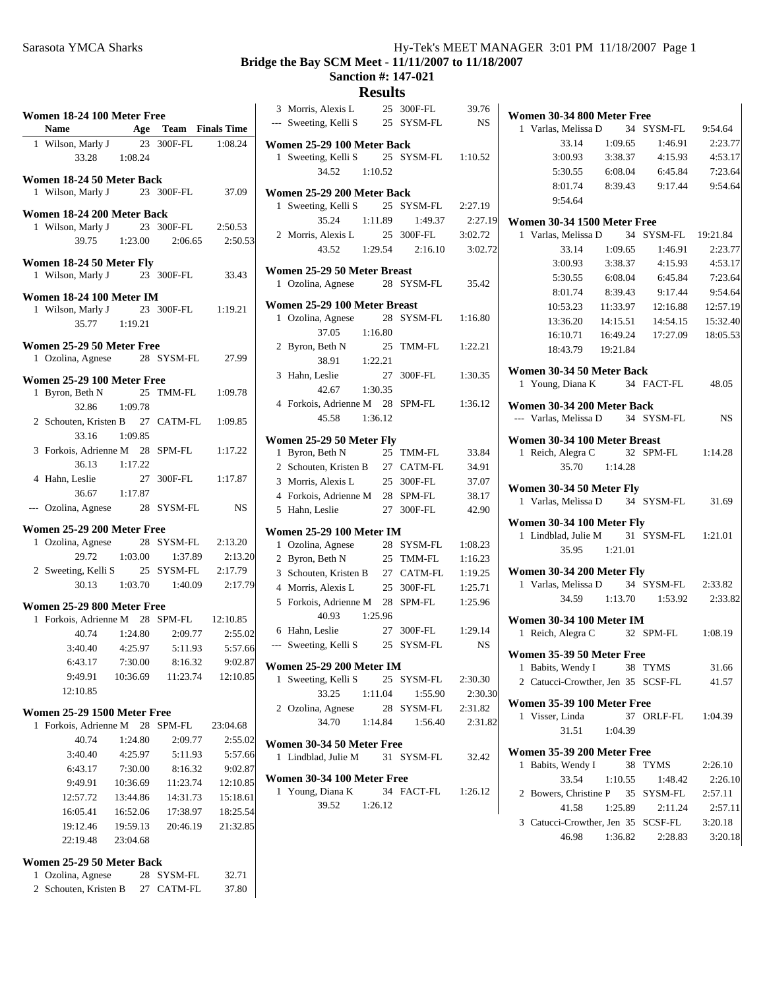# **Bridge the Bay SCM Meet - 11/11/2007 to 11/18/2007**

# **Sanction #: 147-021**

# **Results** 3 39.76 Morris, Alexis L 25 300F-FL

|                       | Women 18-24 100 Meter Free               |                    |                       |                               |
|-----------------------|------------------------------------------|--------------------|-----------------------|-------------------------------|
|                       | Name Age Team Finals Time                |                    |                       |                               |
|                       | 1 Wilson, Marly J 23 300F-FL 1:08.24     |                    |                       |                               |
|                       |                                          | 33.28 1:08.24      |                       |                               |
|                       | Women 18-24 50 Meter Back                |                    |                       |                               |
|                       | 1 Wilson, Marly J 23 300F-FL 37.09       |                    |                       |                               |
|                       | Women 18-24 200 Meter Back               |                    |                       |                               |
|                       | 1 Wilson, Marly J                        |                    |                       | 23 300F-FL 2:50.53            |
|                       | 39.75                                    |                    | 1:23.00  2:06.65      | 2:50.53                       |
|                       |                                          |                    |                       |                               |
|                       | Women 18-24 50 Meter Fly                 |                    |                       |                               |
|                       | 1 Wilson, Marly J 23 300F-FL 33.43       |                    |                       |                               |
|                       | Women 18-24 100 Meter IM                 |                    |                       |                               |
|                       | 1 Wilson, Marly J 23 300F-FL 1:19.21     |                    |                       |                               |
|                       | 35.77 1:19.21                            |                    |                       |                               |
|                       | Women 25-29 50 Meter Free                |                    |                       |                               |
|                       | 1 Ozolina, Agnese 28 SYSM-FL 27.99       |                    |                       |                               |
|                       |                                          |                    |                       |                               |
|                       | Women 25-29 100 Meter Free               |                    |                       |                               |
|                       | 1 Byron, Beth N                          |                    |                       | 25 TMM-FL 1:09.78             |
|                       | 32.86                                    | 1:09.78            |                       |                               |
|                       | 2 Schouten, Kristen B 27 CATM-FL 1:09.85 |                    |                       |                               |
|                       | 33.16                                    | 1:09.85            |                       |                               |
|                       | 3 Forkois, Adrienne M 28 SPM-FL 1:17.22  |                    |                       |                               |
|                       |                                          | 36.13 1:17.22      |                       |                               |
|                       | 4 Hahn, Leslie                           |                    |                       | 27 300F-FL 1:17.87            |
|                       |                                          | 36.67 1:17.87      |                       |                               |
|                       | --- Ozolina, Agnese 28 SYSM-FL           |                    |                       | <b>NS</b>                     |
|                       | Women 25-29 200 Meter Free               |                    |                       |                               |
|                       | 1 Ozolina, Agnese 28 SYSM-FL 2:13.20     |                    |                       |                               |
|                       |                                          |                    | 29.72 1:03.00 1:37.89 | 2:13.20                       |
|                       | 2 Sweeting, Kelli S 25 SYSM-FL 2:17.79   |                    |                       |                               |
|                       |                                          |                    |                       | 30.13 1:03.70 1:40.09 2:17.79 |
|                       |                                          |                    |                       |                               |
|                       | Women 25-29 800 Meter Free               |                    |                       |                               |
| 1                     | Forkois, Adrienne M 28 SPM-FL 12:10.85   |                    |                       |                               |
|                       |                                          | 40.74 1:24.80      | 2:09.77               | 2:55.02                       |
|                       | 3:40.40                                  | 4:25.97<br>7:30.00 | 5:11.93<br>8:16.32    | 5:57.66                       |
|                       | 6:43.17                                  |                    |                       | 9:02.87                       |
|                       | 9:49.91                                  | 10:36.69           | 11:23.74              | 12:10.85                      |
|                       | 12:10.85                                 |                    |                       |                               |
|                       | <b>Women 25-29 1500 Meter Free</b>       |                    |                       |                               |
| 1                     | Forkois, Adrienne M 28                   |                    | SPM-FL                | 23:04.68                      |
|                       | 40.74                                    | 1:24.80            | 2:09.77               | 2:55.02                       |
|                       | 3:40.40                                  | 4:25.97            | 5:11.93               | 5:57.66                       |
|                       | 6:43.17                                  | 7:30.00            | 8:16.32               | 9:02.87                       |
|                       | 9:49.91                                  | 10:36.69           | 11:23.74              | 12:10.85                      |
|                       | 12:57.72                                 | 13:44.86           | 14:31.73              | 15:18.61                      |
|                       | 16:05.41                                 | 16:52.06           | 17:38.97              | 18:25.54                      |
|                       | 19:12.46                                 | 19:59.13           | 20:46.19              | 21:32.85                      |
|                       | 22:19.48                                 | 23:04.68           |                       |                               |
|                       |                                          |                    |                       |                               |
|                       | Women 25-29 50 Meter Back                |                    |                       |                               |
|                       | 1 Ozolina, Agnese                        |                    | 28 SYSM-FL            | 32.71                         |
| $\mathbf{2}^{\prime}$ | Schouten, Kristen B                      |                    | 27 CATM-FL            | 37.80                         |

|   | --- Sweeting, Kelli S                  |         | 25 | SYSM-FL               | NS        |
|---|----------------------------------------|---------|----|-----------------------|-----------|
|   | Women 25-29 100 Meter Back             |         |    |                       |           |
|   | 1 Sweeting, Kelli S 25 SYSM-FL 1:10.52 |         |    |                       |           |
|   | 34.52 1:10.52                          |         |    |                       |           |
|   | Women 25-29 200 Meter Back             |         |    |                       |           |
|   | 1 Sweeting, Kelli S                    |         |    | 25 SYSM-FL 2:27.19    |           |
|   | 35.24                                  | 1:11.89 |    | 1:49.37               | 2:27.19   |
|   | 2 Morris, Alexis L                     |         |    | 25 300F-FL 3:02.72    |           |
|   |                                        |         |    | 43.52 1:29.54 2:16.10 | 3:02.72   |
|   | Women 25-29 50 Meter Breast            |         |    |                       |           |
|   | 1 Ozolina, Agnese                      |         |    | 28 SYSM-FL            | 35.42     |
|   | Women 25-29 100 Meter Breast           |         |    |                       |           |
|   | 1 Ozolina, Agnese 28 SYSM-FL           |         |    |                       | 1:16.80   |
|   | 37.05                                  | 1:16.80 |    |                       |           |
|   | 2 Byron, Beth N                        |         |    | 25 TMM-FL             | 1:22.21   |
|   | 38.91 1:22.21                          |         |    |                       |           |
|   | 3 Hahn, Leslie                         |         | 27 | 300F-FL               | 1:30.35   |
|   | 42.67 1:30.35                          |         |    |                       |           |
|   | 4 Forkois, Adrienne M 28 SPM-FL        |         |    |                       | 1:36.12   |
|   | 45.58                                  | 1:36.12 |    |                       |           |
|   | Women 25-29 50 Meter Fly               |         |    |                       |           |
|   | 1 Byron, Beth N                        |         |    | 25 TMM-FL             | 33.84     |
|   | 2 Schouten, Kristen B 27 CATM-FL 34.91 |         |    |                       |           |
|   | 3 Morris, Alexis L                     |         |    | 25 300F-FL            | 37.07     |
|   | 4 Forkois, Adrienne M 28 SPM-FL        |         |    |                       | 38.17     |
|   | 5 Hahn, Leslie                         |         | 27 | 300F-FL               | 42.90     |
|   | <b>Women 25-29 100 Meter IM</b>        |         |    |                       |           |
|   | 1 Ozolina, Agnese                      |         |    | 28 SYSM-FL            | 1:08.23   |
|   | 2 Byron, Beth N                        |         |    | 25 TMM-FL             | 1:16.23   |
|   | 3 Schouten, Kristen B 27 CATM-FL       |         |    |                       | 1:19.25   |
|   | 4 Morris, Alexis L                     |         |    | 25 300F-FL            | 1:25.71   |
|   | 5 Forkois, Adrienne M 28 SPM-FL        |         |    |                       | 1:25.96   |
|   | 40.93 1:25.96                          |         |    |                       |           |
|   | 6 Hahn, Leslie                         |         |    | 27 300F-FL            | 1:29.14   |
|   | --- Sweeting, Kelli S 25 SYSM-FL       |         |    |                       | <b>NS</b> |
|   | <b>Women 25-29 200 Meter IM</b>        |         |    |                       |           |
|   | 1 Sweeting, Kelli S 25 SYSM-FL 2:30.30 |         |    |                       |           |
|   | 33.25 1:11.04                          |         |    | 1:55.90               | 2:30.30   |
|   | 2 Ozolina, Agnese                      |         |    | 28 SYSM-FL 2:31.82    |           |
|   | 34.70                                  |         |    | 1:14.84  1:56.40      | 2:31.82   |
|   | Women 30-34 50 Meter Free              |         |    |                       |           |
| 1 | Lindblad, Julie M 31 SYSM-FL 32.42     |         |    |                       |           |
|   | Women 30-34 100 Meter Free             |         |    |                       |           |
|   | 1 Young, Diana K 34 FACT-FL 1:26.12    |         |    |                       |           |
|   | 39.52                                  | 1:26.12 |    |                       |           |
|   |                                        |         |    |                       |           |
|   |                                        |         |    |                       |           |

| Women 30-34 800 Meter Free                                     |               |                                        |          |  |  |  |  |
|----------------------------------------------------------------|---------------|----------------------------------------|----------|--|--|--|--|
| 1 Varlas, Melissa D 34 SYSM-FL 9:54.64                         |               |                                        |          |  |  |  |  |
| 33.14                                                          |               | $1:09.65$ $1:46.91$                    | 2:23.77  |  |  |  |  |
| 3:00.93                                                        | 3:38.37       | 4:15.93                                | 4:53.17  |  |  |  |  |
| 5:30.55                                                        | 6:08.04       | 6:45.84                                | 7:23.64  |  |  |  |  |
| 8:01.74                                                        |               | 8:39.43 9:17.44                        | 9:54.64  |  |  |  |  |
| 9:54.64                                                        |               |                                        |          |  |  |  |  |
| <b>Women 30-34 1500 Meter Free</b>                             |               |                                        |          |  |  |  |  |
| 1 Varlas, Melissa D 34 SYSM-FL 19:21.84                        |               |                                        |          |  |  |  |  |
| 33.14                                                          |               | 1:09.65 1:46.91                        | 2:23.77  |  |  |  |  |
| 3:00.93                                                        | 3:38.37       | 4:15.93                                | 4:53.17  |  |  |  |  |
| 5:30.55                                                        | 6:08.04       | 6:45.84                                | 7:23.64  |  |  |  |  |
| 8:01.74                                                        | 8:39.43       | 9:17.44                                | 9:54.64  |  |  |  |  |
| 10:53.23                                                       | 11:33.97      | 12:16.88                               | 12:57.19 |  |  |  |  |
| 13:36.20                                                       |               | 14:15.51  14:54.15                     | 15:32.40 |  |  |  |  |
|                                                                |               | 16:10.71  16:49.24  17:27.09  18:05.53 |          |  |  |  |  |
| 18:43.79  19:21.84                                             |               |                                        |          |  |  |  |  |
|                                                                |               |                                        |          |  |  |  |  |
| Women 30-34 50 Meter Back<br>1 Young, Diana K 34 FACT-FL 48.05 |               |                                        |          |  |  |  |  |
|                                                                |               |                                        |          |  |  |  |  |
| Women 30-34 200 Meter Back                                     |               |                                        |          |  |  |  |  |
| --- Varlas, Melissa D 34 SYSM-FL NS                            |               |                                        |          |  |  |  |  |
| Women 30-34 100 Meter Breast                                   |               |                                        |          |  |  |  |  |
| 1 Reich, Alegra C 32 SPM-FL 1:14.28                            |               |                                        |          |  |  |  |  |
|                                                                | 35.70 1:14.28 |                                        |          |  |  |  |  |
| Women 30-34 50 Meter Fly                                       |               |                                        |          |  |  |  |  |
| 1 Varlas, Melissa D 34 SYSM-FL 31.69                           |               |                                        |          |  |  |  |  |
|                                                                |               |                                        |          |  |  |  |  |
| Women 30-34 100 Meter Fly                                      |               |                                        |          |  |  |  |  |
| 1 Lindblad, Julie M 31 SYSM-FL 1:21.01                         |               |                                        |          |  |  |  |  |
|                                                                | 35.95 1:21.01 |                                        |          |  |  |  |  |
| Women 30-34 200 Meter Fly                                      |               |                                        |          |  |  |  |  |
| 1 Varlas, Melissa D 34 SYSM-FL 2:33.82                         |               |                                        |          |  |  |  |  |
|                                                                |               | 34.59   1:13.70   1:53.92              | 2:33.82  |  |  |  |  |
| <b>Women 30-34 100 Meter IM</b>                                |               |                                        |          |  |  |  |  |
| 1 Reich, Alegra C 32 SPM-FL 1:08.19                            |               |                                        |          |  |  |  |  |
|                                                                |               |                                        |          |  |  |  |  |
| Women 35-39 50 Meter Free                                      |               | 38 TYMS 31.66                          |          |  |  |  |  |
| 1 Babits, Wendy I<br>2 Catucci-Crowther, Jen 35 SCSF-FL        |               |                                        | 41.57    |  |  |  |  |
|                                                                |               |                                        |          |  |  |  |  |
| Women 35-39 100 Meter Free                                     |               |                                        |          |  |  |  |  |
| 1 Visser, Linda                                                | 37            | ORLF-FL                                | 1:04.39  |  |  |  |  |
| 31.51                                                          | 1:04.39       |                                        |          |  |  |  |  |
| Women 35-39 200 Meter Free                                     |               |                                        |          |  |  |  |  |
| Babits, Wendy I<br>1.                                          | 38            | TYMS                                   | 2:26.10  |  |  |  |  |
| 33.54                                                          | 1:10.55       | 1:48.42                                | 2:26.10  |  |  |  |  |
| Bowers, Christine P 35 SYSM-FL<br>2                            |               |                                        | 2:57.11  |  |  |  |  |
| 41.58                                                          | 1:25.89       | 2:11.24                                | 2:57.11  |  |  |  |  |
| 3 Catucci-Crowther, Jen 35 SCSF-FL                             |               |                                        | 3:20.18  |  |  |  |  |
| 46.98                                                          | 1:36.82       | 2:28.83                                | 3:20.18  |  |  |  |  |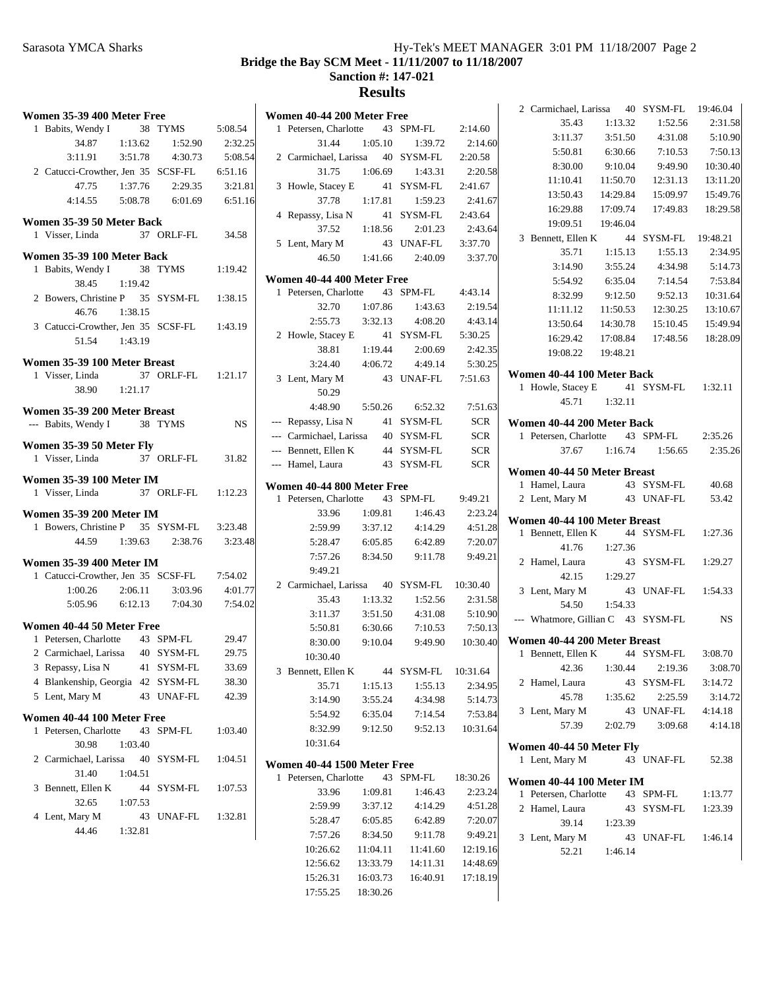## Sarasota YMCA Sharks Hy-Tek's MEET MANAGER 3:01 PM 11/18/2007 Page 2 **Bridge the Bay SCM Meet - 11/11/2007 to 11/18/2007 Sanction #: 147-021 Results**  $\mathbf{I}$

|   | Women 35-39 400 Meter Free                        |         |                       |           |
|---|---------------------------------------------------|---------|-----------------------|-----------|
|   | 1 Babits, Wendy I 38<br>34.87 1:13.62             |         | TYMS                  | 5:08.54   |
|   |                                                   |         | 1:52.90               | 2:32.25   |
|   | $3:11.91$ $3:51.78$ $4:30.73$                     |         |                       | 5:08.54   |
|   | 2 Catucci-Crowther, Jen 35 SCSF-FL 6:51.16        |         |                       |           |
|   | 47.75 1:37.76                                     |         | 2:29.35               | 3:21.81   |
|   | 4:14.55 5:08.78 6:01.69 6:51.16                   |         |                       |           |
|   | Women 35-39 50 Meter Back                         |         |                       |           |
|   | 1 Visser, Linda                                   |         | 37 ORLF-FL 34.58      |           |
|   | Women 35-39 100 Meter Back                        |         |                       |           |
|   | 1 Babits, Wendy I                                 |         | 38 TYMS               | 1:19.42   |
|   | 38.45                                             | 1:19.42 |                       |           |
|   | 2 Bowers, Christine P 35 SYSM-FL 1:38.15          |         |                       |           |
|   | 46.76                                             | 1:38.15 |                       |           |
|   | 3 Catucci-Crowther, Jen 35 SCSF-FL 1:43.19        |         |                       |           |
|   | 51.54 1:43.19                                     |         |                       |           |
|   |                                                   |         |                       |           |
|   | Women 35-39 100 Meter Breast<br>1 Visser, Linda   |         | 37 ORLF-FL 1:21.17    |           |
|   | $38.90 \qquad 1:21.17$                            |         |                       |           |
|   |                                                   |         |                       |           |
|   | Women 35-39 200 Meter Breast                      |         |                       |           |
|   | --- Babits, Wendy I 38 TYMS                       |         |                       | <b>NS</b> |
|   | Women 35-39 50 Meter Fly                          |         |                       |           |
|   | 1 Visser, Linda                                   |         | 37 ORLF-FL            | 31.82     |
|   | <b>Women 35-39 100 Meter IM</b>                   |         |                       |           |
|   | 1 Visser, Linda                                   |         | 37 ORLF-FL 1:12.23    |           |
|   |                                                   |         |                       |           |
|   | <b>Women 35-39 200 Meter IM</b>                   |         |                       |           |
|   | 1 Bowers, Christine P 35 SYSM-FL                  |         |                       | 3:23.48   |
|   |                                                   |         | 44.59 1:39.63 2:38.76 | 3:23.48   |
|   | <b>Women 35-39 400 Meter IM</b>                   |         |                       |           |
|   | 1 Catucci-Crowther, Jen 35 SCSF-FL 7:54.02        |         |                       |           |
|   | $1:00.26$ $2:06.11$                               |         | 3:03.96               | 4:01.77   |
|   | 5:05.96 6:12.13 7:04.30 7:54.02                   |         |                       |           |
|   | Women 40-44 50 Meter Free                         |         |                       |           |
|   | 1 Petersen, Charlotte                             |         | 43 SPM-FL             | 29.47     |
|   | 2 Carmichael, Larissa 40 SYSM-FL                  |         |                       | 29.75     |
|   | 3 Repassy, Lisa N 41 SYSM-FL                      |         |                       | 33.69     |
|   | 4 Blankenship, Georgia 42 SYSM-FL                 |         |                       | 38.30     |
| 5 | Lent, Mary M                                      |         | 43 UNAF-FL            | 42.39     |
|   |                                                   |         |                       |           |
|   | Women 40-44 100 Meter Free<br>Petersen, Charlotte | 43      | SPM-FL                |           |
| 1 | 30.98                                             |         |                       | 1:03.40   |
|   | 2 Carmichael, Larissa 40 SYSM-FL                  | 1:03.40 |                       |           |
|   |                                                   |         |                       | 1:04.51   |
|   | 31.40<br>Bennett, Ellen K                         | 1:04.51 | 44 SYSM-FL            |           |
| 3 |                                                   |         |                       | 1:07.53   |
|   | 32.65                                             | 1:07.53 |                       |           |
| 4 | Lent, Mary M<br>44.46                             | 1:32.81 | 43 UNAF-FL            | 1:32.81   |
|   |                                                   |         |                       |           |

|   | Women 40-44 200 Meter Free                                                                                   |                    |                                        |                    |
|---|--------------------------------------------------------------------------------------------------------------|--------------------|----------------------------------------|--------------------|
| 1 | Petersen, Charlotte 43 SPM-FL                                                                                |                    |                                        | 2:14.60            |
|   | 31.44                                                                                                        |                    | 1:05.10 1:39.72                        | 2:14.60            |
|   | 2 Carmichael, Larissa 40 SYSM-FL 2:20.58                                                                     |                    |                                        |                    |
|   |                                                                                                              |                    | 31.75 1:06.69 1:43.31                  | 2:20.58            |
|   | 3 Howle, Stacey E 41 SYSM-FL 2:41.67<br>37.78 1:17.81 1:59.23 2:41.6<br>4 Repassy, Lisa N 41 SYSM-FL 2:43.64 |                    |                                        |                    |
|   |                                                                                                              |                    |                                        | 2:41.67            |
|   | 4 Repassy, Lisa N 41<br>37.52 1:18.56                                                                        |                    |                                        |                    |
|   |                                                                                                              |                    | 2:01.23                                | 2:43.64            |
|   | 5 Lent, Mary M                                                                                               |                    | 43 UNAF-FL 3:37.70                     |                    |
|   |                                                                                                              |                    | $46.50$ 1:41.66 2:40.09                | 3:37.70            |
|   | Women 40-44 400 Meter Free                                                                                   |                    |                                        |                    |
|   | 1 Petersen, Charlotte 43 SPM-FL 4:43.14                                                                      |                    |                                        |                    |
|   | 32.70                                                                                                        |                    | 1:07.86 1:43.63                        | 2:19.54            |
|   |                                                                                                              |                    | $2:55.73$ $3:32.13$ $4:08.20$          | 4:43.14            |
|   |                                                                                                              |                    |                                        |                    |
|   | 2 Howle, Stacey E 41 SYSM-FL 5:30.25<br>38.81 1:19.44 2:00.69 2:42.35                                        |                    |                                        | 2:42.35            |
|   |                                                                                                              |                    | $3:24.40$ $4:06.72$ $4:49.14$          | 5:30.25            |
|   | 3 Lent, Mary M                                                                                               |                    | 43 UNAF-FL 7:51.63                     |                    |
|   | 50.29                                                                                                        |                    |                                        |                    |
|   |                                                                                                              |                    | 4:48.90   5:50.26   6:52.32   7:51.63  |                    |
|   | --- Repassy, Lisa N 41 SYSM-FL SCR                                                                           |                    |                                        |                    |
|   | --- Carmichael, Larissa 40 SYSM-FL SCR                                                                       |                    |                                        |                    |
|   | --- Bennett, Ellen K 44 SYSM-FL SCR                                                                          |                    |                                        |                    |
|   | --- Hamel, Laura 43 SYSM-FL SCR                                                                              |                    |                                        |                    |
|   | Women 40-44 800 Meter Free                                                                                   |                    |                                        |                    |
|   | 1 Petersen, Charlotte 43 SPM-FL 9:49.21                                                                      |                    |                                        |                    |
|   | 33.96                                                                                                        | 1:09.81            | 1:46.43                                | 2:23.24            |
|   |                                                                                                              |                    | 2:59.99 3:37.12 4:14.29 4:51.28        |                    |
|   |                                                                                                              |                    | 5:28.47 6:05.85 6:42.89 7:20.07        |                    |
|   |                                                                                                              |                    | 7:57.26 8:34.50 9:11.78 9:49.21        |                    |
|   | 9:49.21                                                                                                      |                    |                                        |                    |
|   | 2 Carmichael, Larissa 40 SYSM-FL 10:30.40                                                                    |                    |                                        |                    |
|   |                                                                                                              |                    | 35.43 1:13.32 1:52.56 2:31.58          |                    |
|   | 3:11.37                                                                                                      | 3:51.50            |                                        | 4:31.08 5:10.90    |
|   | 5:50.81 6:30.66                                                                                              |                    | 7:10.53                                | 7:50.13            |
|   | 8:30.00                                                                                                      |                    | 9:10.04  9:49.90  10:30.40             |                    |
|   | 10:30.40                                                                                                     |                    |                                        |                    |
|   | 3 Bennett, Ellen K 44 SYSM-FL 10:31.64                                                                       |                    |                                        |                    |
|   | 35.71                                                                                                        | 1:15.13            | 1:55.13                                | 2:34.95            |
|   | 3:14.90                                                                                                      | 3:55.24            | 4:34.98                                | 5:14.73            |
|   | 5:54.92                                                                                                      | 6:35.04            | 7:14.54                                | 7:53.84            |
|   | 8:32.99                                                                                                      | 9:12.50            |                                        | 9:52.13 10:31.64   |
|   | 10:31.64                                                                                                     |                    |                                        |                    |
|   |                                                                                                              |                    |                                        |                    |
|   | Women 40-44 1500 Meter Free                                                                                  |                    |                                        |                    |
| 1 | Petersen, Charlotte 43 SPM-FL                                                                                |                    |                                        | 18:30.26           |
|   | 33.96<br>2:59.99                                                                                             | 1:09.81<br>3:37.12 | 1:46.43<br>4:14.29                     | 2:23.24            |
|   | 5:28.47                                                                                                      | 6:05.85            | 6:42.89                                | 4:51.28<br>7:20.07 |
|   | 7:57.26                                                                                                      | 8:34.50            | 9:11.78                                | 9:49.21            |
|   |                                                                                                              |                    | 10:26.62  11:04.11  11:41.60  12:19.16 |                    |
|   |                                                                                                              |                    |                                        |                    |

12:56.62 13:33.79 14:11.31 14:48.69 15:26.31 16:03.73 16:40.91 17:18.19

17:55.25 18:30.26

| 2 Carmichael, Larissa 40 SYSM-FL                      |               |                              | 19:46.04           |
|-------------------------------------------------------|---------------|------------------------------|--------------------|
| 35.43                                                 | 1:13.32       | 1:52.56                      | 2:31.58            |
| 3:11.37                                               | 3:51.50       | 4:31.08                      | 5:10.90            |
| 5:50.81                                               | 6:30.66       | 7:10.53                      | 7:50.13            |
| 8:30.00                                               | 9:10.04       | 9:49.90                      | 10:30.40           |
| 11:10.41                                              | 11:50.70      | 12:31.13                     | 13:11.20           |
| 13:50.43 14:29.84                                     |               | 15:09.97                     | 15:49.76           |
| 16:29.88 17:09.74                                     |               | 17:49.83                     | 18:29.58           |
| 19:09.51 19:46.04                                     |               |                              |                    |
| 3 Bennett, Ellen K 44                                 |               | SYSM-FL                      | 19:48.21           |
| 35.71                                                 | 1:15.13       | 1:55.13                      | 2:34.95            |
| 3:14.90                                               | 3:55.24       | 4:34.98                      | 5:14.73            |
| 5:54.92                                               | 6:35.04       | 7:14.54                      | 7:53.84            |
| 8:32.99                                               | 9:12.50       | 9:52.13                      | 10:31.64           |
| 11:11.12                                              | 11:50.53      | 12:30.25                     | 13:10.67           |
| 13:50.64                                              | 14:30.78      | 15:10.45                     | 15:49.94           |
|                                                       |               | 16:29.42  17:08.84  17:48.56 | 18:28.09           |
| 19:08.22 19:48.21                                     |               |                              |                    |
| Women 40-44 100 Meter Back                            |               |                              |                    |
| Howle, Stacey E 41 SYSM-FL 1:32.11<br>1               |               |                              |                    |
|                                                       | 45.71 1:32.11 |                              |                    |
| Women 40-44 200 Meter Back                            |               |                              |                    |
| 1 Petersen, Charlotte 43 SPM-FL                       |               |                              | 2:35.26            |
| 37.67                                                 |               | $1:16.74$ $1:56.65$          | 2:35.26            |
| Women 40-44 50 Meter Breast                           |               |                              |                    |
| Hamel, Laura<br>1                                     |               | 43 SYSM-FL                   | 40.68              |
| 2 Lent, Mary M                                        |               | 43 UNAF-FL                   | 53.42              |
|                                                       |               |                              |                    |
| Women 40-44 100 Meter Breast<br>Bennett, Ellen K<br>1 |               | 44 SYSM-FL                   | 1:27.36            |
| 41.76                                                 | 1:27.36       |                              |                    |
| 2 Hamel, Laura                                        | 43            | SYSM-FL                      | 1:29.27            |
| 42.15                                                 | 1:29.27       |                              |                    |
| 3 Lent, Mary M                                        | 43            | UNAF-FL 1:54.33              |                    |
| 54.50                                                 | 1:54.33       |                              |                    |
| --- Whatmore, Gillian C 43 SYSM-FL                    |               |                              | <b>NS</b>          |
|                                                       |               |                              |                    |
| Women 40-44 200 Meter Breast                          |               | 44 SYSM-FL                   |                    |
| 1 Bennett, Ellen K<br>42.36                           | 1:30.44       | 2:19.36                      | 3:08.70<br>3:08.70 |
| Hamel, Laura<br>$\mathbf{2}$                          | 43            | SYSM-FL                      | 3:14.72            |
| 45.78                                                 | 1:35.62       | 2:25.59                      | 3:14.72            |
| 3 Lent, Mary M                                        | 43            | UNAF-FL                      | 4:14.18            |
| 57.39                                                 | 2:02.79       | 3:09.68                      | 4:14.18            |
|                                                       |               |                              |                    |
| Women 40-44 50 Meter Fly                              |               |                              |                    |
| 1 Lent, Mary M                                        |               | 43 UNAF-FL                   | 52.38              |
| Women 40-44 100 Meter IM                              |               |                              |                    |
| Petersen, Charlotte<br>1                              | 43            | SPM-FL                       | 1:13.77            |
| 2 Hamel, Laura                                        | 43            | SYSM-FL                      | 1:23.39            |
| 39.14                                                 | 1:23.39       |                              |                    |
| Lent, Mary M<br>3                                     | 43            | UNAF-FL                      | 1:46.14            |
| 52.21                                                 | 1:46.14       |                              |                    |
|                                                       |               |                              |                    |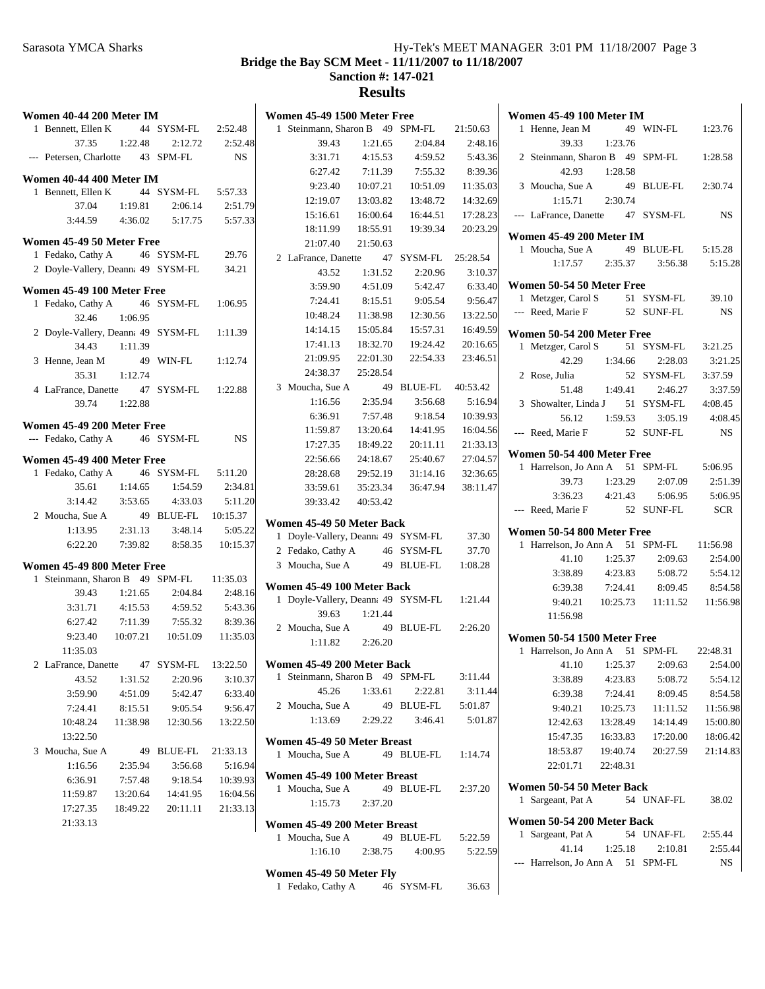# Sarasota YMCA Sharks Hy-Tek's MEET MANAGER 3:01 PM 11/18/2007 Page 3 **Bridge the Bay SCM Meet - 11/11/2007 to 11/18/2007 Sanction #: 147-021**

| Women 40-44 200 Meter IM           |          |                     |                     | Women 45-49 1500 Meter Free                         |          |            |          | Won                 |
|------------------------------------|----------|---------------------|---------------------|-----------------------------------------------------|----------|------------|----------|---------------------|
| 1 Bennett, Ellen K                 |          | 44 SYSM-FL          | 2:52.48             | 1 Steinmann, Sharon B 49 SPM-FL                     |          |            | 21:50.63 | $\mathbf{1}$        |
| 37.35                              | 1:22.48  | 2:12.72             | 2:52.48             | 39.43                                               | 1:21.65  | 2:04.84    | 2:48.16  |                     |
| --- Petersen, Charlotte            |          | 43 SPM-FL           | NS.                 | 3:31.71                                             | 4:15.53  | 4:59.52    | 5:43.36  | $\sqrt{2}$          |
|                                    |          |                     |                     | 6:27.42                                             | 7:11.39  | 7:55.32    | 8:39.36  |                     |
| Women 40-44 400 Meter IM           |          |                     |                     | 9:23.40                                             | 10:07.21 | 10:51.09   | 11:35.03 | 3                   |
| 1 Bennett, Ellen K                 |          | 44 SYSM-FL          | 5:57.33             | 12:19.07                                            | 13:03.82 | 13:48.72   | 14:32.69 |                     |
| 37.04                              | 1:19.81  | 2:06.14             | 2:51.79             | 15:16.61                                            | 16:00.64 | 16:44.51   | 17:28.23 | $---$               |
| 3:44.59                            | 4:36.02  | 5:17.75             | 5:57.33             | 18:11.99                                            | 18:55.91 | 19:39.34   | 20:23.29 |                     |
| Women 45-49 50 Meter Free          |          |                     |                     | 21:07.40                                            | 21:50.63 |            |          | Won                 |
| 1 Fedako, Cathy A                  |          | 46 SYSM-FL          | 29.76               | 2 LaFrance, Danette                                 |          | 47 SYSM-FL | 25:28.54 | 1                   |
| 2 Doyle-Vallery, Deann: 49 SYSM-FL |          |                     | 34.21               | 43.52                                               | 1:31.52  | 2:20.96    | 3:10.37  |                     |
| Women 45-49 100 Meter Free         |          |                     |                     | 3:59.90                                             | 4:51.09  | 5:42.47    | 6:33.40  | Won                 |
| 1 Fedako, Cathy A                  |          | 46 SYSM-FL          | 1:06.95             | 7:24.41                                             | 8:15.51  | 9:05.54    | 9:56.47  | $\mathbf{1}$        |
| 32.46                              | 1:06.95  |                     |                     | 10:48.24                                            | 11:38.98 | 12:30.56   | 13:22.50 |                     |
| 2 Doyle-Vallery, Deann: 49 SYSM-FL |          |                     | 1:11.39             | 14:14.15                                            | 15:05.84 | 15:57.31   | 16:49.59 |                     |
| 34.43                              | 1:11.39  |                     |                     | 17:41.13                                            | 18:32.70 | 19:24.42   | 20:16.65 | Won<br>$\mathbf{1}$ |
| 3 Henne, Jean M                    |          | 49 WIN-FL           | 1:12.74             | 21:09.95                                            | 22:01.30 | 22:54.33   | 23:46.51 |                     |
| 35.31                              | 1:12.74  |                     |                     | 24:38.37                                            | 25:28.54 |            |          | 2                   |
| 4 LaFrance, Danette                |          | 47 SYSM-FL          | 1:22.88             | 3 Moucha, Sue A                                     |          | 49 BLUE-FL | 40:53.42 |                     |
| 39.74                              | 1:22.88  |                     |                     | 1:16.56                                             | 2:35.94  | 3:56.68    | 5:16.94  | 3                   |
|                                    |          |                     |                     | 6:36.91                                             | 7:57.48  | 9:18.54    | 10:39.93 |                     |
| Women 45-49 200 Meter Free         |          |                     |                     | 11:59.87                                            | 13:20.64 | 14:41.95   | 16:04.56 |                     |
| --- Fedako, Cathy A                |          | 46 SYSM-FL          | NS                  | 17:27.35                                            | 18:49.22 | 20:11.11   | 21:33.13 |                     |
| Women 45-49 400 Meter Free         |          |                     |                     | 22:56.66                                            | 24:18.67 | 25:40.67   | 27:04.57 | Won                 |
| 1 Fedako, Cathy A                  |          | 46 SYSM-FL          | 5:11.20             | 28:28.68                                            | 29:52.19 | 31:14.16   | 32:36.65 | $\mathbf{1}$        |
| 35.61                              | 1:14.65  | 1:54.59             | 2:34.81             | 33:59.61                                            | 35:23.34 | 36:47.94   | 38:11.47 |                     |
| 3:14.42                            | 3:53.65  | 4:33.03             | 5:11.20             | 39:33.42                                            | 40:53.42 |            |          |                     |
| 2 Moucha, Sue A                    |          | 49 BLUE-FL          | 10:15.37            |                                                     |          |            |          |                     |
| 1:13.95                            | 2:31.13  | 3:48.14             | 5:05.22             | Women 45-49 50 Meter Back                           |          |            |          | Won                 |
| 6:22.20                            | 7:39.82  | 8:58.35             | 10:15.37            | 1 Doyle-Vallery, Deann: 49 SYSM-FL                  |          |            | 37.30    | $\mathbf{1}$        |
|                                    |          |                     |                     | 2 Fedako, Cathy A                                   |          | 46 SYSM-FL | 37.70    |                     |
| Women 45-49 800 Meter Free         |          |                     |                     | 3 Moucha, Sue A                                     |          | 49 BLUE-FL | 1:08.28  |                     |
| 1 Steinmann, Sharon B 49 SPM-FL    |          |                     | 11:35.03            | Women 45-49 100 Meter Back                          |          |            |          |                     |
| 39.43                              | 1:21.65  | 2:04.84             | 2:48.16             | 1 Doyle-Vallery, Deann: 49 SYSM-FL                  |          |            | 1:21.44  |                     |
| 3:31.71                            | 4:15.53  | 4:59.52             | 5:43.36             | 39.63                                               | 1:21.44  |            |          |                     |
| 6:27.42                            | 7:11.39  | 7:55.32             | 8:39.36             | 2 Moucha, Sue A                                     |          | 49 BLUE-FL | 2:26.20  |                     |
| 9:23.40                            | 10:07.21 | 10:51.09            | 11:35.03            | 1:11.82                                             | 2:26.20  |            |          | Won                 |
| 11:35.03                           |          |                     |                     |                                                     |          |            |          | $\mathbf{1}$        |
| 2 LaFrance, Danette                |          | 47 SYSM-FL          | 13:22.50            | Women 45-49 200 Meter Back<br>1 Steinmann, Sharon B |          | 49 SPM-FL  | 3:11.44  |                     |
| 43.52                              | 1:31.52  | 2:20.96             | 3:10.37             | 45.26                                               | 1:33.61  | 2:22.81    | 3:11.44  |                     |
| 3:59.90                            | 4:51.09  | 5:42.47             | 6:33.40             | 2 Moucha, Sue A                                     |          | 49 BLUE-FL | 5:01.87  |                     |
| 7:24.41<br>10:48.24                | 8:15.51  | 9:05.54<br>12:30.56 | 9:56.47             | 1:13.69                                             | 2:29.22  | 3:46.41    | 5:01.87  |                     |
|                                    | 11:38.98 |                     | 13:22.50            |                                                     |          |            |          |                     |
| 13:22.50<br>3 Moucha, Sue A        |          |                     |                     | Women 45-49 50 Meter Breast                         |          |            |          |                     |
| 1:16.56                            | 2:35.94  | 49 BLUE-FL          | 21:33.13<br>5:16.94 | 1 Moucha, Sue A                                     |          | 49 BLUE-FL | 1:14.74  |                     |
|                                    |          | 3:56.68             | 10:39.93            | Women 45-49 100 Meter Breast                        |          |            |          |                     |
| 6:36.91                            | 7:57.48  | 9:18.54             |                     | 1 Moucha, Sue A                                     |          | 49 BLUE-FL | 2:37.20  | Won                 |
| 11:59.87                           | 13:20.64 | 14:41.95            | 16:04.56            | 1:15.73                                             | 2:37.20  |            |          | $\mathbf{1}$        |
| 17:27.35                           | 18:49.22 | 20:11.11            | 21:33.13            |                                                     |          |            |          | Won                 |
| 21:33.13                           |          |                     |                     | Women 45-49 200 Meter Breast                        |          |            |          | $\mathbf{1}$        |
|                                    |          |                     |                     | 1 Moucha, Sue A                                     |          | 49 BLUE-FL | 5:22.59  |                     |
|                                    |          |                     |                     | 1:16.10                                             | 2:38.75  | 4:00.95    | 5:22.59  |                     |
|                                    |          |                     |                     | Women 45-49 50 Meter Fly                            |          |            |          |                     |
|                                    |          |                     |                     | 1 Fedako, Cathy A                                   |          | 46 SYSM-FL | 36.63    |                     |

| Women 45-49 100 Meter IM                 |               |                                       |           |
|------------------------------------------|---------------|---------------------------------------|-----------|
| Henne, Jean M<br>$\mathbf{1}$            |               | 49 WIN-FL 1:23.76                     |           |
| 39.33                                    | 1:23.76       |                                       |           |
| 2 Steinmann, Sharon B 49 SPM-FL 1:28.58  |               |                                       |           |
|                                          | 42.93 1:28.58 |                                       |           |
| 3 Moucha, Sue A                          |               | 49 BLUE-FL 2:30.74                    |           |
| $1:15.71$ $2:30.74$                      |               |                                       |           |
| --- LaFrance, Danette 47 SYSM-FL         |               |                                       | <b>NS</b> |
|                                          |               |                                       |           |
| <b>Women 45-49 200 Meter IM</b>          |               |                                       |           |
| 1 Moucha, Sue A                          |               | 49 BLUE-FL 5:15.28                    |           |
|                                          |               | 1:17.57  2:35.37  3:56.38  5:15.28    |           |
| Women 50-54 50 Meter Free                |               |                                       |           |
| 1 Metzger, Carol S                       |               | 51 SYSM-FL 39.10                      |           |
| --- Reed, Marie F 52 SUNF-FL             |               |                                       | <b>NS</b> |
|                                          |               |                                       |           |
| Women 50-54 200 Meter Free               |               |                                       |           |
| 1 Metzger, Carol S 51 SYSM-FL 3:21.25    |               |                                       | 3:21.25   |
|                                          |               | 42.29 1:34.66 2:28.03                 |           |
| 2 Rose, Julia                            |               | 52 SYSM-FL 3:37.59                    |           |
|                                          |               | 51.48 1:49.41 2:46.27                 | 3:37.59   |
| 3 Showalter, Linda J 51 SYSM-FL 4:08.45  |               |                                       |           |
|                                          |               | 56.12  1:59.53  3:05.19  4:08.45      |           |
| --- Reed, Marie F 52 SUNF-FL             |               |                                       | NS        |
| Women 50-54 400 Meter Free               |               |                                       |           |
| 1 Harrelson, Jo Ann A 51 SPM-FL 5:06.95  |               |                                       |           |
|                                          |               | 39.73 1:23.29 2:07.09 2:51.39         |           |
|                                          |               | 3:36.23 4:21.43 5:06.95 5:06.95       |           |
| --- Reed, Marie F 52 SUNF-FL SCR         |               |                                       |           |
| Women 50-54 800 Meter Free               |               |                                       |           |
| 1 Harrelson, Jo Ann A 51 SPM-FL 11:56.98 |               |                                       |           |
| 41.10                                    | 1:25.37       | 2:09.63                               | 2:54.00   |
| 3:38.89                                  | 4:23.83       | 5:08.72                               | 5:54.12   |
| 6:39.38                                  | 7:24.41       | 8:09.45                               | 8:54.58   |
|                                          |               | 9:40.21  10:25.73  11:11.52  11:56.98 |           |
| 11:56.98                                 |               |                                       |           |
|                                          |               |                                       |           |
| Women 50-54 1500 Meter Free              |               |                                       |           |
| 1 Harrelson, Jo Ann A 51 SPM-FL 22:48.31 |               |                                       |           |
| 41.10                                    |               | 1:25.37 2:09.63 2:54.00               |           |
| 3:38.89                                  | 4:23.83       | 5:08.72                               | 5:54.12   |
| 6:39.38                                  | 7:24.41       | 8:09.45                               | 8:54.58   |
| 9:40.21                                  | 10:25.73      | 11:11.52                              | 11:56.98  |
| 12:42.63                                 | 13:28.49      | 14:14.49                              | 15:00.80  |
| 15:47.35                                 | 16:33.83      | 17:20.00                              | 18:06.42  |
| 18:53.87                                 | 19:40.74      | 20:27.59                              | 21:14.83  |
| 22:01.71 22:48.31                        |               |                                       |           |
| Women 50-54 50 Meter Back                |               |                                       |           |
| Sargeant, Pat A<br>1                     |               | 54 UNAF-FL                            | 38.02     |
| Women 50-54 200 Meter Back               |               |                                       |           |
| 1 Sargeant, Pat A                        |               | 54 UNAF-FL                            | 2:55.44   |
| 41.14                                    | 1:25.18       | 2:10.81                               | 2:55.44   |
| Harrelson, Jo Ann A 51 SPM-FL<br>$---$   |               |                                       | NS        |
|                                          |               |                                       |           |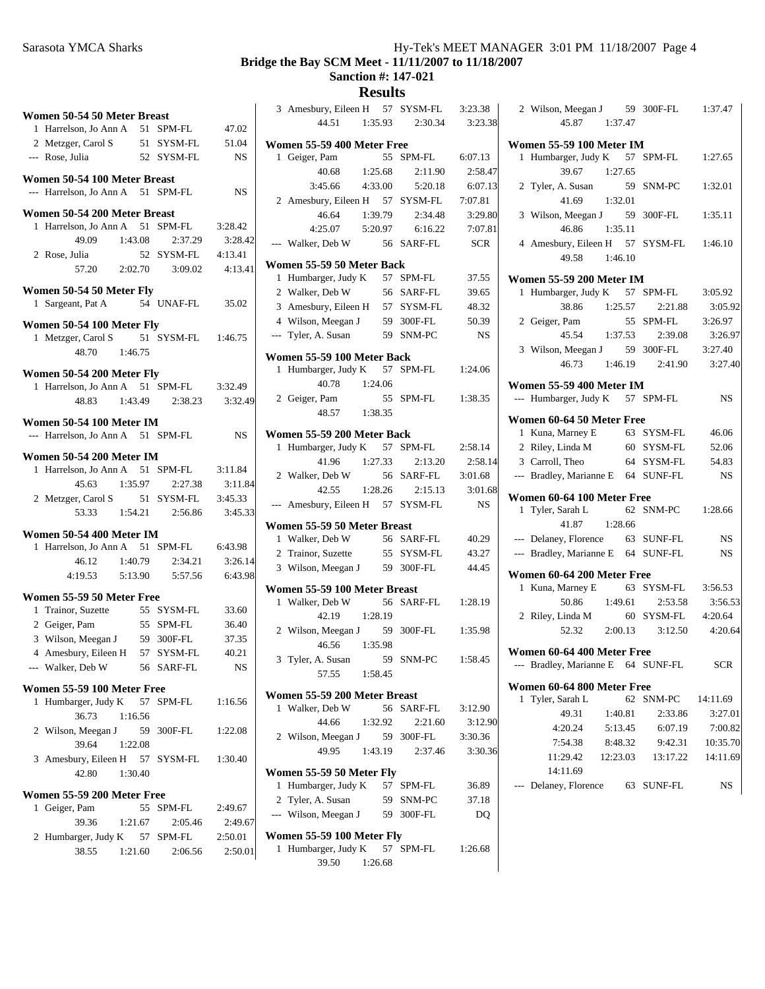**Bridge the Bay SCM Meet - 11/11/2007 to 11/18/2007**

**Sanction #: 147-021**

| Women 50-54 50 Meter Breast                   |           |            |           | 3 Amesbury, Eileen H<br>57 SYSM-FL | 3:23.38    |
|-----------------------------------------------|-----------|------------|-----------|------------------------------------|------------|
| 1 Harrelson, Jo Ann A                         | 51 SPM-FL |            | 47.02     | 44.51<br>1:35.93<br>2:30.34        | 3:23.3     |
| 2 Metzger, Carol S                            |           | 51 SYSM-FL | 51.04     | Women 55-59 400 Meter Free         |            |
| --- Rose, Julia                               |           | 52 SYSM-FL | <b>NS</b> | 1 Geiger, Pam<br>55 SPM-FL         | 6:07.13    |
|                                               |           |            |           | 40.68<br>1:25.68<br>2:11.90        | 2:58.4     |
| Women 50-54 100 Meter Breast                  |           |            |           | 3:45.66<br>4:33.00<br>5:20.18      | 6:07.1     |
| --- Harrelson, Jo Ann A                       |           | 51 SPM-FL  | NS        | 2 Amesbury, Eileen H<br>57 SYSM-FL | 7:07.81    |
| Women 50-54 200 Meter Breast                  |           |            |           | 46.64<br>1:39.79<br>2:34.48        | 3:29.8     |
| 1 Harrelson, Jo Ann A                         |           | 51 SPM-FL  | 3:28.42   | 4:25.07<br>5:20.97<br>6:16.22      | 7:07.8     |
| 49.09                                         | 1:43.08   | 2:37.29    | 3:28.42   | --- Walker, Deb W<br>56 SARF-FL    | <b>SCR</b> |
| 2 Rose, Julia                                 |           | 52 SYSM-FL | 4:13.41   |                                    |            |
| 57.20                                         | 2:02.70   | 3:09.02    | 4:13.41   | Women 55-59 50 Meter Back          |            |
|                                               |           |            |           | 1 Humbarger, Judy K<br>57 SPM-FL   | 37.55      |
| Women 50-54 50 Meter Fly<br>1 Sargeant, Pat A |           | 54 UNAF-FL | 35.02     | 2 Walker, Deb W<br>56 SARF-FL      | 39.65      |
|                                               |           |            |           | 3 Amesbury, Eileen H<br>57 SYSM-FL | 48.32      |
| Women 50-54 100 Meter Fly                     |           |            |           | 4 Wilson, Meegan J<br>59 300F-FL   | 50.39      |
| 1 Metzger, Carol S                            |           | 51 SYSM-FL | 1:46.75   | --- Tyler, A. Susan<br>59 SNM-PC   | <b>NS</b>  |
| 48.70                                         | 1:46.75   |            |           | Women 55-59 100 Meter Back         |            |
| Women 50-54 200 Meter Fly                     |           |            |           | 1 Humbarger, Judy K<br>57 SPM-FL   | 1:24.06    |
| 1 Harrelson, Jo Ann A                         |           | 51 SPM-FL  | 3:32.49   | 40.78<br>1:24.06                   |            |
| 48.83                                         | 1:43.49   | 2:38.23    | 3:32.49   | 2 Geiger, Pam<br>55 SPM-FL         | 1:38.35    |
|                                               |           |            |           | 48.57<br>1:38.35                   |            |
| Women 50-54 100 Meter IM                      |           |            |           |                                    |            |
| --- Harrelson, Jo Ann A 51 SPM-FL             |           |            | <b>NS</b> | Women 55-59 200 Meter Back         |            |
| Women 50-54 200 Meter IM                      |           |            |           | 1 Humbarger, Judy K<br>57 SPM-FL   | 2:58.14    |
| 1 Harrelson, Jo Ann A                         |           | 51 SPM-FL  | 3:11.84   | 41.96<br>1:27.33<br>2:13.20        | 2:58.1     |
| 45.63                                         | 1:35.97   | 2:27.38    | 3:11.84   | 2 Walker, Deb W<br>56 SARF-FL      | 3:01.68    |
| 2 Metzger, Carol S                            |           | 51 SYSM-FL | 3:45.33   | 1:28.26<br>42.55<br>2:15.13        | 3:01.6     |
| 53.33                                         | 1:54.21   | 2:56.86    | 3:45.33   | --- Amesbury, Eileen H 57 SYSM-FL  | <b>NS</b>  |
|                                               |           |            |           | Women 55-59 50 Meter Breast        |            |
| Women 50-54 400 Meter IM                      |           |            |           | 1 Walker, Deb W<br>56 SARF-FL      | 40.29      |
| 1 Harrelson, Jo Ann A                         |           | 51 SPM-FL  | 6:43.98   | 55 SYSM-FL<br>2 Trainor, Suzette   | 43.27      |
| 46.12                                         | 1:40.79   | 2:34.21    | 3:26.14   | 59 300F-FL<br>3 Wilson, Meegan J   | 44.45      |
| 4:19.53                                       | 5:13.90   | 5:57.56    | 6:43.98   | Women 55-59 100 Meter Breast       |            |
| Women 55-59 50 Meter Free                     |           |            |           | 1 Walker, Deb W<br>56 SARF-FL      | 1:28.19    |
| 1 Trainor, Suzette                            |           | 55 SYSM-FL | 33.60     | 42.19<br>1:28.19                   |            |
| 2 Geiger, Pam                                 |           | 55 SPM-FL  | 36.40     | 2 Wilson, Meegan J<br>59 300F-FL   | 1:35.98    |
| 3 Wilson, Meegan J                            |           | 59 300F-FL | 37.35     | 46.56<br>1:35.98                   |            |
| 4 Amesbury, Eileen H                          |           | 57 SYSM-FL | 40.21     | 3 Tyler, A. Susan<br>59 SNM-PC     | 1:58.45    |
| --- Walker, Deb W                             |           | 56 SARF-FL | NS        | 57.55<br>1:58.45                   |            |
| Women 55-59 100 Meter Free                    |           |            |           |                                    |            |
| 1 Humbarger, Judy K                           |           | 57 SPM-FL  | 1:16.56   | Women 55-59 200 Meter Breast       |            |
| 36.73                                         | 1:16.56   |            |           | 1 Walker, Deb W<br>56 SARF-FL      | 3:12.90    |
| 2 Wilson, Meegan J                            | 59        |            |           | 44.66<br>1:32.92<br>2:21.60        | 3:12.9     |
| 39.64                                         | 1:22.08   | 300F-FL    | 1:22.08   | 2 Wilson, Meegan J<br>59 300F-FL   | 3:30.36    |
| 3 Amesbury, Eileen H                          |           | 57 SYSM-FL | 1:30.40   | 49.95<br>1:43.19<br>2:37.46        | 3:30.3     |
|                                               |           |            |           | Women 55-59 50 Meter Fly           |            |
| 42.80                                         | 1:30.40   |            |           | 1 Humbarger, Judy K<br>57 SPM-FL   | 36.89      |
| Women 55-59 200 Meter Free                    |           |            |           | 2 Tyler, A. Susan<br>59 SNM-PC     | 37.18      |
| 1 Geiger, Pam                                 |           | 55 SPM-FL  | 2:49.67   | --- Wilson, Meegan J<br>59 300F-FL | DQ         |
| 39.36                                         | 1:21.67   | 2:05.46    | 2:49.67   |                                    |            |
| 2 Humbarger, Judy K                           | 57        | SPM-FL     | 2:50.01   | Women 55-59 100 Meter Fly          |            |
| 38.55                                         | 1:21.60   | 2:06.56    | 2:50.01   | 1 Humbarger, Judy K<br>57 SPM-FL   | 1:26.68    |
|                                               |           |            |           | 39.50<br>1:26.68                   |            |

|                                        |         | y, Eileen H 57 SYSM-FL | 3:23.38    | 2 Wilson, Meegan J                 |          | 59 300F-FL | 1:37.47    |
|----------------------------------------|---------|------------------------|------------|------------------------------------|----------|------------|------------|
| 4.51                                   | 1:35.93 | 2:30.34                | 3:23.38    | 45.87                              | 1:37.47  |            |            |
| <b>59 400 Meter Free</b>               |         |                        |            | <b>Women 55-59 100 Meter IM</b>    |          |            |            |
| 'am                                    |         | 55 SPM-FL              | 6:07.13    | 1 Humbarger, Judy K                |          | 57 SPM-FL  | 1:27.65    |
| 0.68                                   | 1:25.68 | 2:11.90                | 2:58.47    | 39.67                              | 1:27.65  |            |            |
| 5.66                                   | 4:33.00 | 5:20.18                | 6:07.13    | 2 Tyler, A. Susan                  |          | 59 SNM-PC  | 1:32.01    |
| y, Eileen H                            |         | 57 SYSM-FL             | 7:07.81    | 41.69                              | 1:32.01  |            |            |
| 5.64                                   | 1:39.79 | 2:34.48                | 3:29.80    | 3 Wilson, Meegan J                 |          | 59 300F-FL | 1:35.11    |
| 5.07                                   | 5:20.97 | 6:16.22                | 7:07.81    | 46.86                              | 1:35.11  |            |            |
| Deb W                                  |         | 56 SARF-FL             | <b>SCR</b> | 4 Amesbury, Eileen H               |          | 57 SYSM-FL | 1:46.10    |
| 59 50 Meter Back                       |         |                        |            | 49.58                              | 1:46.10  |            |            |
| er, Judy K                             |         | 57 SPM-FL              | 37.55      | <b>Women 55-59 200 Meter IM</b>    |          |            |            |
| Deb W                                  |         | 56 SARF-FL             | 39.65      | 1 Humbarger, Judy K                |          | 57 SPM-FL  | 3:05.92    |
| y, Eileen H                            |         | 57 SYSM-FL             | 48.32      | 38.86                              | 1:25.57  | 2:21.88    | 3:05.92    |
| Meegan J                               |         | 59 300F-FL             | 50.39      | 2 Geiger, Pam                      |          | 55 SPM-FL  | 3:26.97    |
| Susan                                  |         | 59 SNM-PC              | <b>NS</b>  | 45.54                              | 1:37.53  | 2:39.08    | 3:26.97    |
|                                        |         |                        |            | 3 Wilson, Meegan J                 |          | 59 300F-FL | 3:27.40    |
| <b>59 100 Meter Back</b><br>er, Judy K |         | 57 SPM-FL              | 1:24.06    | 46.73                              | 1:46.19  | 2:41.90    | 3:27.40    |
| 0.78                                   | 1:24.06 |                        |            | <b>Women 55-59 400 Meter IM</b>    |          |            |            |
| 'am                                    |         | 55 SPM-FL              | 1:38.35    | --- Humbarger, Judy K              |          | 57 SPM-FL  | NS.        |
| 3.57                                   | 1:38.35 |                        |            |                                    |          |            |            |
|                                        |         |                        |            | Women 60-64 50 Meter Free          |          |            |            |
| <b>59 200 Meter Back</b>               |         |                        |            | 1 Kuna, Marney E                   |          | 63 SYSM-FL | 46.06      |
| er, Judy K                             |         | 57 SPM-FL              | 2:58.14    | 2 Riley, Linda M                   |          | 60 SYSM-FL | 52.06      |
| 1.96                                   | 1:27.33 | 2:13.20                | 2:58.14    | 3 Carroll, Theo                    |          | 64 SYSM-FL | 54.83      |
| Deb W                                  |         | 56 SARF-FL             | 3:01.68    | --- Bradley, Marianne E            |          | 64 SUNF-FL | NS.        |
| 2.55                                   | 1:28.26 | 2:15.13                | 3:01.68    | Women 60-64 100 Meter Free         |          |            |            |
|                                        |         | y, Eileen H 57 SYSM-FL | <b>NS</b>  | 1 Tyler, Sarah L                   |          | 62 SNM-PC  | 1:28.66    |
| 59 50 Meter Breast                     |         |                        |            | 41.87                              | 1:28.66  |            |            |
| Deb W                                  |         | 56 SARF-FL             | 40.29      | --- Delaney, Florence              |          | 63 SUNF-FL | NS.        |
| Suzette                                |         | 55 SYSM-FL             | 43.27      | --- Bradley, Marianne E            |          | 64 SUNF-FL | <b>NS</b>  |
| Meegan J                               |         | 59 300F-FL             | 44.45      | Women 60-64 200 Meter Free         |          |            |            |
| 59 100 Meter Breast                    |         |                        |            | 1 Kuna, Marney E                   |          | 63 SYSM-FL | 3:56.53    |
| Deb W                                  |         | 56 SARF-FL             | 1:28.19    | 50.86                              | 1:49.61  | 2:53.58    | 3:56.53    |
| 2.19                                   | 1:28.19 |                        |            | 2 Riley, Linda M                   |          | 60 SYSM-FL | 4:20.64    |
| Meegan J                               |         | 59 300F-FL             | 1:35.98    | 52.32                              | 2:00.13  | 3:12.50    | 4:20.64    |
| 5.56                                   | 1:35.98 |                        |            |                                    |          |            |            |
| Susan                                  |         | 59 SNM-PC              | 1:58.45    | Women 60-64 400 Meter Free         |          |            |            |
| 7.55                                   | 1:58.45 |                        |            | --- Bradley, Marianne E 64 SUNF-FL |          |            | <b>SCR</b> |
|                                        |         |                        |            | Women 60-64 800 Meter Free         |          |            |            |
| 59 200 Meter Breast                    |         |                        |            | 1 Tyler, Sarah L                   |          | 62 SNM-PC  | 14:11.69   |
| Deb W                                  | 1:32.92 | 56 SARF-FL             | 3:12.90    | 49.31                              | 1:40.81  | 2:33.86    | 3:27.01    |
| 4.66                                   |         | 2:21.60                | 3:12.90    | 4:20.24                            | 5:13.45  | 6:07.19    | 7:00.82    |
| Meegan J                               |         | 59 300F-FL             | 3:30.36    | 7:54.38                            | 8:48.32  | 9:42.31    | 10:35.70   |
| 9.95                                   | 1:43.19 | 2:37.46                | 3:30.36    | 11:29.42                           | 12:23.03 | 13:17.22   | 14:11.69   |
| 59 50 Meter Fly                        |         |                        |            | 14:11.69                           |          |            |            |
| er, Judy K                             |         | 57 SPM-FL              | 36.89      | --- Delaney, Florence              |          | 63 SUNF-FL | NS         |
| Susan                                  | 59      | SNM-PC                 | 37.18      |                                    |          |            |            |
| Meegan J                               |         | 59 300F-FL             | DQ         |                                    |          |            |            |
|                                        |         |                        |            |                                    |          |            |            |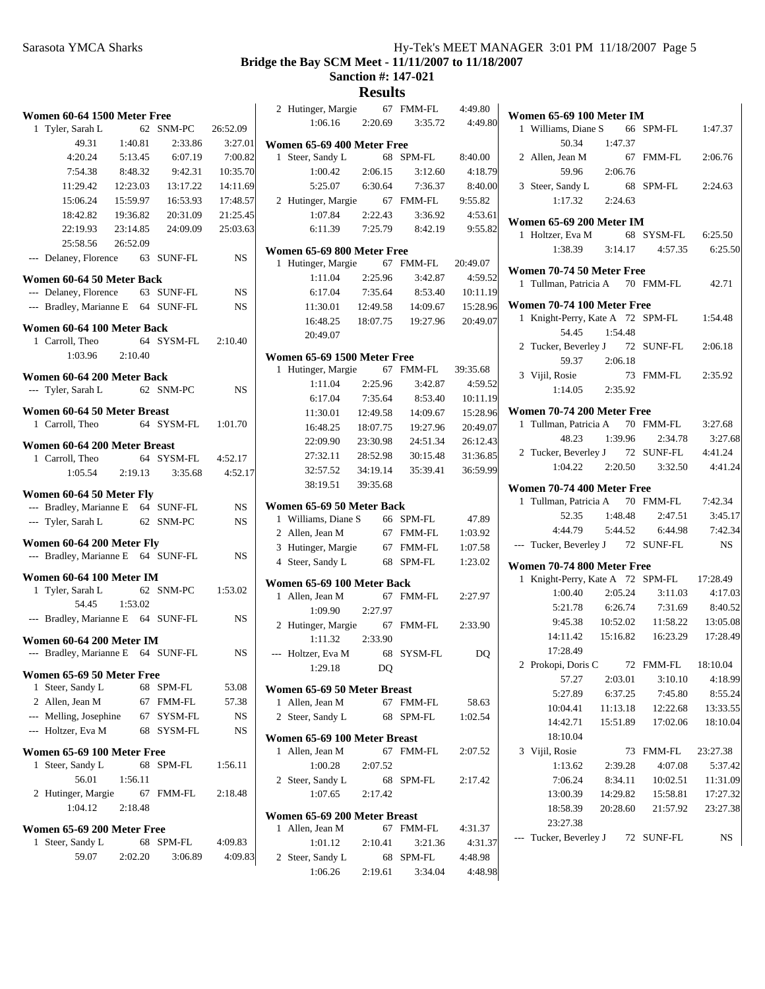#### **Bridge the Bay SCM Meet - 11/11/2007 to 11/18/2007 Sanction #: 147-021**

| Women 60-64 1500 Meter Free          |               |                                 |                   |  |  |  |  |
|--------------------------------------|---------------|---------------------------------|-------------------|--|--|--|--|
| 1 Tyler, Sarah L                     |               | 62 SNM-PC 26:52.09              |                   |  |  |  |  |
| 49.31                                | 1:40.81       | 2:33.86                         | 3:27.01           |  |  |  |  |
| 4:20.24                              |               | 5:13.45 6:07.19                 | 7:00.82           |  |  |  |  |
| 7:54.38                              | 8:48.32       | 9:42.31                         | 10:35.70          |  |  |  |  |
| 11:29.42                             | 12:23.03      | 13:17.22                        | 14:11.69          |  |  |  |  |
| 15:06.24                             | 15:59.97      | 16:53.93                        | 17:48.57          |  |  |  |  |
| 18:42.82                             | 19:36.82      | 20:31.09                        | 21:25.45          |  |  |  |  |
| 22:19.93                             | 23:14.85      |                                 | 24:09.09 25:03.63 |  |  |  |  |
| 25:58.56                             | 26:52.09      |                                 |                   |  |  |  |  |
| --- Delaney, Florence 63 SUNF-FL     |               |                                 | <b>NS</b>         |  |  |  |  |
| Women 60-64 50 Meter Back            |               |                                 |                   |  |  |  |  |
| --- Delaney, Florence 63 SUNF-FL     |               |                                 | NS                |  |  |  |  |
| --- Bradley, Marianne E 64 SUNF-FL   |               |                                 | NS                |  |  |  |  |
|                                      |               |                                 |                   |  |  |  |  |
| Women 60-64 100 Meter Back           |               | 64 SYSM-FL 2:10.40              |                   |  |  |  |  |
| 1 Carroll, Theo<br>$1:03.96$ 2:10.40 |               |                                 |                   |  |  |  |  |
|                                      |               |                                 |                   |  |  |  |  |
| Women 60-64 200 Meter Back           |               |                                 |                   |  |  |  |  |
| --- Tyler, Sarah L 62 SNM-PC         |               |                                 | <b>NS</b>         |  |  |  |  |
| Women 60-64 50 Meter Breast          |               |                                 |                   |  |  |  |  |
| 1 Carroll, Theo                      |               | 64 SYSM-FL 1:01.70              |                   |  |  |  |  |
|                                      |               |                                 |                   |  |  |  |  |
| Women 60-64 200 Meter Breast         |               |                                 |                   |  |  |  |  |
| 1 Carroll, Theo                      |               | 64 SYSM-FL 4:52.17              |                   |  |  |  |  |
|                                      |               | 1:05.54 2:19.13 3:35.68 4:52.17 |                   |  |  |  |  |
| Women 60-64 50 Meter Fly             |               |                                 |                   |  |  |  |  |
| --- Bradley, Marianne E 64 SUNF-FL   |               |                                 | <b>NS</b>         |  |  |  |  |
| --- Tyler, Sarah L 62 SNM-PC         |               |                                 | <b>NS</b>         |  |  |  |  |
| Women 60-64 200 Meter Fly            |               |                                 |                   |  |  |  |  |
| --- Bradley, Marianne E 64 SUNF-FL   |               |                                 | <b>NS</b>         |  |  |  |  |
|                                      |               |                                 |                   |  |  |  |  |
| Women 60-64 100 Meter IM             |               |                                 |                   |  |  |  |  |
| 1 Tyler, Sarah L                     | 54.45 1:53.02 | 62 SNM-PC 1:53.02               |                   |  |  |  |  |
|                                      |               |                                 | <b>NS</b>         |  |  |  |  |
| --- Bradley, Marianne E 64 SUNF-FL   |               |                                 |                   |  |  |  |  |
| Women 60-64 200 Meter IM             |               |                                 |                   |  |  |  |  |
| --- Bradley, Marianne E 64 SUNF-FL   |               |                                 | <b>NS</b>         |  |  |  |  |
| Women 65-69 50 Meter Free            |               |                                 |                   |  |  |  |  |
| Steer, Sandy L<br>1                  |               | 68 SPM-FL                       | 53.08             |  |  |  |  |
| 2 Allen, Jean M                      |               | 67 FMM-FL                       | 57.38             |  |  |  |  |
| --- Melling, Josephine               |               | 67 SYSM-FL                      | <b>NS</b>         |  |  |  |  |
| --- Holtzer, Eva M                   |               | 68 SYSM-FL                      | NS                |  |  |  |  |
|                                      |               |                                 |                   |  |  |  |  |
| Women 65-69 100 Meter Free           |               |                                 |                   |  |  |  |  |
| Steer, Sandy L<br>1                  | 68            | SPM-FL                          | 1:56.11           |  |  |  |  |
| 56.01                                | 1:56.11       |                                 |                   |  |  |  |  |
| 2 Hutinger, Margie<br>1:04.12        | 67            | FMM-FL                          | 2:18.48           |  |  |  |  |
|                                      | 2:18.48       |                                 |                   |  |  |  |  |
| Women 65-69 200 Meter Free           |               |                                 |                   |  |  |  |  |
| Steer, Sandy L<br>1                  | 68            | SPM-FL                          | 4:09.83           |  |  |  |  |
| 59.07                                | 2:02.20       | 3:06.89                         | 4:09.83           |  |  |  |  |
|                                      |               |                                 |                   |  |  |  |  |

|   | 2 Hutinger, Margie 67 FMM-FL        |          |                         | 4:49.80  |
|---|-------------------------------------|----------|-------------------------|----------|
|   | $1:06.16$ $2:20.69$                 |          | 3:35.72                 | 4:49.80  |
|   | Women 65-69 400 Meter Free          |          |                         |          |
| 1 | Steer, Sandy L                      |          | 68 SPM-FL               | 8:40.00  |
|   | 1:00.42                             | 2:06.15  | 3:12.60                 | 4:18.79  |
|   | 5:25.07                             | 6:30.64  | 7:36.37                 | 8:40.00  |
|   | 2 Hutinger, Margie 67 FMM-FL        |          |                         | 9:55.82  |
|   | $1:07.84$ $2:22.43$                 |          | 3:36.92                 | 4:53.61  |
|   |                                     |          | 6:11.39 7:25.79 8:42.19 | 9:55.82  |
|   | Women 65-69 800 Meter Free          |          |                         |          |
| 1 | Hutinger, Margie 67 FMM-FL 20:49.07 |          |                         |          |
|   | 1:11.04                             | 2:25.96  | 3:42.87                 | 4:59.52  |
|   | 6:17.04                             | 7:35.64  | 8:53.40                 | 10:11.19 |
|   | 11:30.01                            | 12:49.58 | 14:09.67                | 15:28.96 |
|   | 16:48.25                            | 18:07.75 | 19:27.96                | 20:49.07 |
|   | 20:49.07                            |          |                         |          |
|   | Women 65-69 1500 Meter Free         |          |                         |          |
| 1 | Hutinger, Margie 67                 |          | FMM-FL                  | 39:35.68 |
|   | 1:11.04                             | 2:25.96  | 3:42.87                 | 4:59.52  |
|   | 6:17.04                             | 7:35.64  | 8:53.40                 | 10:11.19 |
|   | 11:30.01                            | 12:49.58 | 14:09.67                | 15:28.96 |
|   | 16:48.25                            | 18:07.75 | 19:27.96                | 20:49.07 |
|   | 22:09.90                            | 23:30.98 | 24:51.34                | 26:12.43 |
|   | 27:32.11                            |          | 28:52.98 30:15.48       | 31:36.85 |
|   | 32:57.52                            | 34:19.14 | 35:39.41                | 36:59.99 |
|   | 38:19.51                            | 39:35.68 |                         |          |
|   | Women 65-69 50 Meter Back           |          |                         |          |
|   | 1 Williams, Diane S 66 SPM-FL       |          |                         | 47.89    |
|   | 2 Allen, Jean M                     |          | 67 FMM-FL               | 1:03.92  |
|   | 3 Hutinger, Margie                  |          | 67 FMM-FL               | 1:07.58  |
|   | 4 Steer, Sandy L                    |          | 68 SPM-FL               | 1:23.02  |
|   | Women 65-69 100 Meter Back          |          |                         |          |
|   | 1 Allen. Jean M                     |          | 67 FMM-FL               | 2:27.97  |
|   | 1:09.90 2:27.97                     |          |                         |          |
|   | 2 Hutinger, Margie                  |          | 67 FMM-FL               | 2:33.90  |
|   | 1:11.32                             | 2:33.90  |                         |          |
|   | --- Holtzer, Eva M                  | 68       | SYSM-FL                 | DO       |
|   | 1:29.18                             | DQ       |                         |          |
|   | Women 65-69 50 Meter Breast         |          |                         |          |
|   | 1 Allen, Jean M                     | 67       | <b>FMM-FL</b>           | 58.63    |
|   | 2 Steer, Sandy L                    |          | 68 SPM-FL               | 1:02.54  |
|   | Women 65-69 100 Meter Breast        |          |                         |          |
| 1 | Allen, Jean M                       | 67       | FMM-FL                  | 2:07.52  |
|   | 1:00.28                             | 2:07.52  |                         |          |
|   | 2 Steer, Sandy L                    |          | 68 SPM-FL               | 2:17.42  |
|   | 1:07.65                             | 2:17.42  |                         |          |
|   | Women 65-69 200 Meter Breast        |          |                         |          |
| 1 | Allen, Jean M                       | 67       | FMM-FL                  | 4:31.37  |
|   | 1:01.12                             | 2:10.41  | 3:21.36                 | 4:31.37  |
|   | 2 Steer, Sandy L                    | 68       | SPM-FL                  | 4:48.98  |
|   | 1:06.26                             |          | $2:19.61$ $3:34.04$     | 4:48.98  |

| <b>Women 65-69 100 Meter IM</b>                           |          |    |                                         |          |
|-----------------------------------------------------------|----------|----|-----------------------------------------|----------|
| 1 Williams, Diane S 66 SPM-FL 1:47.37                     |          |    |                                         |          |
| 50.34 1:47.37                                             |          |    |                                         |          |
| 2 Allen, Jean M                                           |          |    | 67 FMM-FL                               | 2:06.76  |
| 59.96 2:06.76                                             |          |    |                                         |          |
| 3 Steer, Sandy L                                          |          |    | 68 SPM-FL 2:24.63                       |          |
| $1:17.32$ $2:24.63$                                       |          |    |                                         |          |
| Women 65-69 200 Meter IM                                  |          |    |                                         |          |
| 1 Holtzer, Eva M                                          |          |    | 68 SYSM-FL 6:25.50                      |          |
|                                                           |          |    | 1:38.39 3:14.17 4:57.35 6:25.50         |          |
| Women 70-74 50 Meter Free                                 |          |    |                                         |          |
| 1 Tullman, Patricia A 70 FMM-FL 42.71                     |          |    |                                         |          |
|                                                           |          |    |                                         |          |
| Women 70-74 100 Meter Free                                |          |    |                                         |          |
| 1 Knight-Perry, Kate A 72 SPM-FL 1:54.48<br>54.45 1:54.48 |          |    |                                         |          |
|                                                           |          |    |                                         |          |
| 2 Tucker, Beverley J 72 SUNF-FL 2:06.18<br>59.37 2:06.18  |          |    |                                         |          |
| 3 Vijil, Rosie                                            |          |    | 73 FMM-FL 2:35.92                       |          |
| $1:14.05$ $2:35.92$                                       |          |    |                                         |          |
|                                                           |          |    |                                         |          |
| Women 70-74 200 Meter Free                                |          |    |                                         |          |
| 1 Tullman, Patricia A 70 FMM-FL 3:27.68                   |          |    |                                         |          |
|                                                           |          |    | 48.23 1:39.96 2:34.78 3:27.68           |          |
| 2 Tucker, Beverley J 72 SUNF-FL 4:41.24                   |          |    |                                         |          |
|                                                           |          |    | $1:04.22$ $2:20.50$ $3:32.50$ $4:41.24$ |          |
| Women 70-74 400 Meter Free                                |          |    |                                         |          |
| 1 Tullman, Patricia A 70 FMM-FL 7:42.34                   |          |    |                                         |          |
|                                                           |          |    | 52.35 1:48.48 2:47.51 3:45.17           |          |
|                                                           |          |    | 4:44.79   5:44.52   6:44.98   7:42.34   |          |
| --- Tucker, Beverley J 72 SUNF-FL NS                      |          |    |                                         |          |
| Women 70-74 800 Meter Free                                |          |    |                                         |          |
| 1 Knight-Perry, Kate A 72 SPM-FL 17:28.49                 |          |    |                                         |          |
|                                                           |          |    | $1:00.40$ $2:05.24$ $3:11.03$           | 4:17.03  |
|                                                           |          |    | 5:21.78   6:26.74   7:31.69   8:40.52   |          |
|                                                           |          |    | 9:45.38  10:52.02  11:58.22  13:05.08   |          |
|                                                           |          |    | 14:11.42  15:16.82  16:23.29  17:28.49  |          |
| 17:28.49                                                  |          |    |                                         |          |
| 2 Prokopi, Doris C 72 FMM-FL 18:10.04                     |          |    | 57.27 2:03.01 3:10.10                   | 4:18.99  |
| 5:27.89 6:37.25                                           |          |    | 7:45.80                                 | 8:55.24  |
|                                                           |          |    | 10:04.41  11:13.18  12:22.68            | 13:33.55 |
| 14:42.71                                                  |          |    | 15:51.89 17:02.06                       | 18:10.04 |
| 18:10.04                                                  |          |    |                                         |          |
| 3 Vijil, Rosie                                            |          | 73 | FMM-FL                                  | 23:27.38 |
| 1:13.62                                                   | 2:39.28  |    | 4:07.08                                 | 5:37.42  |
| 7:06.24                                                   | 8:34.11  |    | 10:02.51                                | 11:31.09 |
| 13:00.39                                                  | 14:29.82 |    | 15:58.81                                | 17:27.32 |
| 18:58.39                                                  | 20:28.60 |    | 21:57.92                                | 23:27.38 |
| 23:27.38                                                  |          |    |                                         |          |
| --- Tucker, Beverley J 72 SUNF-FL                         |          |    |                                         | NS       |
|                                                           |          |    |                                         |          |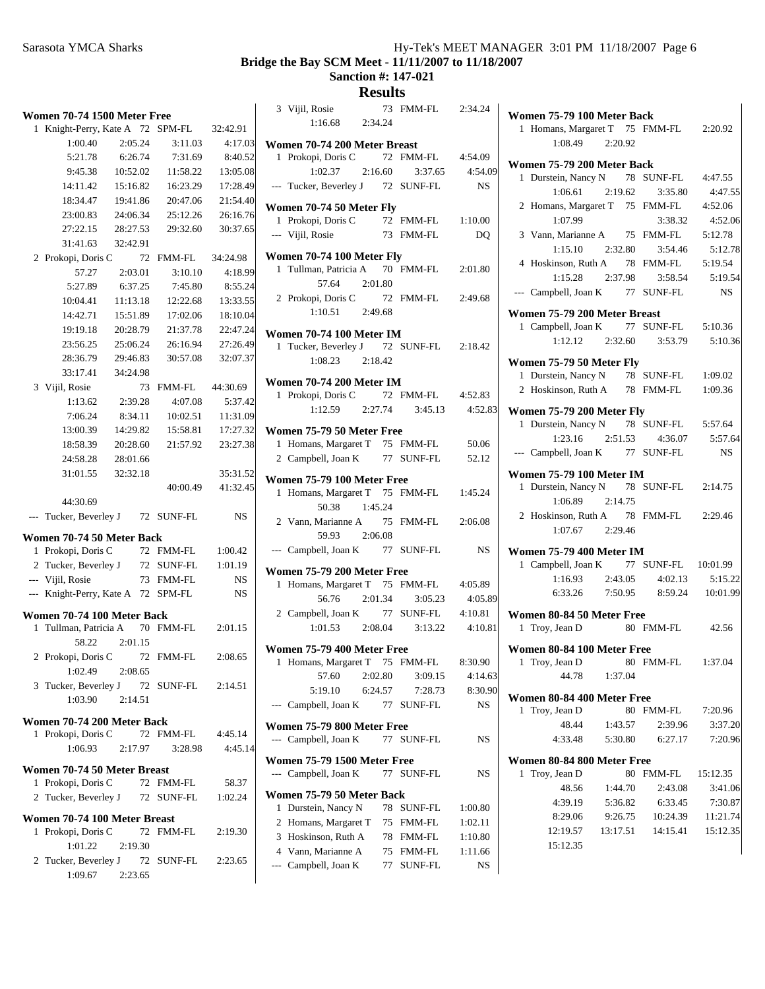|   | <b>Women 70-74 1500 Meter Free</b>                 |                     |                   |          |  |
|---|----------------------------------------------------|---------------------|-------------------|----------|--|
| 1 | Knight-Perry, Kate A 72 SPM-FL                     |                     |                   | 32:42.91 |  |
|   | 1:00.40                                            | 2:05.24             | 3:11.03           | 4:17.03  |  |
|   | 5:21.78                                            | 6:26.74             | 7:31.69           | 8:40.52  |  |
|   | 9:45.38                                            | 10:52.02            | 11:58.22          | 13:05.08 |  |
|   | 14:11.42                                           | 15:16.82            | 16:23.29          | 17:28.49 |  |
|   | 18:34.47                                           | 19:41.86            | 20:47.06          | 21:54.40 |  |
|   | 23:00.83                                           | 24:06.34            | 25:12.26          | 26:16.76 |  |
|   | 27:22.15                                           | 28:27.53            | 29:32.60          | 30:37.65 |  |
|   | 31:41.63                                           | 32:42.91            |                   |          |  |
|   | 2 Prokopi, Doris C                                 | 72                  | <b>FMM-FL</b>     | 34:24.98 |  |
|   | 57.27                                              | 2:03.01             | 3:10.10           | 4:18.99  |  |
|   | 5:27.89                                            | 6:37.25             | 7:45.80           | 8:55.24  |  |
|   | 10:04.41                                           | 11:13.18            | 12:22.68          | 13:33.55 |  |
|   | 14:42.71                                           | 15:51.89            | 17:02.06          | 18:10.04 |  |
|   | 19:19.18                                           | 20:28.79            | 21:37.78          | 22:47.24 |  |
|   | 23:56.25                                           | 25:06.24            | 26:16.94          | 27:26.49 |  |
|   | 28:36.79                                           | 29:46.83            | 30:57.08          | 32:07.37 |  |
|   | 33:17.41                                           | 34:24.98            |                   |          |  |
|   | 3 Vijil, Rosie                                     | 73                  | FMM-FL            | 44:30.69 |  |
|   | 1:13.62                                            | 2:39.28             | 4:07.08           | 5:37.42  |  |
|   | 7:06.24                                            | 8:34.11             | 10:02.51          | 11:31.09 |  |
|   | 13:00.39                                           | 14:29.82            | 15:58.81          | 17:27.32 |  |
|   | 18:58.39                                           | 20:28.60            | 21:57.92          | 23:27.38 |  |
|   | 24:58.28                                           | 28:01.66            |                   |          |  |
|   | 31:01.55                                           | 32:32.18            |                   | 35:31.52 |  |
|   |                                                    |                     | 40:00.49          | 41:32.45 |  |
|   | 44:30.69                                           |                     |                   |          |  |
|   | --- Tucker, Beverley J 72 SUNF-FL                  |                     |                   | NS       |  |
|   |                                                    |                     |                   |          |  |
|   | Women 70-74 50 Meter Back                          |                     |                   |          |  |
|   | 1 Prokopi, Doris C                                 |                     | 72 FMM-FL         | 1:00.42  |  |
|   | 2 Tucker, Beverley J 72 SUNF-FL                    |                     |                   | 1:01.19  |  |
|   | --- Vijil, Rosie                                   |                     | 73 FMM-FL         | NS       |  |
|   | --- Knight-Perry, Kate A 72 SPM-FL                 |                     |                   | NS       |  |
|   | Women 70-74 100 Meter Back                         |                     |                   |          |  |
| 1 | Tullman, Patricia A 70 FMM-FL 2:01.15              |                     |                   |          |  |
|   | 58.22                                              | 2:01.15             |                   |          |  |
|   | 2 Prokopi, Doris C 72 FMM-FL                       |                     |                   | 2:08.65  |  |
|   | 1:02.49                                            | 2:08.65             |                   |          |  |
|   |                                                    |                     |                   |          |  |
|   | 3 Tucker, Beverley J 72 SUNF-FL 2:14.51<br>1:03.90 | 2:14.51             |                   |          |  |
|   |                                                    |                     |                   |          |  |
|   | Women 70-74 200 Meter Back                         |                     |                   |          |  |
| 1 | Prokopi, Doris C 72 FMM-FL                         |                     |                   | 4:45.14  |  |
|   | 1:06.93                                            |                     | 2:17.97 3:28.98   | 4:45.14  |  |
|   | Women 70-74 50 Meter Breast                        |                     |                   |          |  |
| 1 | Prokopi, Doris C 72 FMM-FL                         |                     |                   | 58.37    |  |
|   | 2 Tucker, Beverley J 72 SUNF-FL                    |                     |                   | 1:02.24  |  |
|   |                                                    |                     |                   |          |  |
|   | Women 70-74 100 Meter Breast                       |                     |                   |          |  |
| 1 | Prokopi, Doris C                                   |                     | 72 FMM-FL 2:19.30 |          |  |
|   | 1:01.22                                            | 2:19.30             |                   |          |  |
|   | 2 Tucker, Beverley J 72 SUNF-FL 2:23.65            |                     |                   |          |  |
|   |                                                    | $1:09.67$ $2:23.65$ |                   |          |  |
|   |                                                    |                     |                   |          |  |

|              | 3 Vijil, Rosie<br>1:16.68 2:34.24                               |         | 73 FMM-FL 2:34.24  |           |
|--------------|-----------------------------------------------------------------|---------|--------------------|-----------|
|              | Women 70-74 200 Meter Breast                                    |         |                    |           |
|              | 1 Prokopi, Doris C                                              |         | 72 FMM-FL  4:54.09 |           |
|              | $1:02.37$ $2:16.60$ $3:37.65$                                   |         |                    | 4:54.09   |
|              | --- Tucker, Beverley J 72 SUNF-FL                               |         |                    | <b>NS</b> |
|              | Women 70-74 50 Meter Fly                                        |         |                    |           |
|              | 1 Prokopi, Doris C 72 FMM-FL 1:10.00                            |         |                    |           |
|              | --- Vijil, Rosie                                                |         | 73 FMM-FL          | DQ        |
|              | Women 70-74 100 Meter Fly                                       |         |                    |           |
|              | 1 Tullman, Patricia A 70 FMM-FL 2:01.80                         |         |                    |           |
|              | 57.64 2:01.80                                                   |         |                    |           |
|              | 2 Prokopi, Doris C 72 FMM-FL 2:49.68                            |         |                    |           |
|              | $1:10.51$ 2:49.68                                               |         |                    |           |
|              | <b>Women 70-74 100 Meter IM</b>                                 |         |                    |           |
|              | 1 Tucker, Beverley J 72 SUNF-FL 2:18.42                         |         |                    |           |
|              | 1:08.23 2:18.42                                                 |         |                    |           |
|              | <b>Women 70-74 200 Meter IM</b>                                 |         |                    |           |
|              | 1 Prokopi, Doris C 72 FMM-FL 4:52.83                            |         |                    |           |
|              | 1:12.59  2:27.74  3:45.13  4:52.83                              |         |                    |           |
|              | Women 75-79 50 Meter Free                                       |         |                    |           |
|              |                                                                 |         |                    | 50.06     |
|              | 1 Homans, Margaret T 75 FMM-FL<br>2 Campbell, Joan K 77 SUNF-FL |         |                    | 52.12     |
|              |                                                                 |         |                    |           |
|              | Women 75-79 100 Meter Free                                      |         |                    |           |
|              | 1 Homans, Margaret T 75 FMM-FL 1:45.24                          |         |                    |           |
|              | 50.38 1:45.24                                                   |         |                    |           |
|              | 2 Vann, Marianne A 75 FMM-FL 2:06.08                            |         |                    |           |
|              | 59.93 2:06.08                                                   |         |                    |           |
|              | --- Campbell, Joan K 77 SUNF-FL                                 |         |                    | <b>NS</b> |
|              | Women 75-79 200 Meter Free                                      |         |                    |           |
|              | 1 Homans, Margaret T 75 FMM-FL 4:05.89                          |         |                    |           |
|              | 56.76                                                           |         | 2:01.34 3:05.23    | 4:05.89   |
|              | 2 Campbell, Joan K 77 SUNF-FL 4:10.81                           |         |                    |           |
|              | $1:01.53$ $2:08.04$ $3:13.22$                                   |         |                    | 4:10.81   |
|              | Women 75-79 400 Meter Free                                      |         |                    |           |
| $\mathbf{I}$ | Homans, Margaret T 75 FMM-FL 8:30.90                            |         |                    |           |
|              | 57.60                                                           | 2:02.80 | 3:09.15            | 4:14.63   |
|              | 5:19.10                                                         | 6:24.57 | 7:28.73            | 8:30.90   |
| $---$        | Campbell, Joan K                                                | 77      | SUNF-FL            | NS        |
|              | Women 75-79 800 Meter Free                                      |         |                    |           |
|              | --- Campbell, Joan K                                            | 77      | SUNF-FL            | NS        |
|              | <b>Women 75-79 1500 Meter Free</b>                              |         |                    |           |
|              | --- Campbell, Joan K                                            | 77      | <b>SUNF-FL</b>     | NS        |
|              | Women 75-79 50 Meter Back                                       |         |                    |           |
| 1            | Durstein, Nancy N                                               | 78      | SUNF-FL            | 1:00.80   |
| 2            | Homans, Margaret T                                              | 75      | FMM-FL             | 1:02.11   |
|              | 3 Hoskinson, Ruth A                                             |         | 78 FMM-FL          | 1:10.80   |
|              | 4 Vann, Marianne A                                              |         | 75 FMM-FL          | 1:11.66   |
| $---$        | Campbell, Joan K                                                | 77      | SUNF-FL            | NS        |
|              |                                                                 |         |                    |           |

| Women 75-79 100 Meter Back                                          |                              |           |
|---------------------------------------------------------------------|------------------------------|-----------|
| 1 Homans, Margaret T 75 FMM-FL 2:20.92                              |                              |           |
| 1:08.49 2:20.92                                                     |                              |           |
| Women 75-79 200 Meter Back                                          |                              |           |
| Durstein, Nancy N 78 SUNF-FL 4:47.55<br>1                           |                              |           |
| 1:06.61<br>2:19.62 3:35.80                                          |                              | 4:47.55   |
| 2 Homans, Margaret T 75 FMM-FL                                      |                              | 4:52.06   |
| 1:07.99                                                             | 3:38.32                      | 4:52.06   |
| 3 Vann, Marianne A 75 FMM-FL                                        |                              | 5:12.78   |
| $1:15.10$ $2:32.80$ $3:54.46$                                       |                              | 5:12.78   |
| 4 Hoskinson, Ruth A 78 FMM-FL 5:19.54                               |                              |           |
| $1:15.28$ $2:37.98$ $3:58.54$                                       |                              | 5:19.54   |
| --- Campbell, Joan K 77 SUNF-FL                                     |                              | <b>NS</b> |
| Women 75-79 200 Meter Breast                                        |                              |           |
| 1 Campbell, Joan K 77 SUNF-FL 5:10.36                               |                              |           |
| $1:12.12$ $2:32.60$ $3:53.79$                                       |                              | 5:10.36   |
| Women 75-79 50 Meter Fly                                            |                              |           |
| 1 Durstein, Nancy N 78 SUNF-FL 1:09.02                              |                              |           |
| 2 Hoskinson, Ruth A 78 FMM-FL                                       |                              | 1:09.36   |
|                                                                     |                              |           |
| Women 75-79 200 Meter Fly<br>1 Durstein, Nancy N 78 SUNF-FL 5:57.64 |                              |           |
|                                                                     |                              | 5:57.64   |
| 1:23.16 2:51.53 4:36.07<br>--- Campbell, Joan K 77 SUNF-FL          |                              | NS        |
|                                                                     |                              |           |
| <b>Women 75-79 100 Meter IM</b>                                     |                              |           |
| 1 Durstein, Nancy N 78 SUNF-FL 2:14.75                              |                              |           |
| $1:06.89$ $2:14.75$                                                 |                              |           |
| 2 Hoskinson, Ruth A 78 FMM-FL 2:29.46                               |                              |           |
| 1:07.67 2:29.46                                                     |                              |           |
| <b>Women 75-79 400 Meter IM</b>                                     |                              |           |
| 1 Campbell, Joan K 77 SUNF-FL 10:01.99                              |                              |           |
| $1:16.93$ $2:43.05$                                                 | 4:02.13                      | 5:15.22   |
| 6:33.26  7:50.95  8:59.24  10:01.99                                 |                              |           |
| Women 80-84 50 Meter Free                                           |                              |           |
| Troy, Jean D<br>1                                                   | 80 FMM-FL 42.56              |           |
| Women 80-84 100 Meter Free                                          |                              |           |
| 1 Troy, Jean D 80 FMM-FL 1:37.04                                    |                              |           |
| 44.78 1:37.04                                                       |                              |           |
|                                                                     |                              |           |
| Women 80-84 400 Meter Free<br>Troy, Jean D<br>1                     | 80 FMM-FL 7:20.96            |           |
| 48.44 1:43.57 2:39.96                                               |                              | 3:37.20   |
| 4:33.48                                                             | 5:30.80 6:27.17              | 7:20.96   |
|                                                                     |                              |           |
| Women 80-84 800 Meter Free                                          |                              |           |
| Troy, Jean D<br>1                                                   | 80 FMM-FL 15:12.35           |           |
| 1:44.70<br>48.56                                                    | 2:43.08                      | 3:41.06   |
| 5:36.82<br>4:39.19                                                  | 6:33.45                      | 7:30.87   |
| 8:29.06                                                             | 9:26.75  10:24.39  11:21.74  |           |
| 12:19.57                                                            | 13:17.51  14:15.41  15:12.35 |           |
| 15:12.35                                                            |                              |           |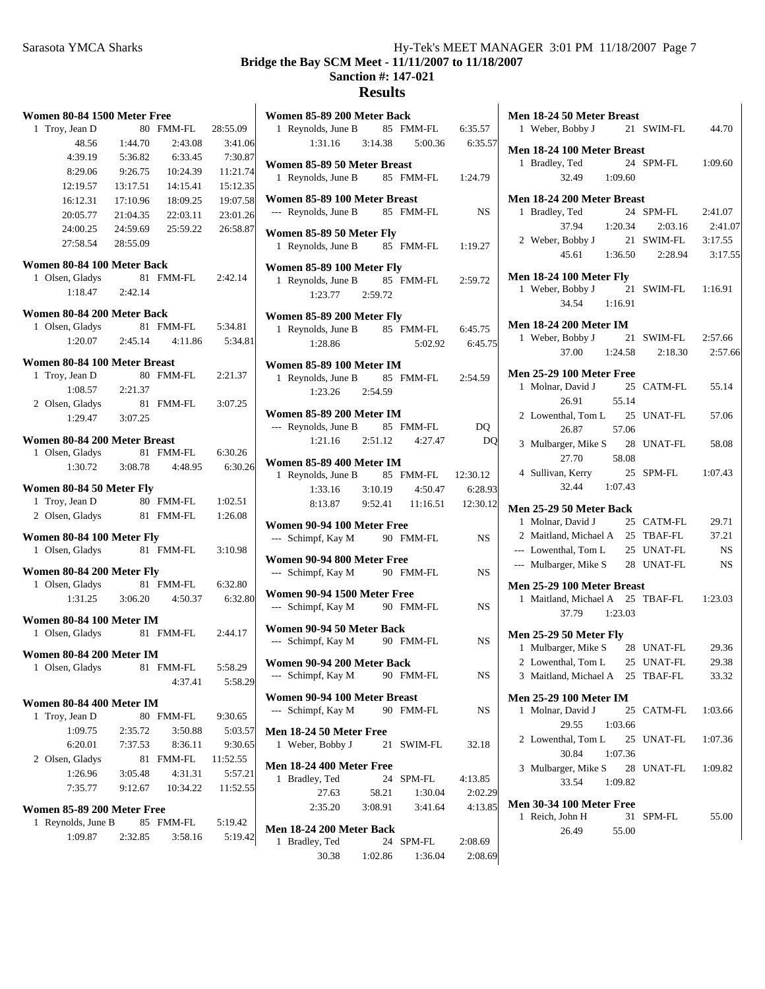| Women 80-84 1500 Meter Free                     |          |           |          | Women 85-89 200 Meter Back                                    |           |
|-------------------------------------------------|----------|-----------|----------|---------------------------------------------------------------|-----------|
| 1 Troy, Jean D                                  |          | 80 FMM-FL | 28:55.09 | 1 Reynolds, June B<br>85 FMM-FL                               | 6:35.57   |
| 48.56                                           | 1:44.70  | 2:43.08   | 3:41.06  | 1:31.16<br>3:14.38<br>5:00.36                                 | 6:35.57   |
| 4:39.19                                         | 5:36.82  | 6:33.45   | 7:30.87  | Women 85-89 50 Meter Breast                                   |           |
| 8:29.06                                         | 9:26.75  | 10:24.39  | 11:21.74 | 1 Reynolds, June B<br>85 FMM-FL                               | 1:24.79   |
| 12:19.57                                        | 13:17.51 | 14:15.41  | 15:12.35 |                                                               |           |
| 16:12.31                                        | 17:10.96 | 18:09.25  | 19:07.58 | Women 85-89 100 Meter Breast                                  |           |
| 20:05.77                                        | 21:04.35 | 22:03.11  | 23:01.26 | --- Reynolds, June B<br>85 FMM-FL                             | <b>NS</b> |
| 24:00.25                                        | 24:59.69 | 25:59.22  | 26:58.87 | Women 85-89 50 Meter Fly                                      |           |
| 27:58.54                                        | 28:55.09 |           |          | 1 Reynolds, June B<br>85 FMM-FL                               | 1:19.27   |
| Women 80-84 100 Meter Back                      |          |           |          | Women 85-89 100 Meter Fly                                     |           |
| 1 Olsen, Gladys                                 |          | 81 FMM-FL | 2:42.14  | 1 Reynolds, June B<br>85 FMM-FL                               | 2:59.72   |
| 1:18.47                                         | 2:42.14  |           |          | 1:23.77<br>2:59.72                                            |           |
|                                                 |          |           |          |                                                               |           |
| Women 80-84 200 Meter Back                      |          | 81 FMM-FL | 5:34.81  | Women 85-89 200 Meter Fly                                     |           |
| 1 Olsen, Gladys                                 |          |           |          | 85 FMM-FL<br>1 Reynolds, June B                               | 6:45.75   |
| 1:20.07                                         | 2:45.14  | 4:11.86   | 5:34.81  | 1:28.86<br>5:02.92                                            | 6:45.75   |
| Women 80-84 100 Meter Breast                    |          |           |          | <b>Women 85-89 100 Meter IM</b>                               |           |
| 1 Troy, Jean D                                  |          | 80 FMM-FL | 2:21.37  | 1 Reynolds, June B<br>85 FMM-FL                               | 2:54.59   |
| 1:08.57                                         | 2:21.37  |           |          | 1:23.26<br>2:54.59                                            |           |
| 2 Olsen, Gladys                                 |          | 81 FMM-FL | 3:07.25  |                                                               |           |
| 1:29.47                                         | 3:07.25  |           |          | <b>Women 85-89 200 Meter IM</b>                               |           |
|                                                 |          |           |          | --- Reynolds, June B<br>85 FMM-FL                             | DQ        |
| Women 80-84 200 Meter Breast<br>1 Olsen, Gladys |          | 81 FMM-FL | 6:30.26  | 1:21.16<br>2:51.12<br>4:27.47                                 | DQ        |
| 1:30.72                                         | 3:08.78  | 4:48.95   | 6:30.26  | <b>Women 85-89 400 Meter IM</b>                               |           |
|                                                 |          |           |          | 1 Reynolds, June B<br>85 FMM-FL                               | 12:30.12  |
| Women 80-84 50 Meter Fly                        |          |           |          | 3:10.19<br>4:50.47<br>1:33.16                                 | 6:28.93   |
| 1 Troy, Jean D                                  |          | 80 FMM-FL | 1:02.51  | 11:16.51<br>8:13.87<br>9:52.41                                | 12:30.12  |
| 2 Olsen, Gladys                                 |          | 81 FMM-FL | 1:26.08  |                                                               |           |
| Women 80-84 100 Meter Fly                       |          |           |          | Women 90-94 100 Meter Free<br>--- Schimpf, Kay M<br>90 FMM-FL | <b>NS</b> |
| 1 Olsen, Gladys                                 |          | 81 FMM-FL | 3:10.98  |                                                               |           |
|                                                 |          |           |          | Women 90-94 800 Meter Free                                    |           |
| Women 80-84 200 Meter Fly                       |          |           |          | --- Schimpf, Kay M<br>90 FMM-FL                               | <b>NS</b> |
| 1 Olsen, Gladys                                 |          | 81 FMM-FL | 6:32.80  | Women 90-94 1500 Meter Free                                   |           |
| 1:31.25                                         | 3:06.20  | 4:50.37   | 6:32.80  | --- Schimpf, Kay M<br>90 FMM-FL                               | NS        |
| Women 80-84 100 Meter IM                        |          |           |          |                                                               |           |
| 1 Olsen, Gladys                                 |          | 81 FMM-FL | 2:44.17  | Women 90-94 50 Meter Back                                     |           |
|                                                 |          |           |          | --- Schimpf, Kay M<br>90 FMM-FL                               | NS        |
| Women 80-84 200 Meter IM                        |          |           |          | Women 90-94 200 Meter Back                                    |           |
| 1 Olsen, Gladys                                 |          | 81 FMM-FL | 5:58.29  | --- Schimpf, Kay M<br>90 FMM-FL                               | NS        |
|                                                 |          | 4:37.41   | 5:58.29  |                                                               |           |
| Women 80-84 400 Meter IM                        |          |           |          | Women 90-94 100 Meter Breast                                  |           |
| 1 Troy, Jean D                                  |          | 80 FMM-FL | 9:30.65  | --- Schimpf, Kay M<br>90 FMM-FL                               | NS        |
| 1:09.75                                         | 2:35.72  | 3:50.88   | 5:03.57  | Men 18-24 50 Meter Free                                       |           |
| 6:20.01                                         | 7:37.53  | 8:36.11   | 9:30.65  | 1 Weber, Bobby J<br>21 SWIM-FL                                | 32.18     |
| 2 Olsen, Gladys                                 |          | 81 FMM-FL | 11:52.55 | <b>Men 18-24 400 Meter Free</b>                               |           |
| 1:26.96                                         | 3:05.48  | 4:31.31   | 5:57.21  | 1 Bradley, Ted<br>24 SPM-FL                                   | 4:13.85   |
| 7:35.77                                         | 9:12.67  | 10:34.22  | 11:52.55 |                                                               | 2:02.29   |
|                                                 |          |           |          | 27.63<br>58.21<br>1:30.04                                     |           |
| Women 85-89 200 Meter Free                      |          |           |          | 2:35.20<br>3:08.91<br>3:41.64                                 | 4:13.85   |
| 1 Reynolds, June B                              |          | 85 FMM-FL | 5:19.42  | Men 18-24 200 Meter Back                                      |           |
| 1:09.87                                         | 2:32.85  | 3:58.16   | 5:19.42  | 1 Bradley, Ted<br>24 SPM-FL                                   | 2:08.69   |
|                                                 |          |           |          | 30.38<br>1:02.86<br>1:36.04                                   | 2:08.69   |
|                                                 |          |           |          |                                                               |           |

| Men 18-24 50 Meter Breast<br>1 Weber, Bobby J 21 SWIM-FL 44.70                                                |                      |                               |
|---------------------------------------------------------------------------------------------------------------|----------------------|-------------------------------|
| Men 18-24 100 Meter Breast<br>1 Bradley, Ted 24 SPM-FL 1:09.60<br>32.49 1:09.60                               |                      |                               |
| Men 18-24 200 Meter Breast<br>1 Bradley, Ted<br>37.94 1:20.34                                                 | 24 SPM-FL<br>2:03.16 | 2:41.07<br>2:41.07            |
| 2 Weber, Bobby J<br>$45.61$ $1:36.50$ $2:28.94$                                                               | 21 SWIM-FL           | 3:17.55<br>3:17.55            |
| <b>Men 18-24 100 Meter Fly</b><br>1 Weber, Bobby J 21 SWIM-FL 1:16.91<br>34.54 1:16.91                        |                      |                               |
| <b>Men 18-24 200 Meter IM</b><br>1 Weber, Bobby J 21 SWIM-FL 2:57.66<br>37.00 1:24.58 2:18.30 2:57.6          |                      | 2:57.66                       |
| <b>Men 25-29 100 Meter Free</b><br>1 Molnar, David J 25 CATM-FL<br>26.91<br>55.14                             |                      | 55.14                         |
| 2 Lowenthal, Tom L 25 UNAT-FL<br>26.87<br>57.06                                                               |                      | 57.06<br>58.08                |
| 3 Mulbarger, Mike S 28 UNAT-FL<br>27.70 58.08<br>4 Sullivan, Kerry<br>$32.44$ 1:07.43                         | 25 SPM-FL 1:07.43    |                               |
| Men 25-29 50 Meter Back<br>1 Molnar, David J                                                                  | 25 CATM-FL 29.71     |                               |
| 2 Maitland, Michael A 25 TBAF-FL 37.21<br>--- Lowenthal, Tom L 25 UNAT-FL<br>--- Mulbarger, Mike S 28 UNAT-FL |                      | NS <sub>NS</sub><br><b>NS</b> |
| Men 25-29 100 Meter Breast<br>1 Maitland, Michael A 25 TBAF-FL 1:23.03<br>37.79 1:23.03                       |                      |                               |
| <b>Men 25-29 50 Meter Fly</b><br>1 Mulbarger, Mike S 28 UNAT-FL 29.36                                         |                      |                               |
| 2 Lowenthal, Tom L 25 UNAT-FL<br>3 Maitland, Michael A 25 TBAF-FL                                             |                      | 29.38<br>33.32                |
| <b>Men 25-29 100 Meter IM</b><br>1 Molnar, David J<br>25<br>29.55<br>1:03.66                                  | CATM-FL              | 1:03.66                       |
| 2 Lowenthal, Tom L 25 UNAT-FL<br>30.84<br>1:07.36<br>3 Mulbarger, Mike S 28 UNAT-FL                           |                      | 1:07.36<br>1:09.82            |
| 33.54<br>1:09.82<br><b>Men 30-34 100 Meter Free</b><br>1 Reich, John H<br>31<br>26.49<br>55.00                | SPM-FL               | 55.00                         |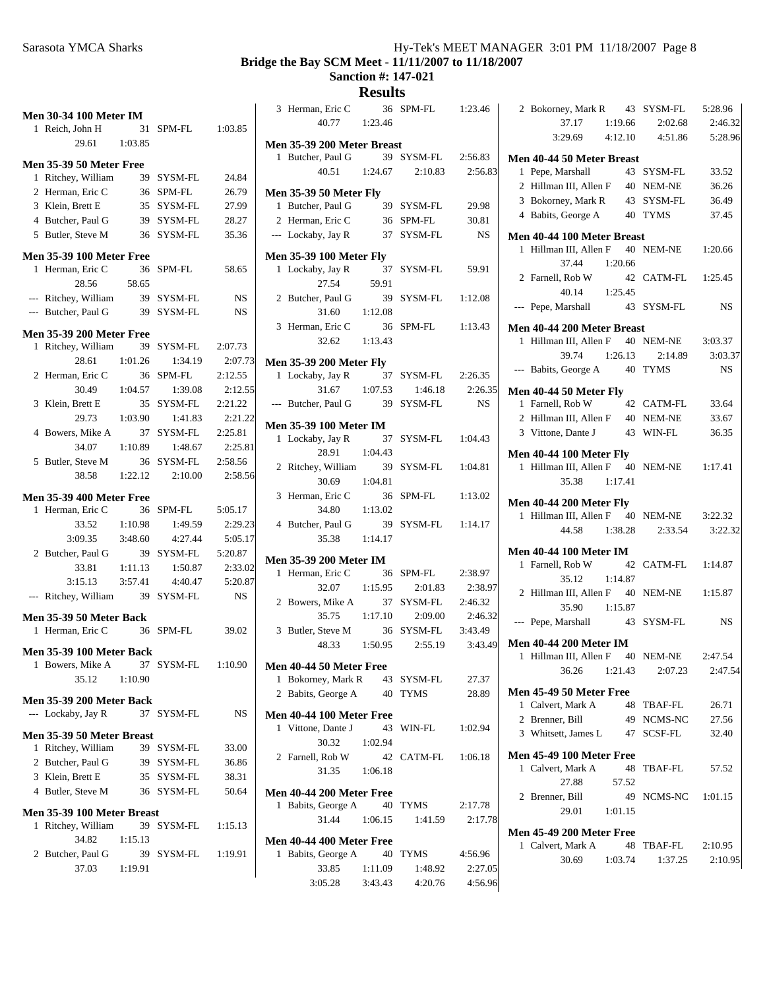#### **Bridge the Bay SCM Meet - 11/11/2007 to 11/18/2007**

**Sanction #: 147-021**

|   | <b>Men 30-34 100 Meter IM</b>                       |         |                               |           |
|---|-----------------------------------------------------|---------|-------------------------------|-----------|
|   | 1 Reich, John H                                     |         | 31 SPM-FL 1:03.85             |           |
|   | 29.61 1:03.85                                       |         |                               |           |
|   | <b>Men 35-39 50 Meter Free</b>                      |         |                               |           |
|   | 1 Ritchey, William                                  | 39      | SYSM-FL                       | 24.84     |
|   | 2 Herman, Eric C                                    |         | 36 SPM-FL                     | 26.79     |
|   | 3 Klein, Brett E                                    |         | 35 SYSM-FL                    | 27.99     |
|   | 4 Butcher, Paul G 39 SYSM-FL                        |         |                               | 28.27     |
|   | 5 Butler, Steve M 36 SYSM-FL                        |         |                               | 35.36     |
|   |                                                     |         |                               |           |
|   | <b>Men 35-39 100 Meter Free</b><br>1 Herman, Eric C | 36      | SPM-FL                        | 58.65     |
|   | 28.56                                               | 58.65   |                               |           |
|   | --- Ritchey, William                                |         | 39 SYSM-FL                    | NS        |
|   | --- Butcher, Paul G 39 SYSM-FL                      |         |                               | NS        |
|   |                                                     |         |                               |           |
|   | <b>Men 35-39 200 Meter Free</b>                     |         |                               |           |
|   | 1 Ritchey, William 39                               |         | SYSM-FL                       | 2:07.73   |
|   | 28.61                                               |         | 1:01.26 1:34.19               | 2:07.73   |
|   | 2 Herman, Eric C                                    | 36      | SPM-FL                        | 2:12.55   |
|   | 30.49                                               | 1:04.57 | 1:39.08                       | 2:12.55   |
|   | 3 Klein, Brett E                                    | 35      | SYSM-FL                       | 2:21.22   |
|   | 29.73                                               | 1:03.90 | 1:41.83                       | 2:21.22   |
|   | 4 Bowers, Mike A                                    | 37      | SYSM-FL                       | 2:25.81   |
|   | 34.07                                               | 1:10.89 | 1:48.67                       | 2:25.81   |
|   | 5 Butler, Steve M                                   |         | 36 SYSM-FL 2:58.56            |           |
|   |                                                     |         | 38.58 1:22.12 2:10.00         | 2:58.56   |
|   | <b>Men 35-39 400 Meter Free</b>                     |         |                               |           |
|   | 1 Herman, Eric C                                    | 36      | SPM-FL                        | 5:05.17   |
|   | 33.52 1:10.98                                       |         | 1:49.59                       | 2:29.23   |
|   | $3:09.35$ $3:48.60$                                 |         | 4:27.44                       | 5:05.17   |
|   | 2 Butcher, Paul G                                   |         | 39 SYSM-FL                    | 5:20.87   |
|   | 33.81                                               | 1:11.13 | 1:50.87                       | 2:33.02   |
|   |                                                     |         | $3:15.13$ $3:57.41$ $4:40.47$ | 5:20.87   |
|   | --- Ritchey, William 39 SYSM-FL                     |         |                               | <b>NS</b> |
|   |                                                     |         |                               |           |
|   | <b>Men 35-39 50 Meter Back</b>                      |         |                               |           |
|   | 1 Herman, Eric C 36 SPM-FL                          |         |                               | 39.02     |
|   | <b>Men 35-39 100 Meter Back</b>                     |         |                               |           |
|   | 1 Bowers, Mike A 37 SYSM-FL 1:10.90                 |         |                               |           |
|   | 35.12 1:10.90                                       |         |                               |           |
|   | Men 35-39 200 Meter Back                            |         |                               |           |
|   | --- Lockaby, Jay R                                  |         | 37 SYSM-FL                    | NS        |
|   |                                                     |         |                               |           |
|   | Men 35-39 50 Meter Breast                           |         | 39 SYSM-FL                    |           |
|   | 1 Ritchey, William                                  |         |                               | 33.00     |
|   | 2 Butcher, Paul G                                   |         | 39 SYSM-FL<br>35 SYSM-FL      | 36.86     |
|   | 3 Klein, Brett E                                    |         |                               | 38.31     |
|   | 4 Butler, Steve M                                   |         | 36 SYSM-FL                    | 50.64     |
|   | Men 35-39 100 Meter Breast                          |         |                               |           |
| 1 | Ritchey, William                                    |         | 39 SYSM-FL 1:15.13            |           |
|   | 34.82                                               | 1:15.13 |                               |           |
|   | 2 Butcher, Paul G                                   |         | 39 SYSM-FL 1:19.91            |           |
|   | 37.03 1:19.91                                       |         |                               |           |

| 3 Herman, Eric C<br>40.77                              | 36<br>1:23.46 | SPM-FL                          | 1:23.46            |
|--------------------------------------------------------|---------------|---------------------------------|--------------------|
|                                                        |               |                                 |                    |
| Men 35-39 200 Meter Breast                             |               | 39 SYSM-FL                      |                    |
| 1 Butcher, Paul G<br>40.51                             | 1:24.67       | 2:10.83                         | 2:56.83<br>2:56.83 |
|                                                        |               |                                 |                    |
| <b>Men 35-39 50 Meter Fly</b>                          |               |                                 |                    |
| 1 Butcher, Paul G                                      |               | 39 SYSM-FL                      | 29.98              |
| 2 Herman, Eric C                                       |               | 36 SPM-FL                       | 30.81              |
| --- Lockaby, Jay R                                     |               | 37 SYSM-FL                      | <b>NS</b>          |
| <b>Men 35-39 100 Meter Fly</b>                         |               |                                 |                    |
| 1 Lockaby, Jay R                                       | 37            | SYSM-FL                         | 59.91              |
| 27.54                                                  | 59.91         |                                 |                    |
| 2 Butcher, Paul G                                      | 39            | SYSM-FL                         | 1:12.08            |
| 31.60                                                  | 1:12.08       |                                 |                    |
| 3 Herman, Eric C<br>32.62                              | 36<br>1:13.43 | SPM-FL                          | 1:13.43            |
|                                                        |               |                                 |                    |
| Men 35-39 200 Meter Fly                                | 37            |                                 |                    |
| 1 Lockaby, Jay R<br>31.67                              | 1:07.53       | SYSM-FL<br>1:46.18              | 2:26.35<br>2:26.35 |
| --- Butcher, Paul G                                    | 39            | SYSM-FL                         | <b>NS</b>          |
|                                                        |               |                                 |                    |
| <b>Men 35-39 100 Meter IM</b>                          |               |                                 |                    |
| Lockaby, Jay R<br>1<br>28.91                           | 37<br>1:04.43 | SYSM-FL                         | 1:04.43            |
| Ritchey, William<br>2                                  | 39            | SYSM-FL                         | 1:04.81            |
| 30.69                                                  | 1:04.81       |                                 |                    |
| Herman, Eric C<br>3                                    | 36            | SPM-FL                          | 1:13.02            |
| 34.80                                                  | 1:13.02       |                                 |                    |
| 4 Butcher, Paul G                                      | 39            | SYSM-FL                         | 1:14.17            |
| 35.38                                                  | 1:14.17       |                                 |                    |
| <b>Men 35-39 200 Meter IM</b>                          |               |                                 |                    |
| 1 Herman, Eric C                                       | 36            | SPM-FL                          | 2:38.97            |
| 32.07                                                  | 1:15.95       | 2:01.83                         | 2:38.97            |
| 2 Bowers, Mike A                                       | 37            | SYSM-FL                         | 2:46.32            |
| 35.75                                                  | 1:17.10       | 2:09.00                         | 2:46.32            |
| Butler, Steve M<br>3                                   | 36            | SYSM-FL                         | 3:43.49            |
| 48.33                                                  | 1:50.95       | 2:55.19                         | 3:43.49            |
| Men 40-44 50 Meter Free                                |               |                                 |                    |
| 1 Bokorney, Mark R                                     |               | 43 SYSM-FL                      | 27.37              |
| 2 Babits, George A                                     |               | 40 TYMS                         | 28.89              |
| Men 40-44 100 Meter Free                               |               |                                 |                    |
| 1 Vittone, Dante J                                     |               | 43 WIN-FL                       | 1:02.94            |
| 30.32                                                  | 1:02.94       |                                 |                    |
| 2 Farnell, Rob W                                       |               | 42 CATM-FL 1:06.18              |                    |
| 31.35                                                  | 1:06.18       |                                 |                    |
| Men 40-44 200 Meter Free                               |               |                                 |                    |
| 1 Babits, George A                                     |               | 40 TYMS                         | 2:17.78            |
| 31.44                                                  |               | $1:06.15$ $1:41.59$             | 2:17.78            |
|                                                        |               |                                 |                    |
| Men 40-44 400 Meter Free<br>1 Babits, George A 40 TYMS |               |                                 | 4:56.96            |
| 33.85                                                  | 1:11.09       | 1:48.92                         | 2:27.05            |
|                                                        |               | 3:05.28 3:43.43 4:20.76 4:56.96 |                    |

| 2 Bokorney, Mark R 43                                             | SYSM-FL            | 5:28.96   |
|-------------------------------------------------------------------|--------------------|-----------|
| 37.17 1:19.66                                                     | 2:02.68            | 2:46.32   |
| $3:29.69$ $4:12.10$ $4:51.86$                                     |                    | 5:28.96   |
|                                                                   |                    |           |
| Men 40-44 50 Meter Breast<br>Pepe, Marshall<br>1                  | 43 SYSM-FL         | 33.52     |
| 2 Hillman III, Allen F 40 NEM-NE                                  |                    | 36.26     |
| 3 Bokorney, Mark R                                                | 43 SYSM-FL         | 36.49     |
|                                                                   |                    |           |
| 4 Babits, George A                                                | 40 TYMS            | 37.45     |
| Men 40-44 100 Meter Breast                                        |                    |           |
| 1 Hillman III, Allen F 40 NEM-NE 1:20.66                          |                    |           |
| 37.44<br>1:20.66                                                  |                    |           |
| 2 Farnell, Rob W                                                  | 42 CATM-FL 1:25.45 |           |
| 40.14  1:25.45                                                    |                    |           |
| --- Pepe, Marshall                                                | 43 SYSM-FL         | <b>NS</b> |
| Men 40-44 200 Meter Breast                                        |                    |           |
| 1 Hillman III, Allen F 40 NEM-NE 3:03.37                          |                    |           |
| 39.74 1:26.13 2:14.89                                             |                    | 3:03.37   |
| --- Babits, George A 40 TYMS                                      |                    | <b>NS</b> |
|                                                                   |                    |           |
| Men 40-44 50 Meter Fly                                            |                    |           |
| 1 Farnell, Rob W                                                  | 42 CATM-FL         | 33.64     |
| 2 Hillman III, Allen F 40 NEM-NE                                  |                    | 33.67     |
| 3 Vittone, Dante J                                                | 43 WIN-FL          | 36.35     |
| <b>Men 40-44 100 Meter Fly</b>                                    |                    |           |
| 1 Hillman III, Allen F 40 NEM-NE 1:17.41                          |                    |           |
| 35.38 1:17.41                                                     |                    |           |
|                                                                   |                    |           |
|                                                                   |                    |           |
| <b>Men 40-44 200 Meter Fly</b>                                    |                    |           |
| 1 Hillman III, Allen F 40 NEM-NE                                  |                    | 3:22.32   |
| 44.58 1:38.28                                                     | 2:33.54            | 3:22.32   |
| <b>Men 40-44 100 Meter IM</b>                                     |                    |           |
| 1 Farnell, Rob W                                                  | 42 CATM-FL         | 1:14.87   |
| 35.12<br>1:14.87                                                  |                    |           |
| 2 Hillman III, Allen F 40                                         | NEM-NE 1:15.87     |           |
| 35.90   1:15.87                                                   |                    |           |
| --- Pepe, Marshall 43 SYSM-FL                                     |                    | <b>NS</b> |
|                                                                   |                    |           |
| <b>Men 40-44 200 Meter IM</b><br>1 Hillman III, Allen F 40 NEM-NE |                    | 2:47.54   |
| 36.26<br>1:21.43                                                  |                    |           |
|                                                                   | 2:07.23            | 2:47.54   |
| Men 45-49 50 Meter Free                                           |                    |           |
| Calvert, Mark A<br>1                                              | 48 TBAF-FL         | 26.71     |
| 2 Brenner, Bill                                                   | 49 NCMS-NC         | 27.56     |
| 3 Whitsett, James L 47 SCSF-FL                                    |                    | 32.40     |
| <b>Men 45-49 100 Meter Free</b>                                   |                    |           |
| 48<br>1 Calvert, Mark A                                           | TBAF-FL            | 57.52     |
| 57.52<br>27.88                                                    |                    |           |
| 2 Brenner, Bill                                                   | 49 NCMS-NC         | 1:01.15   |
| 29.01 1:01.15                                                     |                    |           |
|                                                                   |                    |           |
| <b>Men 45-49 200 Meter Free</b>                                   |                    |           |
| 1 Calvert, Mark A                                                 | 48 TBAF-FL         | 2:10.95   |
| 30.69 1:03.74                                                     | 1:37.25            | 2:10.95   |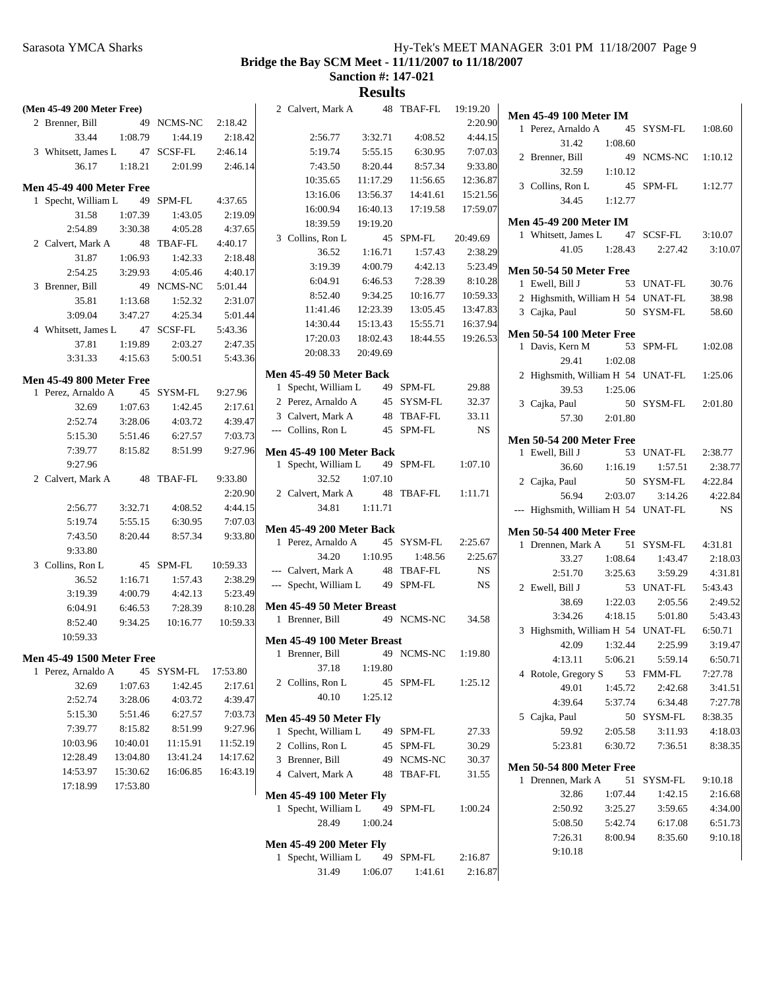#### **Bridge the Bay SCM Meet - 11/11/2007 to 11/18/2007**

**Sanction #: 147-021**

| (Men 45-49 200 Meter Free)       |                    |                    |                    | 2 Calvert, Mark A               |          | 48 TBAF-FL | 19:19.20  |                                                     |         |            |           |
|----------------------------------|--------------------|--------------------|--------------------|---------------------------------|----------|------------|-----------|-----------------------------------------------------|---------|------------|-----------|
| 2 Brenner, Bill                  |                    | 49 NCMS-NC         | 2:18.42            |                                 |          |            | 2:20.90   | <b>Men 45-49 100 Meter IM</b><br>1 Perez, Arnaldo A |         | 45 SYSM-FL | 1:08.60   |
| 33.44                            | 1:08.79            | 1:44.19            | 2:18.42            | 2:56.77                         | 3:32.71  | 4:08.52    | 4:44.15   | 31.42                                               | 1:08.60 |            |           |
| 3 Whitsett, James L              |                    | 47 SCSF-FL         | 2:46.14            | 5:19.74                         | 5:55.15  | 6:30.95    | 7:07.03   | 2 Brenner, Bill                                     |         | 49 NCMS-NC | 1:10.12   |
| 36.17                            | 1:18.21            | 2:01.99            | 2:46.14            | 7:43.50                         | 8:20.44  | 8:57.34    | 9:33.80   | 32.59                                               | 1:10.12 |            |           |
| <b>Men 45-49 400 Meter Free</b>  |                    |                    |                    | 10:35.65                        | 11:17.29 | 11:56.65   | 12:36.87  | 3 Collins, Ron L                                    |         | 45 SPM-FL  | 1:12.77   |
| 1 Specht, William L              |                    | 49 SPM-FL          | 4:37.65            | 13:16.06                        | 13:56.37 | 14:41.61   | 15:21.56  | 34.45                                               | 1:12.77 |            |           |
| 31.58                            | 1:07.39            | 1:43.05            | 2:19.09            | 16:00.94                        | 16:40.13 | 17:19.58   | 17:59.07  |                                                     |         |            |           |
| 2:54.89                          | 3:30.38            | 4:05.28            | 4:37.65            | 18:39.59                        | 19:19.20 |            |           | <b>Men 45-49 200 Meter IM</b>                       |         |            |           |
| 2 Calvert, Mark A                |                    | 48 TBAF-FL         | 4:40.17            | 3 Collins, Ron L                |          | 45 SPM-FL  | 20:49.69  | 1 Whitsett, James L                                 |         | 47 SCSF-FL | 3:10.07   |
| 31.87                            | 1:06.93            | 1:42.33            | 2:18.48            | 36.52                           | 1:16.71  | 1:57.43    | 2:38.29   | 41.05                                               | 1:28.43 | 2:27.42    | 3:10.07   |
| 2:54.25                          | 3:29.93            | 4:05.46            | 4:40.17            | 3:19.39                         | 4:00.79  | 4:42.13    | 5:23.49   | Men 50-54 50 Meter Free                             |         |            |           |
| 3 Brenner, Bill                  |                    | 49 NCMS-NC         | 5:01.44            | 6:04.91                         | 6:46.53  | 7:28.39    | 8:10.28   | 1 Ewell, Bill J                                     |         | 53 UNAT-FL | 30.76     |
| 35.81                            | 1:13.68            | 1:52.32            | 2:31.07            | 8:52.40                         | 9:34.25  | 10:16.77   | 10:59.33  | 2 Highsmith, William H 54 UNAT-FL                   |         |            | 38.98     |
| 3:09.04                          | 3:47.27            | 4:25.34            | 5:01.44            | 11:41.46                        | 12:23.39 | 13:05.45   | 13:47.83  | 3 Cajka, Paul                                       |         | 50 SYSM-FL | 58.60     |
| 4 Whitsett, James L              |                    | 47 SCSF-FL         | 5:43.36            | 14:30.44                        | 15:13.43 | 15:55.71   | 16:37.94  |                                                     |         |            |           |
| 37.81                            | 1:19.89            | 2:03.27            | 2:47.35            | 17:20.03                        | 18:02.43 | 18:44.55   | 19:26.53  | <b>Men 50-54 100 Meter Free</b>                     |         |            |           |
| 3:31.33                          | 4:15.63            | 5:00.51            | 5:43.36            | 20:08.33                        | 20:49.69 |            |           | 1 Davis, Kern M                                     |         | 53 SPM-FL  | 1:02.08   |
|                                  |                    |                    |                    | Men 45-49 50 Meter Back         |          |            |           | 29.41                                               | 1:02.08 |            |           |
| Men 45-49 800 Meter Free         |                    |                    |                    | 1 Specht, William L             |          | 49 SPM-FL  | 29.88     | 2 Highsmith, William H 54 UNAT-FL                   |         |            | 1:25.06   |
| 1 Perez, Arnaldo A               |                    | 45 SYSM-FL         | 9:27.96            | 2 Perez, Arnaldo A              |          | 45 SYSM-FL | 32.37     | 39.53                                               | 1:25.06 |            |           |
| 32.69                            | 1:07.63            | 1:42.45            | 2:17.61            |                                 |          |            |           | 3 Cajka, Paul                                       |         | 50 SYSM-FL | 2:01.80   |
| 2:52.74                          | 3:28.06            | 4:03.72            | 4:39.47            | 3 Calvert, Mark A               |          | 48 TBAF-FL | 33.11     | 57.30                                               | 2:01.80 |            |           |
| 5:15.30                          | 5:51.46            | 6:27.57            | 7:03.73            | --- Collins, Ron L              |          | 45 SPM-FL  | <b>NS</b> | <b>Men 50-54 200 Meter Free</b>                     |         |            |           |
| 7:39.77                          | 8:15.82            | 8:51.99            | 9:27.96            | <b>Men 45-49 100 Meter Back</b> |          |            |           | 1 Ewell, Bill J                                     |         | 53 UNAT-FL | 2:38.77   |
| 9:27.96                          |                    |                    |                    | 1 Specht, William L             |          | 49 SPM-FL  | 1:07.10   | 36.60                                               | 1:16.19 | 1:57.51    | 2:38.77   |
| 2 Calvert, Mark A                |                    | 48 TBAF-FL         | 9:33.80            | 32.52                           | 1:07.10  |            |           | 2 Cajka, Paul                                       |         | 50 SYSM-FL | 4:22.84   |
|                                  |                    |                    |                    |                                 |          |            |           |                                                     |         |            |           |
|                                  |                    |                    | 2:20.90            | 2 Calvert, Mark A               |          | 48 TBAF-FL | 1:11.71   |                                                     |         |            |           |
| 2:56.77                          | 3:32.71            | 4:08.52            | 4:44.15            | 34.81                           | 1:11.71  |            |           | 56.94                                               | 2:03.07 | 3:14.26    | 4:22.84   |
| 5:19.74                          | 5:55.15            | 6:30.95            | 7:07.03            |                                 |          |            |           | --- Highsmith, William H 54 UNAT-FL                 |         |            | <b>NS</b> |
| 7:43.50                          | 8:20.44            | 8:57.34            | 9:33.80            | Men 45-49 200 Meter Back        |          |            |           | <b>Men 50-54 400 Meter Free</b>                     |         |            |           |
| 9:33.80                          |                    |                    |                    | 1 Perez, Arnaldo A              |          | 45 SYSM-FL | 2:25.67   | 1 Drennen, Mark A                                   |         | 51 SYSM-FL | 4:31.81   |
| 3 Collins, Ron L                 |                    | 45 SPM-FL          | 10:59.33           | 34.20                           | 1:10.95  | 1:48.56    | 2:25.67   | 33.27                                               | 1:08.64 | 1:43.47    | 2:18.03   |
| 36.52                            | 1:16.71            | 1:57.43            | 2:38.29            | --- Calvert, Mark A             |          | 48 TBAF-FL | NS.       | 2:51.70                                             | 3:25.63 | 3:59.29    | 4:31.81   |
|                                  |                    |                    |                    | --- Specht, William L           |          | 49 SPM-FL  | NS.       | 2 Ewell, Bill J                                     |         | 53 UNAT-FL | 5:43.43   |
| 3:19.39<br>6:04.91               | 4:00.79<br>6:46.53 | 4:42.13<br>7:28.39 | 5:23.49<br>8:10.28 | Men 45-49 50 Meter Breast       |          |            |           | 38.69                                               | 1:22.03 | 2:05.56    | 2:49.52   |
|                                  |                    |                    |                    | 1 Brenner, Bill                 |          | 49 NCMS-NC | 34.58     | 3:34.26                                             | 4:18.15 | 5:01.80    | 5:43.43   |
| 8:52.40                          | 9:34.25            | 10:16.77           | 10:59.33           |                                 |          |            |           | 3 Highsmith, William H 54 UNAT-FL                   |         |            | 6:50.71   |
| 10:59.33                         |                    |                    |                    | Men 45-49 100 Meter Breast      |          |            |           | 42.09                                               | 1:32.44 | 2:25.99    | 3:19.47   |
| <b>Men 45-49 1500 Meter Free</b> |                    |                    |                    | 1 Brenner, Bill                 |          | 49 NCMS-NC | 1:19.80   | 4:13.11                                             | 5:06.21 | 5:59.14    | 6:50.71   |
| 1 Perez, Arnaldo A               |                    | 45 SYSM-FL         | 17:53.80           | 37.18                           | 1:19.80  |            |           | 4 Rotole, Gregory S                                 |         | 53 FMM-FL  | 7:27.78   |
| 32.69                            | 1:07.63            | 1:42.45            | 2:17.61            | 2 Collins, Ron L                |          | 45 SPM-FL  | 1:25.12   | 49.01                                               | 1:45.72 | 2:42.68    | 3:41.51   |
| 2:52.74                          | 3:28.06            | 4:03.72            | 4:39.47            | 40.10                           | 1:25.12  |            |           | 4:39.64                                             | 5:37.74 | 6:34.48    | 7:27.78   |
| 5:15.30                          | 5:51.46            | 6:27.57            | 7:03.73            | <b>Men 45-49 50 Meter Fly</b>   |          |            |           | 5 Cajka, Paul                                       |         | 50 SYSM-FL | 8:38.35   |
| 7:39.77                          | 8:15.82            | 8:51.99            | 9:27.96            | 1 Specht, William L             |          | 49 SPM-FL  | 27.33     | 59.92                                               | 2:05.58 | 3:11.93    | 4:18.03   |
| 10:03.96                         | 10:40.01           | 11:15.91           | 11:52.19           | 2 Collins, Ron L                |          | 45 SPM-FL  | 30.29     | 5:23.81                                             | 6:30.72 | 7:36.51    | 8:38.35   |
| 12:28.49                         | 13:04.80           | 13:41.24           | 14:17.62           | 3 Brenner, Bill                 |          | 49 NCMS-NC | 30.37     |                                                     |         |            |           |
| 14:53.97                         | 15:30.62           | 16:06.85           | 16:43.19           | 4 Calvert, Mark A               |          | 48 TBAF-FL | 31.55     | <b>Men 50-54 800 Meter Free</b>                     |         |            |           |
| 17:18.99                         | 17:53.80           |                    |                    |                                 |          |            |           | 1 Drennen, Mark A                                   |         | 51 SYSM-FL | 9:10.18   |
|                                  |                    |                    |                    | <b>Men 45-49 100 Meter Fly</b>  |          |            |           | 32.86                                               | 1:07.44 | 1:42.15    | 2:16.68   |
|                                  |                    |                    |                    | 1 Specht, William L             |          | 49 SPM-FL  | 1:00.24   | 2:50.92                                             | 3:25.27 | 3:59.65    | 4:34.00   |
|                                  |                    |                    |                    | 28.49                           | 1:00.24  |            |           | 5:08.50                                             | 5:42.74 | 6:17.08    | 6:51.73   |
|                                  |                    |                    |                    | <b>Men 45-49 200 Meter Fly</b>  |          |            |           | 7:26.31                                             | 8:00.94 | 8:35.60    | 9:10.18   |
|                                  |                    |                    |                    | 1 Specht, William L             |          | 49 SPM-FL  | 2:16.87   | 9:10.18                                             |         |            |           |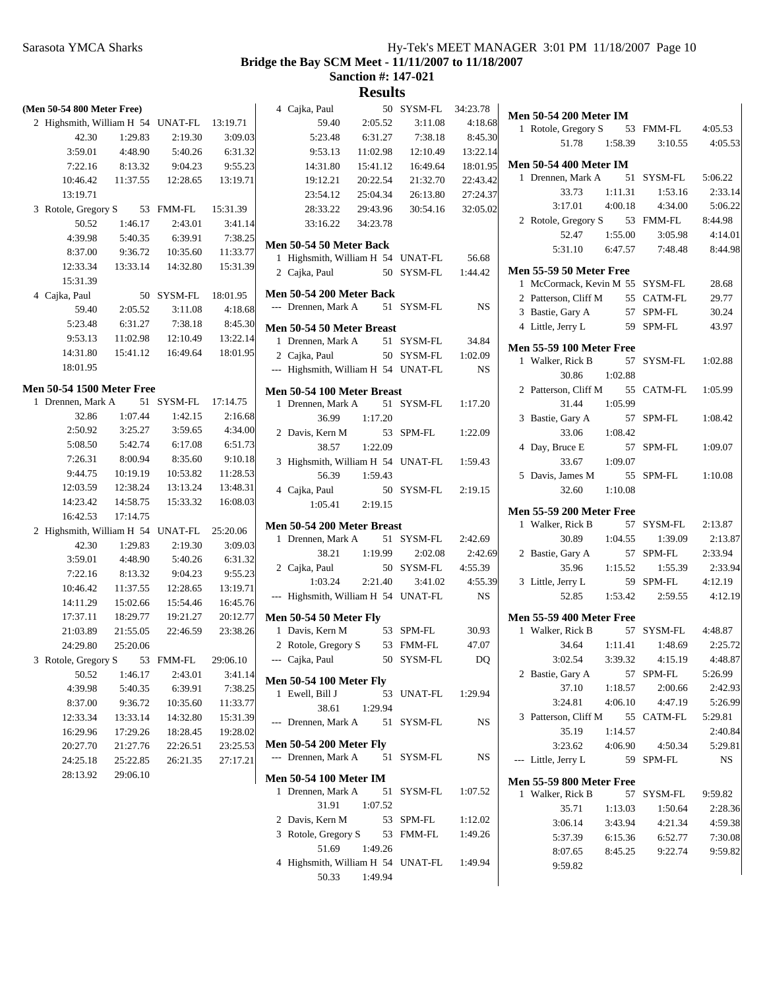4:05.53

2:33.14 5:06.22

 $4:14.01$ 8:44.98

2:13.87

2:33.94

 $4:12.19$ 

2:25.72 4:48.87

 $2:42.93$ 5:26.99

2:40.84 5:29.81

2:28.36 3:06.14 3:43.94 4:21.34 4:59.38 7:30.08 9:59.82

**Bridge the Bay SCM Meet - 11/11/2007 to 11/18/2007**

**Sanction #: 147-021**

| (Men 50-54 800 Meter Free)                 |                      |            |          | 4 Cajka, Paul                                                |          | 50 SYSM-FL | 34:23.78       | <b>Men 50-54 200 Meter IM</b>   |         |            |             |
|--------------------------------------------|----------------------|------------|----------|--------------------------------------------------------------|----------|------------|----------------|---------------------------------|---------|------------|-------------|
| 2 Highsmith, William H 54 UNAT-FL 13:19.71 |                      |            |          | 59.40                                                        | 2:05.52  | 3:11.08    | 4:18.68        | 1 Rotole, Gregory S             |         | 53 FMM-FL  | 4:05.53     |
| 42.30                                      | 1:29.83              | 2:19.30    | 3:09.03  | 5:23.48                                                      | 6:31.27  | 7:38.18    | 8:45.30        | 51.78                           | 1:58.39 | 3:10.55    | 4:05.5      |
| 3:59.01                                    | 4:48.90              | 5:40.26    | 6:31.32  | 9:53.13                                                      | 11:02.98 | 12:10.49   | 13:22.14       |                                 |         |            |             |
| 7:22.16                                    | 8:13.32              | 9:04.23    | 9:55.23  | 14:31.80                                                     | 15:41.12 | 16:49.64   | 18:01.95       | <b>Men 50-54 400 Meter IM</b>   |         |            |             |
| 10:46.42                                   | 11:37.55             | 12:28.65   | 13:19.71 | 19:12.21                                                     | 20:22.54 | 21:32.70   | 22:43.42       | 1 Drennen, Mark A               |         | 51 SYSM-FL | 5:06.22     |
| 13:19.71                                   |                      |            |          | 23:54.12                                                     | 25:04.34 | 26:13.80   | 27:24.37       | 33.73                           | 1:11.31 | 1:53.16    | 2:33.1      |
| 3 Rotole, Gregory S                        |                      | 53 FMM-FL  | 15:31.39 | 28:33.22                                                     | 29:43.96 | 30:54.16   | 32:05.02       | 3:17.01                         | 4:00.18 | 4:34.00    | 5:06.2      |
| 50.52                                      | 1:46.17              | 2:43.01    | 3:41.14  | 33:16.22                                                     | 34:23.78 |            |                | 2 Rotole, Gregory S             |         | 53 FMM-FL  | 8:44.98     |
| 4:39.98                                    | 5:40.35              | 6:39.91    | 7:38.25  |                                                              |          |            |                | 52.47                           | 1:55.00 | 3:05.98    | 4:14.0      |
| 8:37.00                                    | 9:36.72              | 10:35.60   | 11:33.77 | Men 50-54 50 Meter Back<br>1 Highsmith, William H 54 UNAT-FL |          |            |                | 5:31.10                         | 6:47.57 | 7:48.48    | 8:44.9      |
| 12:33.34                                   | 13:33.14             | 14:32.80   | 15:31.39 |                                                              |          |            | 56.68          | Men 55-59 50 Meter Free         |         |            |             |
| 15:31.39                                   |                      |            |          | 2 Cajka, Paul                                                |          | 50 SYSM-FL | 1:44.42        | 1 McCormack, Kevin M 55 SYSM-FL |         |            | 28.68       |
| 4 Cajka, Paul                              |                      | 50 SYSM-FL | 18:01.95 | <b>Men 50-54 200 Meter Back</b>                              |          |            |                | 2 Patterson, Cliff M            |         | 55 CATM-FL | 29.77       |
| 59.40                                      | 2:05.52              | 3:11.08    | 4:18.68  | --- Drennen, Mark A                                          |          | 51 SYSM-FL | <b>NS</b>      | 3 Bastie, Gary A                |         | 57 SPM-FL  | 30.24       |
| 5:23.48                                    | 6:31.27              | 7:38.18    | 8:45.30  | Men 50-54 50 Meter Breast                                    |          |            |                | 4 Little, Jerry L               |         | 59 SPM-FL  | 43.97       |
| 9:53.13                                    | 11:02.98             | 12:10.49   | 13:22.14 | 1 Drennen, Mark A                                            |          | 51 SYSM-FL | 34.84          |                                 |         |            |             |
| 14:31.80                                   | 15:41.12             | 16:49.64   | 18:01.95 | 2 Cajka, Paul                                                |          | 50 SYSM-FL | 1:02.09        | <b>Men 55-59 100 Meter Free</b> |         |            |             |
| 18:01.95                                   |                      |            |          |                                                              |          |            |                | 1 Walker, Rick B                |         | 57 SYSM-FL | 1:02.88     |
|                                            |                      |            |          | --- Highsmith, William H 54 UNAT-FL                          |          |            | NS             | 30.86                           | 1:02.88 |            |             |
| <b>Men 50-54 1500 Meter Free</b>           |                      |            |          | Men 50-54 100 Meter Breast                                   |          |            |                | 2 Patterson, Cliff M            |         | 55 CATM-FL | 1:05.99     |
| 1 Drennen, Mark A                          |                      | 51 SYSM-FL | 17:14.75 | 1 Drennen, Mark A                                            |          | 51 SYSM-FL | 1:17.20        | 31.44                           | 1:05.99 |            |             |
| 32.86                                      | 1:07.44              | 1:42.15    | 2:16.68  | 36.99                                                        | 1:17.20  |            |                | 3 Bastie, Gary A                |         | 57 SPM-FL  | 1:08.42     |
| 2:50.92                                    | 3:25.27              | 3:59.65    | 4:34.00  | 2 Davis, Kern M                                              |          | 53 SPM-FL  | 1:22.09        | 33.06                           | 1:08.42 |            |             |
| 5:08.50                                    | 5:42.74              | 6:17.08    | 6:51.73  | 38.57                                                        | 1:22.09  |            |                | 4 Day, Bruce E                  |         | 57 SPM-FL  | 1:09.07     |
| 7:26.31                                    | 8:00.94              | 8:35.60    | 9:10.18  | 3 Highsmith, William H 54 UNAT-FL                            |          |            | 1:59.43        | 33.67                           | 1:09.07 |            |             |
| 9:44.75                                    | 10:19.19             | 10:53.82   | 11:28.53 | 56.39                                                        | 1:59.43  |            |                | 5 Davis, James M                |         | 55 SPM-FL  | 1:10.08     |
| 12:03.59                                   | 12:38.24             | 13:13.24   | 13:48.31 |                                                              |          |            |                |                                 |         |            |             |
|                                            |                      |            |          | 4 Cajka, Paul                                                |          | 50 SYSM-FL | 2:19.15        | 32.60                           | 1:10.08 |            |             |
| 14:23.42                                   | 14:58.75             | 15:33.32   | 16:08.03 | 1:05.41                                                      | 2:19.15  |            |                |                                 |         |            |             |
| 16:42.53                                   | 17:14.75             |            |          |                                                              |          |            |                | <b>Men 55-59 200 Meter Free</b> |         |            |             |
| 2 Highsmith, William H 54 UNAT-FL          |                      |            | 25:20.06 | Men 50-54 200 Meter Breast                                   |          |            |                | 1 Walker, Rick B                |         | 57 SYSM-FL | 2:13.87     |
| 42.30                                      | 1:29.83              | 2:19.30    | 3:09.03  | 1 Drennen, Mark A                                            |          | 51 SYSM-FL | 2:42.69        | 30.89                           | 1:04.55 | 1:39.09    | 2:13.8      |
| 3:59.01                                    | 4:48.90              | 5:40.26    | 6:31.32  | 38.21                                                        | 1:19.99  | 2:02.08    | 2:42.69        | 2 Bastie, Gary A                |         | 57 SPM-FL  | 2:33.94     |
| 7:22.16                                    | 8:13.32              | 9:04.23    | 9:55.23  | 2 Cajka, Paul                                                |          | 50 SYSM-FL | 4:55.39        | 35.96                           | 1:15.52 | 1:55.39    | 2:33.9      |
| 10:46.42                                   | 11:37.55             | 12:28.65   | 13:19.71 | 1:03.24                                                      | 2:21.40  | 3:41.02    | 4:55.39        | 3 Little, Jerry L               |         | 59 SPM-FL  | 4:12.19     |
| 14:11.29                                   | 15:02.66             | 15:54.46   | 16:45.76 | --- Highsmith, William H 54 UNAT-FL                          |          |            | <b>NS</b>      | 52.85                           | 1:53.42 | 2:59.55    | 4:12.1      |
| 17:37.11                                   | 18:29.77             | 19:21.27   | 20:12.77 | <b>Men 50-54 50 Meter Fly</b>                                |          |            |                | <b>Men 55-59 400 Meter Free</b> |         |            |             |
| 21:03.89                                   | 21:55.05             | 22:46.59   | 23:38.26 | 1 Davis, Kern M                                              |          | 53 SPM-FL  | 30.93          | 1 Walker, Rick B                |         | 57 SYSM-FL | 4:48.87     |
| 24:29.80                                   | 25:20.06             |            |          | 2 Rotole, Gregory S                                          |          | 53 FMM-FL  | 47.07          | 34.64                           | 1:11.41 | 1:48.69    | 2:25.7      |
| 3 Rotole, Gregory S                        |                      | 53 FMM-FL  | 29:06.10 | --- Cajka, Paul                                              |          | 50 SYSM-FL | D <sub>O</sub> | 3:02.54                         | 3:39.32 | 4:15.19    | 4:48.8      |
| 50.52                                      | 1:46.17              | 2:43.01    | 3:41.14  |                                                              |          |            |                | 2 Bastie, Gary A                |         | 57 SPM-FL  | 5:26.99     |
| 4:39.98                                    | 5:40.35              | 6:39.91    | 7:38.25  | <b>Men 50-54 100 Meter Fly</b>                               |          |            |                | 37.10                           | 1:18.57 | 2:00.66    | 2:42.9      |
| 8:37.00                                    | 9:36.72              | 10:35.60   | 11:33.77 | 1 Ewell, Bill J                                              |          | 53 UNAT-FL | 1:29.94        | 3:24.81                         | 4:06.10 | 4:47.19    | 5:26.9      |
| 12:33.34                                   | 13:33.14             | 14:32.80   | 15:31.39 | 38.61                                                        | 1:29.94  |            |                | 3 Patterson, Cliff M            |         | 55 CATM-FL | 5:29.81     |
| 16:29.96                                   | 17:29.26             | 18:28.45   | 19:28.02 | --- Drennen, Mark A                                          |          | 51 SYSM-FL | <b>NS</b>      | 35.19                           | 1:14.57 |            | 2:40.8      |
| 20:27.70                                   | 21:27.76             | 22:26.51   | 23:25.53 | <b>Men 50-54 200 Meter Fly</b>                               |          |            |                | 3:23.62                         | 4:06.90 | 4:50.34    | 5:29.8      |
| 24:25.18                                   |                      | 26:21.35   | 27:17.21 | --- Drennen, Mark A                                          |          | 51 SYSM-FL | NS             | --- Little, Jerry L             |         | 59 SPM-FL  | $_{\rm NS}$ |
| 28:13.92                                   | 25:22.85<br>29:06.10 |            |          |                                                              |          |            |                |                                 |         |            |             |
|                                            |                      |            |          | <b>Men 50-54 100 Meter IM</b>                                |          |            |                | <b>Men 55-59 800 Meter Free</b> |         |            |             |
|                                            |                      |            |          | 1 Drennen, Mark A                                            |          | 51 SYSM-FL | 1:07.52        | 1 Walker, Rick B                |         | 57 SYSM-FL | 9:59.82     |
|                                            |                      |            |          | 31.91                                                        | 1:07.52  |            |                | 35.71                           | 1:13.03 | 1:50.64    | 2:28.3      |
|                                            |                      |            |          | 2 Davis, Kern M                                              |          | 53 SPM-FL  | 1:12.02        | 3:06.14                         | 3:43.94 | 4:21.34    | 4:59.3      |
|                                            |                      |            |          | 3 Rotole, Gregory S                                          |          | 53 FMM-FL  | 1:49.26        | 5:37.39                         | 6:15.36 | 6:52.77    | 7:30.0      |
|                                            |                      |            |          | 51.69                                                        | 1:49.26  |            |                | 8:07.65                         | 8:45.25 | 9:22.74    | 9:59.8      |
|                                            |                      |            |          | 4 Highsmith, William H 54 UNAT-FL<br>50.33                   | 1:49.94  |            | 1:49.94        | 9:59.82                         |         |            |             |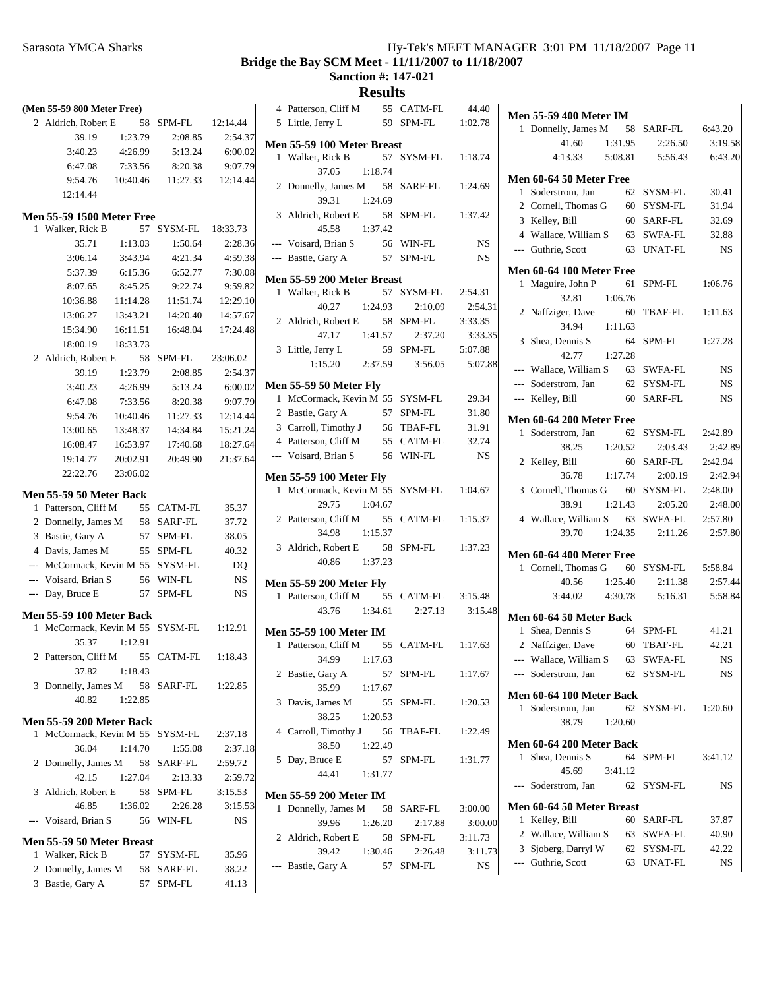|   | (Men 55-59 800 Meter Free)                           |          |                                        |          |
|---|------------------------------------------------------|----------|----------------------------------------|----------|
|   | 2 Aldrich, Robert E 58 SPM-FL 12:14.44               |          |                                        |          |
|   | 39.19                                                |          | 1:23.79  2:08.85  2:54.37              |          |
|   | 3:40.23                                              |          | 4:26.99 5:13.24                        | 6:00.02  |
|   | 6:47.08                                              | 7:33.56  | 8:20.38                                | 9:07.79  |
|   | 9:54.76                                              |          | 10:40.46  11:27.33  12:14.44           |          |
|   | 12:14.44                                             |          |                                        |          |
|   |                                                      |          |                                        |          |
|   | <b>Men 55-59 1500 Meter Free</b><br>1 Walker, Rick B |          | 57 SYSM-FL 18:33.73                    |          |
|   | 35.71                                                |          | $1:13.03$ $1:50.64$ $2:28.36$          |          |
|   | 3:06.14                                              |          | 3:43.94 4:21.34 4:59.38                |          |
|   | 5:37.39                                              |          | 6:15.36 6:52.77                        | 7:30.08  |
|   | 8:07.65                                              | 8:45.25  | 9:22.74                                | 9:59.82  |
|   | 10:36.88                                             | 11:14.28 | 11:51.74                               | 12:29.10 |
|   | 13:06.27                                             | 13:43.21 | 14:20.40                               | 14:57.67 |
|   | 15:34.90                                             | 16:11.51 | 16:48.04                               | 17:24.48 |
|   | 18:00.19                                             | 18:33.73 |                                        |          |
|   | 2 Aldrich, Robert E 58 SPM-FL 23:06.02               |          |                                        |          |
|   | 39.19                                                | 1:23.79  | 2:08.85                                | 2:54.37  |
|   |                                                      |          | 3:40.23 4:26.99 5:13.24 6:00.02        |          |
|   |                                                      |          | 6:47.08 7:33.56 8:20.38 9:07.79        |          |
|   |                                                      |          | 9:54.76  10:40.46  11:27.33  12:14.44  |          |
|   |                                                      |          | 13:00.65 13:48.37 14:34.84 15:21.24    |          |
|   |                                                      |          | 16:08.47  16:53.97  17:40.68  18:27.64 |          |
|   | 19:14.77 20:02.91                                    |          | 20:49.90 21:37.64                      |          |
|   | 22:22.76 23:06.02                                    |          |                                        |          |
|   |                                                      |          |                                        |          |
|   | <b>Men 55-59 50 Meter Back</b>                       |          |                                        |          |
|   | 1 Patterson, Cliff M                                 |          | 55 CATM-FL 35.37                       |          |
|   | 2 Donnelly, James M 58 SARF-FL 37.72                 |          |                                        |          |
|   | 3 Bastie, Gary A 57 SPM-FL                           |          |                                        | 38.05    |
|   | 4 Davis, James M 55 SPM-FL 40.32                     |          |                                        |          |
|   | --- McCormack, Kevin M 55 SYSM-FL DQ                 |          |                                        |          |
|   | --- Voisard, Brian S 56 WIN-FL                       |          |                                        | NS       |
|   | --- Day, Bruce E                                     |          | 57 SPM-FL                              | NS       |
|   | <b>Men 55-59 100 Meter Back</b>                      |          |                                        |          |
|   | 1 McCormack, Kevin M 55 SYSM-FL 1:12.91              |          |                                        |          |
|   | 35.37                                                | 1:12.91  |                                        |          |
|   | 2 Patterson, Cliff M                                 |          | 55 CATM-FL 1:18.43                     |          |
|   | 37.82 1:18.43                                        |          |                                        |          |
|   | 3 Donnelly, James M 58 SARF-FL 1:22.85               |          |                                        |          |
|   | 40.82                                                | 1:22.85  |                                        |          |
|   | <b>Men 55-59 200 Meter Back</b>                      |          |                                        |          |
| 1 | McCormack, Kevin M 55 SYSM-FL                        |          |                                        | 2:37.18  |
|   | 36.04                                                | 1:14.70  | 1:55.08                                | 2:37.18  |
| 2 | Donnelly, James M 58 SARF-FL                         |          |                                        | 2:59.72  |
|   | 42.15                                                | 1:27.04  | 2:13.33                                | 2:59.72  |
|   | 3 Aldrich, Robert E 58                               |          | SPM-FL                                 | 3:15.53  |
|   | 46.85                                                | 1:36.02  | 2:26.28                                | 3:15.53  |
|   | --- Voisard, Brian S 56 WIN-FL                       |          |                                        | NS       |
|   |                                                      |          |                                        |          |
|   | Men 55-59 50 Meter Breast                            |          |                                        |          |
|   | 1 Walker, Rick B                                     |          | 57 SYSM-FL                             | 35.96    |
|   | 2 Donnelly, James M 58 SARF-FL                       |          |                                        | 38.22    |
|   | 3 Bastie, Gary A                                     |          | 57 SPM-FL                              | 41.13    |

|   | 4 Patterson, Cliff M            |         | 55 CATM-FL       | 44.40     |
|---|---------------------------------|---------|------------------|-----------|
|   | 5 Little, Jerry L               |         | 59 SPM-FL        | 1:02.78   |
|   | Men 55-59 100 Meter Breast      |         |                  |           |
|   | 1 Walker, Rick B                | 57      | SYSM-FL 1:18.74  |           |
|   | 37.05<br>1:18.74                |         |                  |           |
|   | 2 Donnelly, James M 58 SARF-FL  |         |                  | 1:24.69   |
|   | 39.31                           |         |                  |           |
|   | 3 Aldrich, Robert E             | 1:24.69 | 58 SPM-FL        | 1:37.42   |
|   | 45.58                           | 1:37.42 |                  |           |
|   | --- Voisard, Brian S            |         | 56 WIN-FL        |           |
|   |                                 |         | 57 SPM-FL        | <b>NS</b> |
|   | --- Bastie, Gary A              |         |                  | <b>NS</b> |
|   | Men 55-59 200 Meter Breast      |         |                  |           |
|   | 1 Walker, Rick B                |         | 57 SYSM-FL       | 2:54.31   |
|   | 40.27<br>1:24.93                |         | 2:10.09          | 2:54.31   |
|   | 2 Aldrich, Robert E             | 58      | SPM-FL           | 3:33.35   |
|   | 47.17<br>1:41.57                |         | 2:37.20          | 3:33.35   |
|   | 3 Little, Jerry L               | 59      | SPM-FL           | 5:07.88   |
|   | 1:15.20 2:37.59                 |         | 3:56.05          | 5:07.88   |
|   | <b>Men 55-59 50 Meter Fly</b>   |         |                  |           |
|   | 1 McCormack, Kevin M 55 SYSM-FL |         |                  | 29.34     |
|   | 2 Bastie, Gary A                |         | 57 SPM-FL        | 31.80     |
|   | 3 Carroll, Timothy J            |         | 56 TBAF-FL       | 31.91     |
|   | 4 Patterson, Cliff M            |         | 55 CATM-FL 32.74 |           |
|   | --- Voisard, Brian S            |         | 56 WIN-FL        | <b>NS</b> |
|   |                                 |         |                  |           |
|   | <b>Men 55-59 100 Meter Fly</b>  |         |                  |           |
|   | 1 McCormack, Kevin M 55 SYSM-FL |         |                  | 1:04.67   |
|   | 29.75<br>1:04.67                |         |                  |           |
|   | 2 Patterson, Cliff M            |         | 55 CATM-FL       | 1:15.37   |
|   | 34.98<br>1:15.37                |         |                  |           |
|   | 3 Aldrich, Robert E 58          |         | SPM-FL           | 1:37.23   |
|   | 40.86 1:37.23                   |         |                  |           |
|   | <b>Men 55-59 200 Meter Fly</b>  |         |                  |           |
|   | 1 Patterson, Cliff M 55 CATM-FL |         |                  | 3:15.48   |
|   | 43.76 1:34.61                   |         | 2:27.13          | 3:15.48   |
|   | <b>Men 55-59 100 Meter IM</b>   |         |                  |           |
|   | 1 Patterson, Cliff M            |         | 55 CATM-FL       | 1:17.63   |
|   | 34.99<br>1:17.63                |         |                  |           |
|   | 2 Bastie, Gary A                | 57      | SPM-FL           | 1:17.67   |
|   | 35.99 1:17.67                   |         |                  |           |
| 3 | Davis, James M                  | 55      | SPM-FL           | 1:20.53   |
|   | 38.25                           | 1:20.53 |                  |           |
|   | 4 Carroll, Timothy J 56 TBAF-FL |         |                  | 1:22.49   |
|   | 38.50<br>1:22.49                |         |                  |           |
|   | 5 Day, Bruce E                  |         | 57 SPM-FL        | 1:31.77   |
|   | 44.41                           | 1:31.77 |                  |           |
|   |                                 |         |                  |           |
|   | <b>Men 55-59 200 Meter IM</b>   |         |                  |           |
| 1 | Donnelly, James M               |         | 58 SARF-FL       | 3:00.00   |
|   | 39.96                           | 1:26.20 | 2:17.88          | 3:00.00   |
|   | 2 Aldrich, Robert E             | 58      | SPM-FL           | 3:11.73   |
|   | 39.42<br>1:30.46                |         | 2:26.48          | 3:11.73   |
|   | --- Bastie, Gary A              | 57      | SPM-FL           | NS        |

| <b>Men 55-59 400 Meter IM</b>                           |    |                     |           |
|---------------------------------------------------------|----|---------------------|-----------|
| 1 Donnelly, James M 58 SARF-FL 6:43.20                  |    |                     |           |
| 1:31.95<br>41.60                                        |    | 2:26.50             | 3:19.58   |
| $4:13.33$ $5:08.81$ $5:56.43$                           |    |                     | 6:43.20   |
| Men 60-64 50 Meter Free                                 |    |                     |           |
| Soderstrom, Jan<br>1                                    |    | 62 SYSM-FL          | 30.41     |
| 2 Cornell, Thomas G                                     |    | 60 SYSM-FL          | 31.94     |
| 3 Kelley, Bill                                          |    | 60 SARF-FL          | 32.69     |
| 4 Wallace, William S                                    |    | 63 SWFA-FL          | 32.88     |
| --- Guthrie, Scott                                      |    | 63 UNAT-FL          | <b>NS</b> |
|                                                         |    |                     |           |
| Men 60-64 100 Meter Free<br>1 Maguire, John P 61 SPM-FL |    |                     | 1:06.76   |
| 32.81<br>1:06.76                                        |    |                     |           |
| 2 Naffziger, Dave 60 TBAF-FL                            |    |                     | 1:11.63   |
| 34.94 1:11.63                                           |    |                     |           |
| 3 Shea, Dennis S                                        |    | 64 SPM-FL           | 1:27.28   |
| 42.77<br>1:27.28                                        |    |                     |           |
| --- Wallace, William S 63 SWFA-FL                       |    |                     | <b>NS</b> |
| --- Soderstrom, Jan                                     |    | 62 SYSM-FL          | <b>NS</b> |
| --- Kelley, Bill                                        |    | 60 SARF-FL          | <b>NS</b> |
| Men 60-64 200 Meter Free                                |    |                     |           |
| 1 Soderstrom, Jan 62 SYSM-FL                            |    |                     | 2:42.89   |
| 38.25 1:20.52 2:03.43                                   |    |                     | 2:42.89   |
| 2 Kelley, Bill                                          |    | 60 SARF-FL          | 2:42.94   |
| 36.78                                                   |    | 1:17.74 2:00.19     | 2:42.94   |
| 3 Cornell, Thomas G 60 SYSM-FL                          |    |                     | 2:48.00   |
| 38.91                                                   |    | $1:21.43$ $2:05.20$ | 2:48.00   |
| 4 Wallace, William S 63 SWFA-FL                         |    |                     | 2:57.80   |
| 39.70 1:24.35 2:11.26                                   |    |                     | 2:57.80   |
| Men 60-64 400 Meter Free                                |    |                     |           |
| 1 Cornell, Thomas G 60 SYSM-FL                          |    |                     | 5:58.84   |
| 40.56 1:25.40 2:11.38                                   |    |                     | 2:57.44   |
| 3:44.02 4:30.78                                         |    | 5:16.31             | 5:58.84   |
|                                                         |    |                     |           |
| Men 60-64 50 Meter Back<br>1 Shea, Dennis S             |    | 64 SPM-FL           | 41.21     |
| 2 Naffziger, Dave 60 TBAF-FL 42.21                      |    |                     |           |
| --- Wallace, William S 63 SWFA-FL NS                    |    |                     |           |
| Soderstrom, Jan<br>$\overline{a}$                       |    | 62 SYSM-FL          | NS        |
|                                                         |    |                     |           |
| Men 60-64 100 Meter Back                                |    |                     |           |
| Soderstrom, Jan<br>1                                    | 62 | SYSM-FL             | 1:20.60   |
| 38.79<br>1:20.60                                        |    |                     |           |
| Men 60-64 200 Meter Back                                |    |                     |           |
| Shea, Dennis S<br>1                                     | 64 | SPM-FL              | 3:41.12   |
| 45.69<br>3:41.12                                        |    |                     |           |
| Soderstrom, Jan<br>$---$                                |    | 62 SYSM-FL          | NS        |
| Men 60-64 50 Meter Breast                               |    |                     |           |
| Kelley, Bill<br>1                                       |    | 60 SARF-FL          | 37.87     |
| 2 Wallace, William S                                    |    | 63 SWFA-FL          | 40.90     |
| 3 Sjoberg, Darryl W                                     |    | 62 SYSM-FL          | 42.22     |
| --- Guthrie, Scott                                      |    | 63 UNAT-FL          | NS        |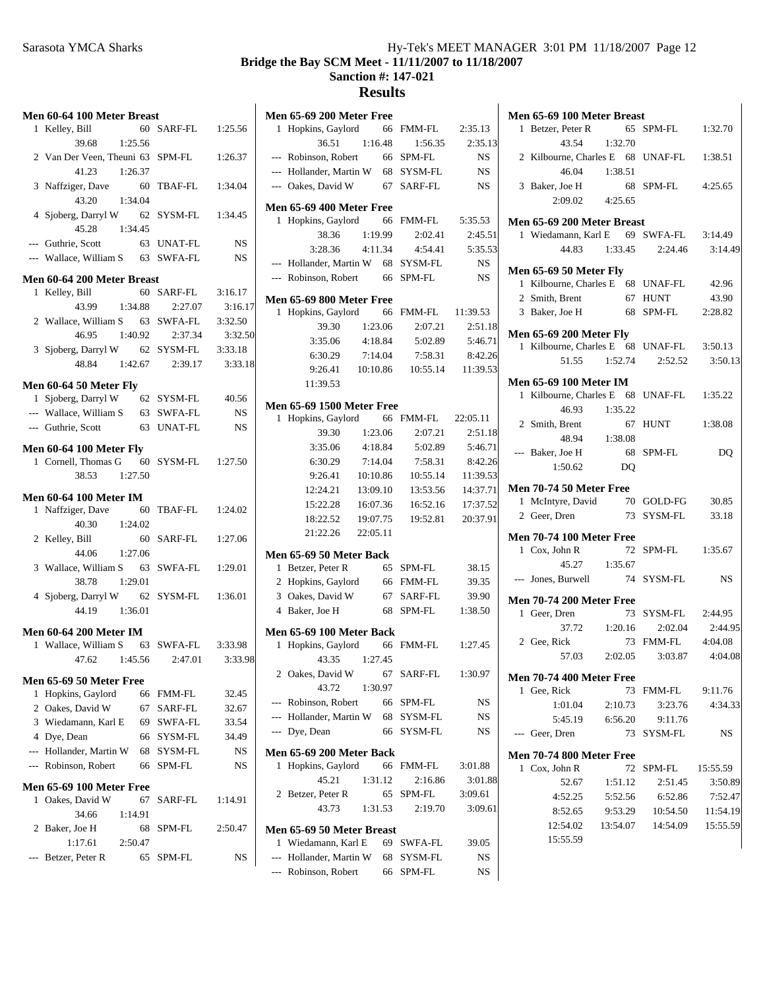# Sarasota YMCA Sharks Hy-Tek's MEET MANAGER 3:01 PM 11/18/2007 Page 12 **Bridge the Bay SCM Meet - 11/11/2007 to 11/18/2007 Sanction #: 147-021 Results**

# **Men 60-64 100 Meter Breast** 1 Kelley, Bill 60 SARF-FL 1:25.56 39.68 1:25.56 2 Van Der Veen, Theuni 63 SPM-FL 1:26.37 41.23 1:26.37 3 Naffziger, Dave 60 TBAF-FL 1:34.04 43.20 1:34.04 4 Sjoberg, Darryl W 62 SYSM-FL 1:34.45 45.28 1:34.45 --- Guthrie, Scott 63 UNAT-FL NS --- Wallace, William S 63 SWFA-FL NS **Men 60-64 200 Meter Breast** 1 3:16.17 Kelley, Bill 60 SARF-FL 43.99 1:34.88 2:27.07 3:16.17 2 Wallace, William S 63 SWFA-FL 3:32.50 46.95 1:40.92 3:32.50 2:37.34 3 3:33.18 Sjoberg, Darryl W 62 SYSM-FL 48.84 1:42.67 3:33.18 2:39.17 **Men 60-64 50 Meter Fly** 1 Sjoberg, Darryl W 62 SYSM-FL 40.56 --- Wallace, William S 63 SWFA-FL NS --- Guthrie, Scott 63 UNAT-FL NS **Men 60-64 100 Meter Fly** 1 Cornell, Thomas G 60 SYSM-FL 1:27.50 38.53 1:27.50 **Men 60-64 100 Meter IM** 1 Naffziger, Dave 60 TBAF-FL 1:24.02 40.30 1:24.02 2 Kelley, Bill 60 SARF-FL 1:27.06 44.06 1:27.06 3 Wallace, William S 63 SWFA-FL 1:29.01 38.78 1:29.01 4 Sjoberg, Darryl W 62 SYSM-FL 1:36.01 44.19 1:36.01 **Men 60-64 200 Meter IM** 1 Wallace, William S 63 SWFA-FL 3:33.98 47.62 1:45.56 3:33.98 2:47.01 **Men 65-69 50 Meter Free**<br>1 Hopkins, Gaylord 66 FMM-FL 1 32.45 Hopkins, Gaylord 66 FMM-FL 2 Oakes, David W 67 SARF-FL 32.67 3 Wiedamann, Karl E 69 SWFA-FL 33.54 4 34.49 Dye, Dean 66 SYSM-FL --- Hollander, Martin W 68 SYSM-FL NS --- Robinson, Robert 66 SPM-FL NS **Men 65-69 100 Meter Free** 1 Oakes, David W 67 SARF-FL 1:14.91 34.66 1:14.91 2 Baker, Joe H 68 SPM-FL 2:50.47 1:17.61 2:50.47 --- Betzer, Peter R 65 SPM-FL NS

|   | <b>Men 65-69 200 Meter Free</b>  |          |     |               |                   |
|---|----------------------------------|----------|-----|---------------|-------------------|
|   | 1 Hopkins, Gaylord 66            |          |     | FMM-FL        | 2:35.13           |
|   | 36.51                            | 1:16.48  |     | 1:56.35       | 2:35.13           |
|   | --- Robinson, Robert             | 66       |     | SPM-FL        | <b>NS</b>         |
|   | --- Hollander, Martin W 68       |          |     | SYSM-FL       | <b>NS</b>         |
|   | --- Oakes, David W               |          | 67  | SARF-FL       | NS                |
|   | Men 65-69 400 Meter Free         |          |     |               |                   |
|   | 1 Hopkins, Gaylord 66            |          |     | FMM-FL        | 5:35.53           |
|   | 38.36                            | 1:19.99  |     | 2:02.41       | 2:45.51           |
|   | 3:28.36                          | 4:11.34  |     | 4:54.41       | 5:35.53           |
|   | --- Hollander, Martin W 68       |          |     | SYSM-FL       | <b>NS</b>         |
|   | --- Robinson, Robert             |          | -66 | SPM-FL        | <b>NS</b>         |
|   | <b>Men 65-69 800 Meter Free</b>  |          |     |               |                   |
|   | 1 Hopkins, Gaylord               |          | 66  | FMM-FL        | 11:39.53          |
|   | 39.30                            | 1:23.06  |     | 2:07.21       | 2:51.18           |
|   | 3:35.06                          | 4:18.84  |     | 5:02.89       | 5:46.71           |
|   | 6:30.29                          | 7:14.04  |     | 7:58.31       | 8:42.26           |
|   | 9:26.41                          | 10:10.86 |     |               | 10:55.14 11:39.53 |
|   | 11:39.53                         |          |     |               |                   |
|   | <b>Men 65-69 1500 Meter Free</b> |          |     |               |                   |
|   | 1 Hopkins, Gaylord               |          | 66  | FMM-FL        | 22:05.11          |
|   | 39.30                            | 1:23.06  |     | 2:07.21       | 2:51.18           |
|   | 3:35.06                          | 4:18.84  |     | 5:02.89       | 5:46.71           |
|   | 6:30.29                          | 7:14.04  |     | 7:58.31       | 8:42.26           |
|   | 9:26.41                          | 10:10.86 |     | 10:55.14      | 11:39.53          |
|   | 12:24.21                         | 13:09.10 |     | 13:53.56      | 14:37.71          |
|   | 15:22.28                         | 16:07.36 |     | 16:52.16      | 17:37.52          |
|   | 18:22.52                         | 19:07.75 |     | 19:52.81      | 20:37.91          |
|   | 21:22.26                         | 22:05.11 |     |               |                   |
|   | Men 65-69 50 Meter Back          |          |     |               |                   |
| 1 | Betzer, Peter R                  |          | 65  | SPM-FL        | 38.15             |
|   | 2 Hopkins, Gaylord 66            |          |     | FMM-FL        | 39.35             |
|   | 3 Oakes, David W                 |          | 67  | SARF-FL       | 39.90             |
|   | 4 Baker, Joe H                   |          | 68  | SPM-FL        | 1:38.50           |
|   | Men 65-69 100 Meter Back         |          |     |               |                   |
|   | 1 Hopkins, Gaylord 66            |          |     | FMM-FL        | 1:27.45           |
|   | 43.35                            | 1:27.45  |     |               |                   |
|   | 2 Oakes, David W                 |          | 67  | SARF-FL       | 1:30.97           |
|   | 43.72                            | 1:30.97  |     |               |                   |
|   | --- Robinson, Robert             |          |     | 66 SPM-FL     | NS                |
|   | --- Hollander, Martin W 68       |          |     | SYSM-FL       | NS                |
|   | --- Dye, Dean                    |          | 66  | SYSM-FL       | NS                |
|   | Men 65-69 200 Meter Back         |          |     |               |                   |
| 1 | Hopkins, Gaylord 66              |          |     | <b>FMM-FL</b> | 3:01.88           |
|   | 45.21                            | 1:31.12  |     | 2:16.86       | 3:01.88           |
|   | 2 Betzer, Peter R                |          | 65  | SPM-FL        | 3:09.61           |
|   | 43.73                            | 1:31.53  |     | 2:19.70       | 3:09.61           |
|   | Men 65-69 50 Meter Breast        |          |     |               |                   |
| 1 | Wiedamann, Karl E                |          |     | 69 SWFA-FL    | 39.05             |
|   | --- Hollander, Martin W          |          | 68  | SYSM-FL       | NS                |
|   | --- Robinson, Robert             |          |     | 66 SPM-FL     | NS                |

|                      |                                                                                                                                      |                                                                                                                                                                                                                                                                                                                                                                            | 3:14.49                                                                                                                                                                                                                                                                                                                                                                                                                                                                                                                                                                                                                                                                                |
|----------------------|--------------------------------------------------------------------------------------------------------------------------------------|----------------------------------------------------------------------------------------------------------------------------------------------------------------------------------------------------------------------------------------------------------------------------------------------------------------------------------------------------------------------------|----------------------------------------------------------------------------------------------------------------------------------------------------------------------------------------------------------------------------------------------------------------------------------------------------------------------------------------------------------------------------------------------------------------------------------------------------------------------------------------------------------------------------------------------------------------------------------------------------------------------------------------------------------------------------------------|
|                      |                                                                                                                                      |                                                                                                                                                                                                                                                                                                                                                                            |                                                                                                                                                                                                                                                                                                                                                                                                                                                                                                                                                                                                                                                                                        |
|                      |                                                                                                                                      |                                                                                                                                                                                                                                                                                                                                                                            | 42.96                                                                                                                                                                                                                                                                                                                                                                                                                                                                                                                                                                                                                                                                                  |
|                      |                                                                                                                                      |                                                                                                                                                                                                                                                                                                                                                                            | 43.90                                                                                                                                                                                                                                                                                                                                                                                                                                                                                                                                                                                                                                                                                  |
|                      |                                                                                                                                      |                                                                                                                                                                                                                                                                                                                                                                            | 2:28.82                                                                                                                                                                                                                                                                                                                                                                                                                                                                                                                                                                                                                                                                                |
|                      |                                                                                                                                      |                                                                                                                                                                                                                                                                                                                                                                            |                                                                                                                                                                                                                                                                                                                                                                                                                                                                                                                                                                                                                                                                                        |
|                      |                                                                                                                                      |                                                                                                                                                                                                                                                                                                                                                                            |                                                                                                                                                                                                                                                                                                                                                                                                                                                                                                                                                                                                                                                                                        |
|                      |                                                                                                                                      |                                                                                                                                                                                                                                                                                                                                                                            | 3:50.13                                                                                                                                                                                                                                                                                                                                                                                                                                                                                                                                                                                                                                                                                |
|                      |                                                                                                                                      |                                                                                                                                                                                                                                                                                                                                                                            | 3:50.13                                                                                                                                                                                                                                                                                                                                                                                                                                                                                                                                                                                                                                                                                |
|                      |                                                                                                                                      |                                                                                                                                                                                                                                                                                                                                                                            |                                                                                                                                                                                                                                                                                                                                                                                                                                                                                                                                                                                                                                                                                        |
|                      |                                                                                                                                      |                                                                                                                                                                                                                                                                                                                                                                            |                                                                                                                                                                                                                                                                                                                                                                                                                                                                                                                                                                                                                                                                                        |
|                      |                                                                                                                                      |                                                                                                                                                                                                                                                                                                                                                                            |                                                                                                                                                                                                                                                                                                                                                                                                                                                                                                                                                                                                                                                                                        |
| 2 Smith, Brent       |                                                                                                                                      |                                                                                                                                                                                                                                                                                                                                                                            | 1:38.08                                                                                                                                                                                                                                                                                                                                                                                                                                                                                                                                                                                                                                                                                |
| 48.94                |                                                                                                                                      |                                                                                                                                                                                                                                                                                                                                                                            |                                                                                                                                                                                                                                                                                                                                                                                                                                                                                                                                                                                                                                                                                        |
| --- Baker, Joe H     |                                                                                                                                      |                                                                                                                                                                                                                                                                                                                                                                            | DQ                                                                                                                                                                                                                                                                                                                                                                                                                                                                                                                                                                                                                                                                                     |
| 1:50.62              | D <sub>O</sub>                                                                                                                       |                                                                                                                                                                                                                                                                                                                                                                            |                                                                                                                                                                                                                                                                                                                                                                                                                                                                                                                                                                                                                                                                                        |
|                      |                                                                                                                                      |                                                                                                                                                                                                                                                                                                                                                                            |                                                                                                                                                                                                                                                                                                                                                                                                                                                                                                                                                                                                                                                                                        |
|                      |                                                                                                                                      |                                                                                                                                                                                                                                                                                                                                                                            |                                                                                                                                                                                                                                                                                                                                                                                                                                                                                                                                                                                                                                                                                        |
|                      |                                                                                                                                      |                                                                                                                                                                                                                                                                                                                                                                            |                                                                                                                                                                                                                                                                                                                                                                                                                                                                                                                                                                                                                                                                                        |
|                      |                                                                                                                                      |                                                                                                                                                                                                                                                                                                                                                                            |                                                                                                                                                                                                                                                                                                                                                                                                                                                                                                                                                                                                                                                                                        |
|                      |                                                                                                                                      |                                                                                                                                                                                                                                                                                                                                                                            |                                                                                                                                                                                                                                                                                                                                                                                                                                                                                                                                                                                                                                                                                        |
|                      |                                                                                                                                      |                                                                                                                                                                                                                                                                                                                                                                            | 1:35.67                                                                                                                                                                                                                                                                                                                                                                                                                                                                                                                                                                                                                                                                                |
|                      |                                                                                                                                      |                                                                                                                                                                                                                                                                                                                                                                            |                                                                                                                                                                                                                                                                                                                                                                                                                                                                                                                                                                                                                                                                                        |
|                      |                                                                                                                                      |                                                                                                                                                                                                                                                                                                                                                                            | NS                                                                                                                                                                                                                                                                                                                                                                                                                                                                                                                                                                                                                                                                                     |
|                      |                                                                                                                                      |                                                                                                                                                                                                                                                                                                                                                                            |                                                                                                                                                                                                                                                                                                                                                                                                                                                                                                                                                                                                                                                                                        |
| 1 Geer, Dren         |                                                                                                                                      |                                                                                                                                                                                                                                                                                                                                                                            |                                                                                                                                                                                                                                                                                                                                                                                                                                                                                                                                                                                                                                                                                        |
|                      |                                                                                                                                      |                                                                                                                                                                                                                                                                                                                                                                            | 2:44.95                                                                                                                                                                                                                                                                                                                                                                                                                                                                                                                                                                                                                                                                                |
| 2 Gee, Rick          |                                                                                                                                      |                                                                                                                                                                                                                                                                                                                                                                            |                                                                                                                                                                                                                                                                                                                                                                                                                                                                                                                                                                                                                                                                                        |
| 57.03                | 2:02.05                                                                                                                              | 3:03.87                                                                                                                                                                                                                                                                                                                                                                    | 4:04.08                                                                                                                                                                                                                                                                                                                                                                                                                                                                                                                                                                                                                                                                                |
|                      |                                                                                                                                      |                                                                                                                                                                                                                                                                                                                                                                            |                                                                                                                                                                                                                                                                                                                                                                                                                                                                                                                                                                                                                                                                                        |
|                      |                                                                                                                                      |                                                                                                                                                                                                                                                                                                                                                                            | 9:11.76                                                                                                                                                                                                                                                                                                                                                                                                                                                                                                                                                                                                                                                                                |
|                      | 2:10.73                                                                                                                              |                                                                                                                                                                                                                                                                                                                                                                            | 4:34.33                                                                                                                                                                                                                                                                                                                                                                                                                                                                                                                                                                                                                                                                                |
|                      |                                                                                                                                      |                                                                                                                                                                                                                                                                                                                                                                            |                                                                                                                                                                                                                                                                                                                                                                                                                                                                                                                                                                                                                                                                                        |
|                      |                                                                                                                                      |                                                                                                                                                                                                                                                                                                                                                                            | NS                                                                                                                                                                                                                                                                                                                                                                                                                                                                                                                                                                                                                                                                                     |
|                      |                                                                                                                                      |                                                                                                                                                                                                                                                                                                                                                                            |                                                                                                                                                                                                                                                                                                                                                                                                                                                                                                                                                                                                                                                                                        |
|                      |                                                                                                                                      |                                                                                                                                                                                                                                                                                                                                                                            |                                                                                                                                                                                                                                                                                                                                                                                                                                                                                                                                                                                                                                                                                        |
|                      | 72                                                                                                                                   | SPM-FL                                                                                                                                                                                                                                                                                                                                                                     | 15:55.59                                                                                                                                                                                                                                                                                                                                                                                                                                                                                                                                                                                                                                                                               |
| 1 Cox, John R        |                                                                                                                                      |                                                                                                                                                                                                                                                                                                                                                                            |                                                                                                                                                                                                                                                                                                                                                                                                                                                                                                                                                                                                                                                                                        |
| 52.67                | 1:51.12                                                                                                                              | 2:51.45                                                                                                                                                                                                                                                                                                                                                                    | 3:50.89                                                                                                                                                                                                                                                                                                                                                                                                                                                                                                                                                                                                                                                                                |
| 4:52.25              | 5:52.56                                                                                                                              | 6:52.86                                                                                                                                                                                                                                                                                                                                                                    | 7:52.47                                                                                                                                                                                                                                                                                                                                                                                                                                                                                                                                                                                                                                                                                |
| 8:52.65              | 9:53.29                                                                                                                              | 10:54.50                                                                                                                                                                                                                                                                                                                                                                   | 11:54.19                                                                                                                                                                                                                                                                                                                                                                                                                                                                                                                                                                                                                                                                               |
| 12:54.02<br>15:55.59 | 13:54.07                                                                                                                             | 14:54.09                                                                                                                                                                                                                                                                                                                                                                   | 15:55.59                                                                                                                                                                                                                                                                                                                                                                                                                                                                                                                                                                                                                                                                               |
|                      | 1 Betzer, Peter R<br>43.54<br>3 Baker, Joe H<br>2 Geer, Dren<br>1 Cox, John R<br>1 Gee, Rick<br>1:01.04<br>5:45.19<br>--- Geer, Dren | 1:32.70<br>2:09.02 4:25.65<br>Men 65-69 50 Meter Fly<br><b>Men 65-69 200 Meter Fly</b><br><b>Men 65-69 100 Meter IM</b><br>46.93   1:35.22<br>1:38.08<br><b>Men 70-74 50 Meter Free</b><br><b>Men 70-74 100 Meter Free</b><br>45.27 1:35.67<br>--- Jones, Burwell<br><b>Men 70-74 200 Meter Free</b><br><b>Men 70-74 400 Meter Free</b><br><b>Men 70-74 800 Meter Free</b> | Men 65-69 100 Meter Breast<br>65 SPM-FL 1:32.70<br>2 Kilbourne, Charles E 68 UNAF-FL 1:38.51<br>46.04 1:38.51<br>68 SPM-FL 4:25.65<br>Men 65-69 200 Meter Breast<br>1 Wiedamann, Karl E 69 SWFA-FL 3:14.49<br>44.83 1:33.45 2:24.46<br>1 Kilbourne, Charles E 68 UNAF-FL<br>2 Smith, Brent 67 HUNT<br>3 Baker, Joe H 68 SPM-FL<br>1 Kilbourne, Charles E 68 UNAF-FL<br>51.55 1:52.74 2:52.52<br>1 Kilbourne, Charles E 68 UNAF-FL 1:35.22<br>67 HUNT<br>68 SPM-FL<br>1 McIntyre, David 70 GOLD-FG 30.85<br>73 SYSM-FL 33.18<br>72 SPM-FL<br>74 SYSM-FL<br>73 SYSM-FL 2:44.95<br>37.72 1:20.16 2:02.04<br>73 FMM-FL 4:04.08<br>73 FMM-FL<br>3:23.76<br>6:56.20<br>9:11.76<br>73 SYSM-FL |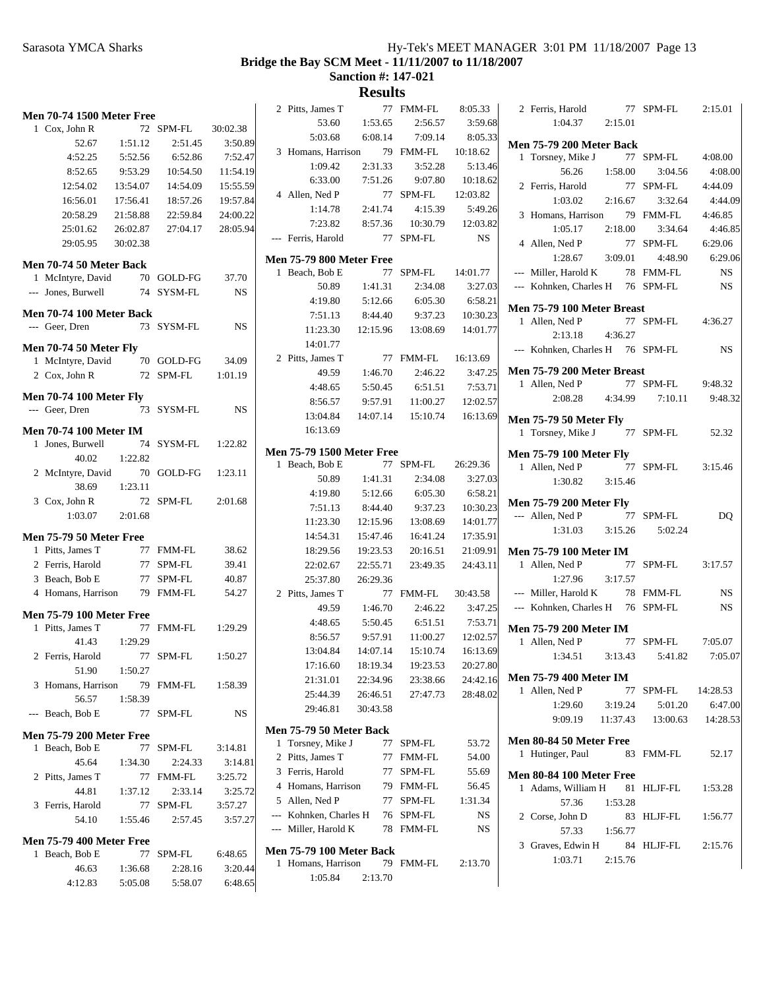**Bridge the Bay SCM Meet - 11/11/2007 to 11/18/2007**

**Sanction #: 147-021**

| <b>Men 70-74 1500 Meter Free</b>                  |          |            |           | 2 Pitts, James T                 |          | 77 FMM-FL            | 8:05.33             |
|---------------------------------------------------|----------|------------|-----------|----------------------------------|----------|----------------------|---------------------|
| 1 Cox, John R                                     |          | 72 SPM-FL  | 30:02.38  | 53.60                            | 1:53.65  | 2:56.57              | 3:59.68             |
| 52.67                                             | 1:51.12  | 2:51.45    | 3:50.89   | 5:03.68                          | 6:08.14  | 7:09.14              | 8:05.33             |
| 4:52.25                                           | 5:52.56  | 6:52.86    | 7:52.47   | 3 Homans, Harrison               |          | 79 FMM-FL            | 10:18.62            |
| 8:52.65                                           | 9:53.29  | 10:54.50   | 11:54.19  | 1:09.42                          | 2:31.33  | 3:52.28              | 5:13.46             |
| 12:54.02                                          | 13:54.07 | 14:54.09   | 15:55.59  | 6:33.00                          | 7:51.26  | 9:07.80              | 10:18.62            |
| 16:56.01                                          | 17:56.41 | 18:57.26   | 19:57.84  | 4 Allen, Ned P                   |          | 77 SPM-FL            | 12:03.82            |
| 20:58.29                                          | 21:58.88 | 22:59.84   | 24:00.22  | 1:14.78                          | 2:41.74  | 4:15.39              | 5:49.26             |
| 25:01.62                                          | 26:02.87 | 27:04.17   | 28:05.94  | 7:23.82                          | 8:57.36  | 10:30.79             | 12:03.82            |
| 29:05.95                                          | 30:02.38 |            |           | --- Ferris, Harold               | 77       | SPM-FL               | NS.                 |
|                                                   |          |            |           | <b>Men 75-79 800 Meter Free</b>  |          |                      |                     |
| Men 70-74 50 Meter Back<br>1 McIntyre, David      |          | 70 GOLD-FG | 37.70     | 1 Beach, Bob E                   | 77       | SPM-FL               | 14:01.77            |
| --- Jones, Burwell                                |          | 74 SYSM-FL |           | 50.89                            | 1:41.31  | 2:34.08              | 3:27.03             |
|                                                   |          |            | NS.       | 4:19.80                          | 5:12.66  | 6:05.30              | 6:58.21             |
| Men 70-74 100 Meter Back                          |          |            |           | 7:51.13                          | 8:44.40  | 9:37.23              | 10:30.23            |
| --- Geer, Dren                                    |          | 73 SYSM-FL | <b>NS</b> | 11:23.30                         | 12:15.96 | 13:08.69             | 14:01.77            |
| <b>Men 70-74 50 Meter Fly</b>                     |          |            |           | 14:01.77                         |          |                      |                     |
| 1 McIntyre, David                                 |          | 70 GOLD-FG | 34.09     | 2 Pitts, James T                 |          | 77 FMM-FL            | 16:13.69            |
| 2 Cox, John R                                     |          | 72 SPM-FL  | 1:01.19   | 49.59                            | 1:46.70  | 2:46.22              | 3:47.25             |
|                                                   |          |            |           | 4:48.65                          | 5:50.45  | 6:51.51              | 7:53.71             |
| <b>Men 70-74 100 Meter Fly</b>                    |          |            |           | 8:56.57                          | 9:57.91  | 11:00.27             | 12:02.57            |
| --- Geer, Dren                                    |          | 73 SYSM-FL | <b>NS</b> | 13:04.84                         | 14:07.14 | 15:10.74             | 16:13.69            |
| <b>Men 70-74 100 Meter IM</b>                     |          |            |           | 16:13.69                         |          |                      |                     |
| 1 Jones, Burwell                                  |          | 74 SYSM-FL | 1:22.82   |                                  |          |                      |                     |
| 40.02                                             | 1:22.82  |            |           | <b>Men 75-79 1500 Meter Free</b> |          |                      |                     |
| 2 McIntyre, David                                 |          | 70 GOLD-FG | 1:23.11   | 1 Beach, Bob E<br>50.89          | 1:41.31  | 77 SPM-FL<br>2:34.08 | 26:29.36<br>3:27.03 |
| 38.69                                             | 1:23.11  |            |           | 4:19.80                          | 5:12.66  | 6:05.30              | 6:58.21             |
| 3 Cox, John R                                     |          | 72 SPM-FL  | 2:01.68   | 7:51.13                          | 8:44.40  | 9:37.23              | 10:30.23            |
| 1:03.07                                           | 2:01.68  |            |           | 11:23.30                         | 12:15.96 | 13:08.69             | 14:01.77            |
| <b>Men 75-79 50 Meter Free</b>                    |          |            |           | 14:54.31                         | 15:47.46 | 16:41.24             | 17:35.91            |
| 1 Pitts, James T                                  |          | 77 FMM-FL  | 38.62     | 18:29.56                         | 19:23.53 | 20:16.51             | 21:09.91            |
| 2 Ferris, Harold                                  |          | 77 SPM-FL  | 39.41     | 22:02.67                         | 22:55.71 | 23:49.35             | 24:43.11            |
| 3 Beach, Bob E                                    |          | 77 SPM-FL  | 40.87     | 25:37.80                         | 26:29.36 |                      |                     |
| 4 Homans, Harrison                                |          | 79 FMM-FL  | 54.27     | 2 Pitts, James T                 |          | 77 FMM-FL            | 30:43.58            |
|                                                   |          |            |           | 49.59                            | 1:46.70  | 2:46.22              | 3:47.25             |
| <b>Men 75-79 100 Meter Free</b>                   |          |            |           | 4:48.65                          | 5:50.45  | 6:51.51              | 7:53.71             |
| 1 Pitts, James T                                  |          | 77 FMM-FL  | 1:29.29   | 8:56.57                          | 9:57.91  | 11:00.27             | 12:02.57            |
| 41.43                                             | 1:29.29  |            |           | 13:04.84                         | 14:07.14 | 15:10.74             | 16:13.69            |
| 2 Ferris, Harold                                  |          | 77 SPM-FL  | 1:50.27   | 17:16.60                         | 18:19.34 | 19:23.53             | 20:27.80            |
| 51.90                                             | 1:50.27  |            |           | 21:31.01                         | 22:34.96 | 23:38.66             | 24:42.16            |
| 3 Homans, Harrison                                |          | 79 FMM-FL  | 1:58.39   | 25:44.39                         | 26:46.51 | 27:47.73             | 28:48.02            |
| 56.57                                             | 1:58.39  |            |           | 29:46.81                         | 30:43.58 |                      |                     |
| --- Beach, Bob E                                  |          | 77 SPM-FL  | NS        |                                  |          |                      |                     |
| <b>Men 75-79 200 Meter Free</b>                   |          |            |           | Men 75-79 50 Meter Back          |          |                      |                     |
| 1 Beach, Bob E                                    | 77       | SPM-FL     | 3:14.81   | 1 Torsney, Mike J                |          | 77 SPM-FL            | 53.72               |
| 45.64                                             | 1:34.30  | 2:24.33    | 3:14.81   | 2 Pitts, James T                 | 77       | FMM-FL               | 54.00               |
| 2 Pitts, James T                                  | 77       | FMM-FL     | 3:25.72   | 3 Ferris, Harold                 | 77       | SPM-FL               | 55.69               |
| 44.81                                             | 1:37.12  | 2:33.14    | 3:25.72   | 4 Homans, Harrison               |          | 79 FMM-FL            | 56.45               |
| 3 Ferris, Harold                                  | 77       | SPM-FL     | 3:57.27   | 5 Allen, Ned P                   | 77       | SPM-FL               | 1:31.34             |
| 54.10                                             | 1:55.46  | 2:57.45    | 3:57.27   | --- Kohnken, Charles H           | 76       | SPM-FL               | NS                  |
|                                                   |          |            |           | --- Miller, Harold K             |          | 78 FMM-FL            | NS                  |
| <b>Men 75-79 400 Meter Free</b><br>1 Beach, Bob E |          | 77 SPM-FL  | 6:48.65   | <b>Men 75-79 100 Meter Back</b>  |          |                      |                     |
| 46.63                                             | 1:36.68  | 2:28.16    | 3:20.44   | 1 Homans, Harrison               |          | 79 FMM-FL            | 2:13.70             |
| 4:12.83                                           | 5:05.08  | 5:58.07    | 6:48.65   | 1:05.84                          | 2:13.70  |                      |                     |
|                                                   |          |            |           |                                  |          |                      |                     |

| 1-FL   | 8:05.33   | 2 Ferris, Harold                                 |          | 77 SPM-FL                             | 2:15.01   |
|--------|-----------|--------------------------------------------------|----------|---------------------------------------|-----------|
| :56.57 | 3:59.68   | $1:04.37$ $2:15.01$                              |          |                                       |           |
| :09.14 | 8:05.33   | <b>Men 75-79 200 Meter Back</b>                  |          |                                       |           |
| 1-FL   | 10:18.62  | 1 Torsney, Mike J                                |          | 77 SPM-FL                             | 4:08.00   |
| :52.28 | 5:13.46   | 56.26 1:58.00                                    |          | 3:04.56                               | 4:08.00   |
| :07.80 | 10:18.62  | 2 Ferris, Harold                                 | 77       | SPM-FL                                | 4:44.09   |
| -FL    | 12:03.82  | 1:03.02                                          | 2:16.67  | 3:32.64                               | 4:44.09   |
| :15.39 | 5:49.26   | 3 Homans, Harrison                               |          | 79 FMM-FL                             | 4:46.85   |
| :30.79 | 12:03.82  | $1:05.17$ $2:18.00$                              |          | 3:34.64                               | 4:46.85   |
| -FL    | <b>NS</b> | 4 Allen, Ned P                                   | 77       | SPM-FL                                | 6:29.06   |
|        |           | $1:28.67$ $3:09.01$                              |          | 4:48.90                               | 6:29.06   |
| -FL    | 14:01.77  | --- Miller, Harold K                             |          | 78 FMM-FL                             | <b>NS</b> |
| :34.08 | 3:27.03   | --- Kohnken, Charles H 76 SPM-FL                 |          |                                       | NS        |
| :05.30 | 6:58.21   |                                                  |          |                                       |           |
| :37.23 | 10:30.23  | Men 75-79 100 Meter Breast                       |          | 77 SPM-FL 4:36.27                     |           |
| :08.69 | 14:01.77  | 1 Allen, Ned P<br>2:13.18  4:36.27               |          |                                       |           |
|        |           | --- Kohnken, Charles H 76 SPM-FL                 |          |                                       | <b>NS</b> |
| 1-FL   | 16:13.69  |                                                  |          |                                       |           |
| :46.22 | 3:47.25   | Men 75-79 200 Meter Breast                       |          |                                       |           |
| :51.51 | 7:53.71   | 1 Allen, Ned P                                   |          | 77 SPM-FL 9:48.32                     |           |
| :00.27 | 12:02.57  | 2:08.28 4:34.99                                  |          | 7:10.11                               | 9:48.32   |
| :10.74 | 16:13.69  | <b>Men 75-79 50 Meter Fly</b>                    |          |                                       |           |
|        |           | 1 Torsney, Mike J 77 SPM-FL                      |          |                                       | 52.32     |
|        |           |                                                  |          |                                       |           |
| -FL    | 26:29.36  | <b>Men 75-79 100 Meter Fly</b><br>1 Allen, Ned P |          | 77 SPM-FL 3:15.46                     |           |
| :34.08 | 3:27.03   | 1:30.82 3:15.46                                  |          |                                       |           |
| :05.30 | 6:58.21   |                                                  |          |                                       |           |
| :37.23 | 10:30.23  | <b>Men 75-79 200 Meter Fly</b>                   |          |                                       |           |
| :08.69 | 14:01.77  | --- Allen, Ned P                                 |          | 77 SPM-FL                             | DQ        |
| :41.24 | 17:35.91  | $1:31.03$ $3:15.26$                              |          | 5:02.24                               |           |
| :16.51 | 21:09.91  | <b>Men 75-79 100 Meter IM</b>                    |          |                                       |           |
| :49.35 | 24:43.11  | 1 Allen, Ned P                                   | 77       | SPM-FL                                | 3:17.57   |
|        |           | 1:27.96                                          | 3:17.57  |                                       |           |
| 1-FL   | 30:43.58  | --- Miller, Harold K 78 FMM-FL                   |          |                                       | <b>NS</b> |
| :46.22 | 3:47.25   | --- Kohnken, Charles H 76 SPM-FL                 |          |                                       | <b>NS</b> |
| :51.51 | 7:53.71   | <b>Men 75-79 200 Meter IM</b>                    |          |                                       |           |
| :00.27 | 12:02.57  | 1 Allen, Ned P                                   |          | 77 SPM-FL                             | 7:05.07   |
| :10.74 | 16:13.69  |                                                  |          | 1:34.51   3:13.43   5:41.82   7:05.07 |           |
| :23.53 | 20:27.80  |                                                  |          |                                       |           |
| :38.66 | 24:42.16  | <b>Men 75-79 400 Meter IM</b>                    |          |                                       |           |
| :47.73 | 28:48.02  | 1 Allen, Ned P                                   | 77       | SPM-FL                                | 14:28.53  |
|        |           | 1:29.60                                          | 3:19.24  | 5:01.20                               | 6:47.00   |
|        |           | 9:09.19                                          | 11:37.43 | 13:00.63                              | 14:28.53  |
| -FL    | 53.72     | Men 80-84 50 Meter Free                          |          |                                       |           |
| 1-FL   | 54.00     | 1 Hutinger, Paul                                 | 83       | FMM-FL                                | 52.17     |
| -FL    | 55.69     | Men 80-84 100 Meter Free                         |          |                                       |           |
| 1-FL   | 56.45     | 1 Adams, William H                               | 81       | HLJF-FL                               | 1:53.28   |
| -FL    | 1:31.34   | 57.36                                            | 1:53.28  |                                       |           |
| -FL    | NS        | 2 Corse, John D                                  | 83       | HLJF-FL                               | 1:56.77   |
| 1-FL   | NS.       | 57.33                                            | 1:56.77  |                                       |           |
|        |           | 3 Graves, Edwin H                                |          | 84 HLJF-FL                            | 2:15.76   |
|        |           | 1:03.71                                          | 2:15.76  |                                       |           |
| 1-FL   | 2:13.70   |                                                  |          |                                       |           |
|        |           |                                                  |          |                                       |           |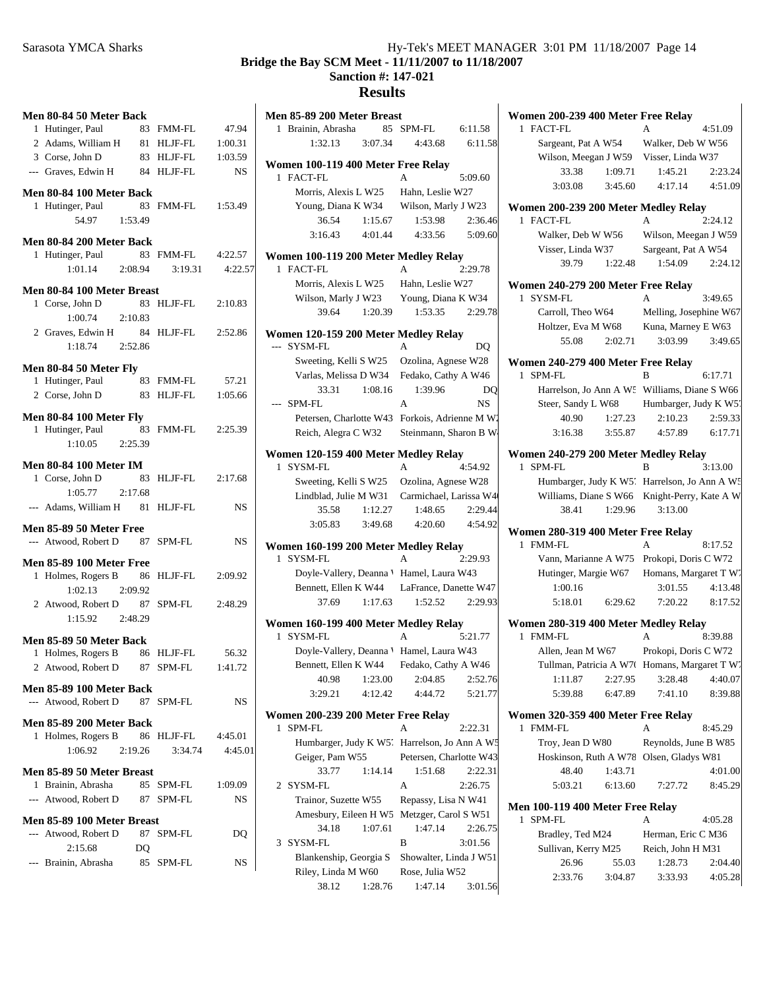# Sarasota YMCA Sharks Hy-Tek's MEET MANAGER 3:01 PM 11/18/2007 Page 14 **Bridge the Bay SCM Meet - 11/11/2007 to 11/18/2007 Sanction #: 147-021 Results**

| Men 80-84 50 Meter Back                                 |         |                   |           | Men 85-89 200 N                   |
|---------------------------------------------------------|---------|-------------------|-----------|-----------------------------------|
| 1 Hutinger, Paul                                        |         | 83 FMM-FL         | 47.94     | 1 Brainin, Abras                  |
| 2 Adams, William H 81 HLJF-FL                           |         |                   | 1:00.31   | 1:32.13                           |
| 3 Corse, John D                                         |         | 83 HLJF-FL        | 1:03.59   |                                   |
| --- Graves, Edwin H 84 HLJF-FL                          |         |                   | <b>NS</b> | <b>Women 100-119</b><br>1 FACT-FL |
| Men 80-84 100 Meter Back                                |         |                   |           | Morris, Alex                      |
| 1 Hutinger, Paul                                        |         | 83 FMM-FL         | 1:53.49   | Young, Diar                       |
| 54.97                                                   | 1:53.49 |                   |           | 36.54                             |
| Men 80-84 200 Meter Back                                |         |                   |           | 3:16.43                           |
| 1 Hutinger, Paul                                        |         | 83 FMM-FL 4:22.57 |           | <b>Women 100-119</b>              |
| 1:01.14                                                 | 2:08.94 | 3:19.31           | 4:22.57   | 1 FACT-FL                         |
|                                                         |         |                   |           | Morris, Alex                      |
| Men 80-84 100 Meter Breast                              |         |                   |           | Wilson, Mar                       |
| 1 Corse, John D                                         |         | 83 HLJF-FL        | 2:10.83   | 39.64                             |
| 1:00.74<br>2:10.83                                      |         |                   |           |                                   |
| 2 Graves, Edwin H 84 HLJF-FL                            |         |                   | 2:52.86   | <b>Women 120-159</b>              |
| 1:18.74                                                 | 2:52.86 |                   |           | --- SYSM-FL                       |
| Men 80-84 50 Meter Fly                                  |         |                   |           | Sweeting, K                       |
| 1 Hutinger, Paul                                        |         | 83 FMM-FL         | 57.21     | Varlas, Meli                      |
| 2 Corse, John D                                         |         | 83 HLJF-FL        | 1:05.66   | 33.31                             |
|                                                         |         |                   |           | --- SPM-FL                        |
| <b>Men 80-84 100 Meter Fly</b>                          |         |                   |           | Petersen, Ch                      |
| 1 Hutinger, Paul                                        |         | 83 FMM-FL 2:25.39 |           | Reich, Alegi                      |
| 1:10.05                                                 | 2:25.39 |                   |           | <b>Women 120-159</b>              |
| <b>Men 80-84 100 Meter IM</b>                           |         |                   |           | 1 SYSM-FL                         |
| 1 Corse, John D                                         | 83      | HLJF-FL           | 2:17.68   | Sweeting, K                       |
| $1:05.77$ 2:17.68                                       |         |                   |           | Lindblad, Ju                      |
| --- Adams, William H 81 HLJF-FL                         |         |                   | <b>NS</b> | 35.58                             |
| Men 85-89 50 Meter Free                                 |         |                   |           | 3:05.83                           |
| --- Atwood, Robert D                                    |         | 87 SPM-FL         | NS        |                                   |
|                                                         |         |                   |           | <b>Women 160-199</b>              |
| <b>Men 85-89 100 Meter Free</b>                         |         |                   |           | 1 SYSM-FL                         |
| 1 Holmes, Rogers B                                      |         | 86 HLJF-FL        | 2:09.92   | Doyle-Valle                       |
| 1:02.13                                                 | 2:09.92 |                   |           | Bennett, Elle                     |
| 2 Atwood, Robert D 87 SPM-FL                            |         |                   | 2:48.29   | 37.69                             |
| $1:15.92$ $2:48.29$                                     |         |                   |           | <b>Women 160-199</b>              |
| Men 85-89 50 Meter Back                                 |         |                   |           | 1 SYSM-FL                         |
| 1 Holmes, Rogers B                                      |         | 86 HLJF-FL        | 56.32     | Doyle-Valle                       |
| 2 Atwood, Robert D                                      |         | 87 SPM-FL         | 1:41.72   | Bennett, Elle                     |
|                                                         |         |                   |           | 40.98                             |
| <b>Men 85-89 100 Meter Back</b><br>--- Atwood. Robert D |         |                   |           | 3:29.21                           |
|                                                         |         | 87 SPM-FL         | NS        | <b>Women 200-239</b>              |
| <b>Men 85-89 200 Meter Back</b>                         |         |                   |           | 1 SPM-FL                          |
| 1 Holmes, Rogers B                                      | 86      | HLJF-FL           | 4:45.01   | Humbarger,                        |
| 1:06.92                                                 | 2:19.26 | 3:34.74           | 4:45.01   | Geiger, Pam                       |
| Men 85-89 50 Meter Breast                               |         |                   |           | 33.77                             |
| 1 Brainin, Abrasha                                      | 85      | SPM-FL            | 1:09.09   | 2 SYSM-FL                         |
| --- Atwood, Robert D                                    | 87      | SPM-FL            | <b>NS</b> | Trainor, Suz                      |
|                                                         |         |                   |           | Amesbury, I                       |
| Men 85-89 100 Meter Breast                              |         |                   |           | 34.18                             |
| --- Atwood, Robert D                                    | 87      | SPM-FL            | DQ        | 3 SYSM-FL                         |
| 2:15.68                                                 | DQ      |                   |           | Blankenship                       |
| --- Brainin, Abrasha                                    | 85      | SPM-FL            | NS        | Riley, Linda                      |
|                                                         |         |                   |           |                                   |

|                                                                    | Men 85-89 200 Meter Breast                   |  |  |  |  |
|--------------------------------------------------------------------|----------------------------------------------|--|--|--|--|
| 1 Brainin, Abrasha<br>85                                           | SPM-FL<br>6:11.58                            |  |  |  |  |
| 3:07.34<br>1:32.13                                                 | 4:43.68<br>6:11.58                           |  |  |  |  |
| Women 100-119 400 Meter Free Relay                                 |                                              |  |  |  |  |
| 1 FACT-FL                                                          | 5:09.60                                      |  |  |  |  |
| Morris, Alexis L W25                                               | Hahn, Leslie W27                             |  |  |  |  |
| Young, Diana K W34 Wilson, Marly J W23                             |                                              |  |  |  |  |
| 36.54<br>1:15.67                                                   | 1:53.98<br>2:36.46                           |  |  |  |  |
| 4:01.44<br>3:16.43                                                 | 4:33.56<br>5:09.60                           |  |  |  |  |
| Women 100-119 200 Meter Medley Relay<br>1 FACT-FL                  | 2:29.78<br>A                                 |  |  |  |  |
| Morris, Alexis L W25                                               | Hahn, Leslie W27                             |  |  |  |  |
| Wilson, Marly J W23 Young, Diana K W34                             |                                              |  |  |  |  |
| 1:20.39<br>39.64                                                   | 1:53.35<br>2:29.78                           |  |  |  |  |
|                                                                    |                                              |  |  |  |  |
| Women 120-159 200 Meter Medley Relay<br>--- SYSM-FL                | A                                            |  |  |  |  |
|                                                                    | DO                                           |  |  |  |  |
| Sweeting, Kelli S W25<br>Varlas, Melissa D W34 Fedako, Cathy A W46 | Ozolina, Agnese W28                          |  |  |  |  |
| 33.31<br>1:08.16                                                   | 1:39.96<br>DO                                |  |  |  |  |
| --- SPM-FL                                                         | NS<br>A                                      |  |  |  |  |
| Petersen, Charlotte W43 Forkois, Adrienne M W2                     |                                              |  |  |  |  |
| Reich, Alegra C W32 Steinmann, Sharon B W.                         |                                              |  |  |  |  |
|                                                                    |                                              |  |  |  |  |
| Women 120-159 400 Meter Medley Relay<br>1 SYSM-FL                  | 4:54.92<br>A                                 |  |  |  |  |
| Sweeting, Kelli S W25 Ozolina, Agnese W28                          |                                              |  |  |  |  |
|                                                                    | Lindblad, Julie M W31 Carmichael, Larissa W4 |  |  |  |  |
| 35.58<br>1:12.27                                                   | 2:29.44<br>1:48.65                           |  |  |  |  |
| $3:05.83$ $3:49.68$                                                | 4:20.60 4:54.92                              |  |  |  |  |
| Women 160-199 200 Meter Medley Relay                               |                                              |  |  |  |  |
|                                                                    |                                              |  |  |  |  |
| 1 SYSM-FL                                                          | 2:29.93<br>A                                 |  |  |  |  |
| Doyle-Vallery, Deanna V Hamel, Laura W43                           |                                              |  |  |  |  |
| Bennett, Ellen K W44 LaFrance, Danette W47                         |                                              |  |  |  |  |
| 37.69                                                              | $1:17.63$ $1:52.52$<br>2:29.93               |  |  |  |  |
|                                                                    |                                              |  |  |  |  |
| Women 160-199 400 Meter Medley Relay<br>1 SYSM-FL                  | 5:21.77<br>A                                 |  |  |  |  |
| Doyle-Vallery, Deanna V Hamel, Laura W43                           |                                              |  |  |  |  |
| Bennett, Ellen K W44                                               | Fedako, Cathy A W46                          |  |  |  |  |
| 1:23.00<br>40.98                                                   | 2:52.76<br>2:04.85                           |  |  |  |  |
| 3:29.21<br>4:12.42                                                 | 4:44.72<br>5:21.77                           |  |  |  |  |
|                                                                    |                                              |  |  |  |  |
| Women 200-239 200 Meter Free Relay<br>1<br>SPM-FL                  | A<br>2:22.31                                 |  |  |  |  |
|                                                                    | Humbarger, Judy K W5' Harrelson, Jo Ann A W5 |  |  |  |  |
| Geiger, Pam W55                                                    | Petersen, Charlotte W43                      |  |  |  |  |
| 33.77<br>1:14.14                                                   | 1:51.68<br>2:22.31                           |  |  |  |  |
| SYSM-FL<br>2                                                       | A<br>2:26.75                                 |  |  |  |  |
| Trainor, Suzette W55                                               | Repassy, Lisa N W41                          |  |  |  |  |
| Amesbury, Eileen H W5                                              | Metzger, Carol S W51                         |  |  |  |  |
| 34.18<br>1:07.61                                                   | 1:47.14<br>2:26.75                           |  |  |  |  |
| SYSM-FL<br>3                                                       | B<br>3:01.56                                 |  |  |  |  |
| Blankenship, Georgia S                                             | Showalter, Linda J W51                       |  |  |  |  |
| Riley, Linda M W60<br>38.12                                        | Rose, Julia W52<br>1:47.14                   |  |  |  |  |

| Women 200-239 400 Meter Free Relay                       |                  |                        |                    |
|----------------------------------------------------------|------------------|------------------------|--------------------|
| FACT-FL<br>1.                                            |                  | A                      | 4:51.09            |
| Sargeant, Pat A W54                                      |                  | Walker, Deb W W56      |                    |
| Wilson, Meegan J W59 Visser, Linda W37                   |                  |                        |                    |
| 33.38                                                    | 1:09.71          | 1:45.21                | 2:23.24            |
| 3:03.08                                                  | 3:45.60          | 4:17.14                | 4:51.09            |
|                                                          |                  |                        |                    |
| Women 200-239 200 Meter Medley Relay<br>1 FACT-FL        |                  | A                      | 2:24.12            |
| Walker, Deb W W56                                        |                  | Wilson, Meegan J W59   |                    |
| Visser, Linda W37                                        |                  | Sargeant, Pat A W54    |                    |
| 39.79                                                    | 1:22.48          | 1:54.09                | 2:24.12            |
|                                                          |                  |                        |                    |
| Women 240-279 200 Meter Free Relay                       |                  |                        |                    |
| 1 SYSM-FL                                                |                  | A                      | 3:49.65            |
| Carroll, Theo W64                                        |                  | Melling, Josephine W67 |                    |
| Holtzer, Eva M W68 Kuna, Marney E W63                    |                  |                        |                    |
| 55.08                                                    | 2:02.71          | 3:03.99                | 3:49.65            |
| Women 240-279 400 Meter Free Relay                       |                  |                        |                    |
| SPM-FL<br>1                                              |                  | в                      | 6:17.71            |
| Harrelson, Jo Ann A W5 Williams, Diane S W66             |                  |                        |                    |
| Steer, Sandy L W68 Humbarger, Judy K W5'                 |                  |                        |                    |
| 40.90                                                    | 1:27.23          | 2:10.23                | 2:59.33            |
| 3:16.38                                                  | 3:55.87          | 4:57.89                | 6:17.71            |
|                                                          |                  |                        |                    |
| Women 240-279 200 Meter Medley Relay                     |                  |                        |                    |
| 1<br>SPM-FL                                              |                  | B                      | 3:13.00            |
| Humbarger, Judy K W5' Harrelson, Jo Ann A W5             |                  |                        |                    |
| Williams, Diane S W66 Knight-Perry, Kate A W             |                  |                        |                    |
| 38.41                                                    | 1:29.96          | 3:13.00                |                    |
| Women 280-319 400 Meter Free Relay                       |                  |                        |                    |
| 1 FMM-FL                                                 |                  | A                      | 8:17.52            |
| Vann, Marianne A W75 Prokopi, Doris C W72                |                  |                        |                    |
| Hutinger, Margie W67 Homans, Margaret T W.               |                  |                        |                    |
| 1:00.16                                                  |                  | 3:01.55                | 4:13.48            |
| $5:18.01$ $6:29.62$                                      |                  | 7:20.22                | 8:17.52            |
| Women 280-319 400 Meter Medley Relay                     |                  |                        |                    |
| 1 FMM-FL                                                 |                  | A                      | 8:39.88            |
| Allen, Jean M W67                                        |                  | Prokopi, Doris C W72   |                    |
| Tullman, Patricia A W70 Homans, Margaret T W.            |                  |                        |                    |
| 1:11.87                                                  | 2:27.95          | 3:28.48                | 4:40.07            |
| 5:39.88                                                  | 6:47.89          | 7:41.10                | 8:39.88            |
|                                                          |                  |                        |                    |
| Women 320-359 400 Meter Free Relay<br><b>FMM-FL</b><br>1 |                  | А                      | 8:45.29            |
| Troy, Jean D W80                                         |                  | Reynolds, June B W85   |                    |
| Hoskinson, Ruth A W78 Olsen, Gladys W81                  |                  |                        |                    |
| 48.40                                                    | 1:43.71          |                        | 4:01.00            |
| 5:03.21                                                  | 6:13.60          | 7:27.72                | 8:45.29            |
|                                                          |                  |                        |                    |
| Men 100-119 400 Meter Free Relay<br><b>SPM-FL</b><br>1   |                  | A                      |                    |
|                                                          |                  |                        |                    |
|                                                          |                  |                        | 4:05.28            |
| Bradley, Ted M24                                         |                  | Herman, Eric C M36     |                    |
| Sullivan, Kerry M25                                      |                  | Reich, John H M31      |                    |
| 26.96<br>2:33.76                                         | 55.03<br>3:04.87 | 1:28.73<br>3:33.93     | 2:04.40<br>4:05.28 |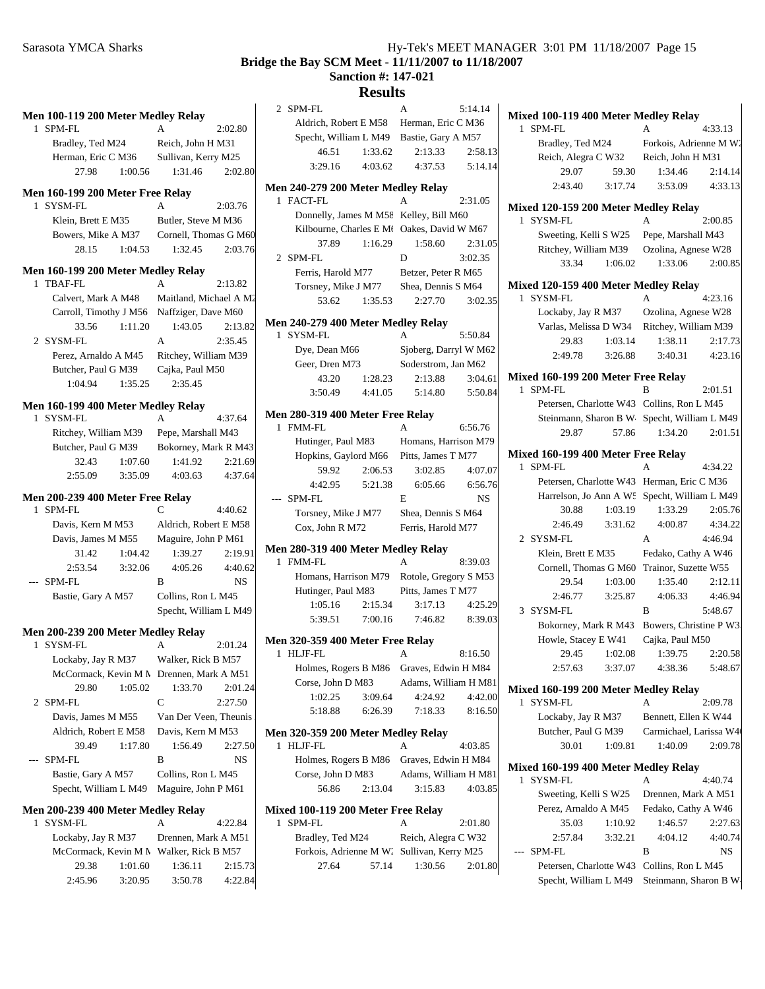# **Results**

| Men 100-119 200 Meter Medley Relay                             |                                   | 2 S.              |
|----------------------------------------------------------------|-----------------------------------|-------------------|
| SPM-FL<br>1                                                    | 2:02.80<br>А                      |                   |
| Bradley, Ted M24                                               | Reich, John H M31                 |                   |
| Herman, Eric C M36 Sullivan, Kerry M25                         |                                   |                   |
| 27.98<br>1:00.56                                               | 1:31.46<br>2:02.80                |                   |
| Men 160-199 200 Meter Free Relay                               |                                   | Men 2             |
| 1 SYSM-FL                                                      | 2:03.76<br>A                      | 1 F               |
| Klein, Brett E M35                                             | Butler, Steve M M36               |                   |
| Bowers, Mike A M37                                             | Cornell, Thomas G M60             |                   |
| 1:04.53<br>28.15                                               | 1:32.45<br>2:03.76                |                   |
|                                                                |                                   | 2 SI              |
| Men 160-199 200 Meter Medley Relay<br>1 TBAF-FL                | А                                 |                   |
|                                                                | 2:13.82<br>Maitland, Michael A M2 |                   |
| Calvert, Mark A M48                                            |                                   |                   |
| Carroll, Timothy J M56 Naffziger, Dave M60<br>33.56<br>1:11.20 | 1:43.05                           | Men 2             |
|                                                                | 2:13.82                           | <sub>S</sub><br>1 |
| 2 SYSM-FL                                                      | A<br>2:35.45                      |                   |
| Perez, Arnaldo A M45                                           | Ritchey, William M39              |                   |
| Butcher, Paul G M39                                            | Cajka, Paul M50                   |                   |
| 1:04.94<br>1:35.25                                             | 2:35.45                           |                   |
| Men 160-199 400 Meter Medley Relay                             |                                   |                   |
| SYSM-FL<br>1.                                                  | 4:37.64<br>A                      | Men 2             |
| Ritchey, William M39                                           | Pepe, Marshall M43                | F<br>1            |
| Butcher, Paul G M39                                            | Bokorney, Mark R M43              |                   |
| 32.43<br>1:07.60                                               | 1:41.92<br>2:21.69                |                   |
| 2:55.09<br>3:35.09                                             | 4:03.63<br>4:37.64                |                   |
|                                                                |                                   |                   |
| Men 200-239 400 Meter Free Relay                               |                                   | -- SI             |
| SPM-FL<br>1                                                    | C<br>4:40.62                      |                   |
| Davis, Kern M M53                                              | Aldrich, Robert E M58             |                   |
| Davis, James M M55                                             | Maguire, John P M61               | Men 2             |
| 31.42<br>1:04.42                                               | 1:39.27<br>2:19.91                | 1<br>F            |
| 2:53.54<br>3:32.06                                             | 4:05.26<br>4:40.62                |                   |
| SPM-FL                                                         | <b>NS</b><br>В                    |                   |
| Bastie, Gary A M57                                             | Collins, Ron L M45                |                   |
|                                                                | Specht, William L M49             |                   |
| Men 200-239 200 Meter Medley Relay                             |                                   |                   |
| 1 SYSM-FL                                                      | 2:01.24<br>А                      | Men 3             |
| Lockaby, Jay R M37                                             | Walker, Rick B M57                | $1$ H             |
| McCormack, Kevin M M                                           | Drennen, Mark A M51               |                   |
| 29.80<br>1:05.02                                               | 1:33.70<br>2:01.24                |                   |
| SPM-FL<br>2                                                    | 2:27.50<br>С                      |                   |
| Davis, James M M55                                             | Van Der Veen, Theunis             |                   |
| Aldrich, Robert E M58                                          | Davis, Kern M M53                 | Men 3             |
| 39.49<br>1:17.80                                               | 1:56.49<br>2:27.50                | 1 H               |
| SPM-FL<br>---                                                  | B<br>NS                           |                   |
| Bastie, Gary A M57                                             | Collins, Ron L M45                |                   |
| Specht, William L M49                                          | Maguire, John P M61               |                   |
|                                                                |                                   |                   |
| Men 200-239 400 Meter Medley Relay<br>SYSM-FL<br>1             | А<br>4:22.84                      | Mixed<br>S.<br>1  |
|                                                                |                                   |                   |
| Lockaby, Jay R M37                                             | Drennen, Mark A M51               |                   |
| McCormack, Kevin M N Walker, Rick B M57                        |                                   |                   |

29.38 1:01.60 1:36.11 2:15.73 2:45.96 3:20.95 3:50.78 4:22.84

|                                                                | results |         |                       |
|----------------------------------------------------------------|---------|---------|-----------------------|
| $\overline{c}$<br>SPM-FL                                       |         | A       | 5:14.14               |
| Aldrich, Robert E M58                                          |         |         | Herman, Eric C M36    |
| Specht, William L M49 Bastie, Gary A M57                       |         |         |                       |
| 46.51                                                          | 1:33.62 | 2:13.33 | 2:58.13               |
| 3:29.16                                                        | 4:03.62 | 4:37.53 | 5:14.14               |
| Men 240-279 200 Meter Medley Relay                             |         |         |                       |
| $\mathbf{1}$<br><b>FACT-FL</b>                                 |         | A       | 2:31.05               |
| Donnelly, James M M58 Kelley, Bill M60                         |         |         |                       |
| Kilbourne, Charles E Mt Oakes, David W M67                     |         |         |                       |
| 37.89                                                          | 1:16.29 | 1:58.60 | 2:31.05               |
| 2 SPM-FL                                                       |         | D       | 3:02.35               |
| Ferris, Harold M77                                             |         |         | Betzer, Peter R M65   |
| Torsney, Mike J M77                                            |         |         | Shea, Dennis S M64    |
| 53.62                                                          | 1:35.53 | 2:27.70 | 3:02.35               |
| Men 240-279 400 Meter Medley Relay<br>1 SYSM-FL                |         | A       | 5:50.84               |
| Dye, Dean M66                                                  |         |         | Sjoberg, Darryl W M62 |
| Geer, Dren M73                                                 |         |         | Soderstrom, Jan M62   |
| 43.20                                                          | 1:28.23 | 2:13.88 | 3:04.61               |
| 3:50.49                                                        | 4:41.05 | 5:14.80 | 5:50.84               |
|                                                                |         |         |                       |
| Men 280-319 400 Meter Free Relay<br>1 FMM-FL                   |         | A       | 6:56.76               |
| Hutinger, Paul M83                                             |         |         | Homans, Harrison M79  |
| Hopkins, Gaylord M66                                           |         |         | Pitts, James T M77    |
| 59.92                                                          | 2:06.53 | 3:02.85 | 4:07.07               |
| 4:42.95                                                        | 5:21.38 |         | 6:56.76<br>6:05.66    |
| --- SPM-FL                                                     |         | E       | <b>NS</b>             |
| Torsney, Mike J M77                                            |         |         | Shea, Dennis S M64    |
| Cox, John R M72                                                |         |         | Ferris, Harold M77    |
| Men 280-319 400 Meter Medley Relay                             |         |         |                       |
| 1 FMM-FL                                                       |         | A       | 8:39.03               |
| Homans, Harrison M79 Rotole, Gregory S M53                     |         |         |                       |
| Hutinger, Paul M83                                             |         |         | Pitts, James T M77    |
| 1:05.16                                                        | 2:15.34 | 3:17.13 | 4:25.29               |
| 5:39.51                                                        | 7:00.16 | 7:46.82 | 8:39.03               |
|                                                                |         |         |                       |
| Men 320-359 400 Meter Free Relay<br>$\mathbf{I}$<br>HLJF-FL    |         | А       | 8:16.50               |
| Holmes, Rogers B M86 Graves, Edwin H M84                       |         |         |                       |
| Corse, John D M83                                              |         |         | Adams, William H M81  |
| 1:02.25                                                        | 3:09.64 | 4:24.92 | 4:42.00               |
| 5:18.88                                                        | 6:26.39 | 7:18.33 | 8:16.50               |
|                                                                |         |         |                       |
| Men 320-359 200 Meter Medley Relay<br>HLJF-FL<br>1             |         | А       | 4:03.85               |
| Holmes, Rogers B M86 Graves, Edwin H M84                       |         |         |                       |
| Corse, John D M83                                              |         |         | Adams, William H M81  |
| 56.86                                                          | 2:13.04 | 3:15.83 | 4:03.85               |
|                                                                |         |         |                       |
| Mixed 100-119 200 Meter Free Relay                             |         |         |                       |
| SPM-FL<br>1                                                    |         | A       | 2:01.80               |
| Bradley, Ted M24<br>Forkois, Adrienne M W. Sullivan, Kerry M25 |         |         | Reich, Alegra C W32   |
| 27.64                                                          | 57.14   | 1:30.56 | 2:01.80               |
|                                                                |         |         |                       |

| Mixed 100-119 400 Meter Medley Relay                                |                                             |  |  |
|---------------------------------------------------------------------|---------------------------------------------|--|--|
| SPM-FL<br>1                                                         | 4:33.13<br>A                                |  |  |
| Bradley, Ted M24                                                    | Forkois, Adrienne M W.                      |  |  |
| Reich, Alegra C W32 Reich, John H M31                               |                                             |  |  |
| 29.07<br>59.30                                                      | 1:34.46<br>2:14.14                          |  |  |
| 3:17.74<br>2:43.40                                                  | 3:53.09<br>4:33.13                          |  |  |
| Mixed 120-159 200 Meter Medley Relay                                |                                             |  |  |
| SYSM-FL<br>1                                                        | 2:00.85<br>А                                |  |  |
| Sweeting, Kelli S W25                                               | Pepe, Marshall M43                          |  |  |
| Ritchey, William M39                                                | Ozolina, Agnese W28                         |  |  |
| 33.34<br>1:06.02                                                    | 1:33.06<br>2:00.85                          |  |  |
| Mixed 120-159 400 Meter Medley Relay                                |                                             |  |  |
| SYSM-FL<br>1                                                        | 4:23.16<br>A                                |  |  |
| Lockaby, Jay R M37                                                  | Ozolina, Agnese W28                         |  |  |
| Varlas, Melissa D W34                                               | Ritchey, William M39                        |  |  |
| 1:03.14<br>29.83                                                    | 1:38.11<br>2:17.73                          |  |  |
| 3:26.88<br>2:49.78                                                  | 3:40.31<br>4:23.16                          |  |  |
| Mixed 160-199 200 Meter Free Relay                                  |                                             |  |  |
| 1 SPM-FL                                                            | 2:01.51<br>в                                |  |  |
| Petersen, Charlotte W43 Collins, Ron L M45                          |                                             |  |  |
|                                                                     | Steinmann, Sharon B W Specht, William L M49 |  |  |
| 29.87<br>57.86                                                      | 1:34.20<br>2:01.51                          |  |  |
|                                                                     |                                             |  |  |
| Mixed 160-199 400 Meter Free Relay<br><b>SPM-FL</b><br>$\mathbf{1}$ | 4:34.22<br>A                                |  |  |
| Petersen, Charlotte W43                                             | Herman, Eric C M36                          |  |  |
| Harrelson, Jo Ann A W5                                              | Specht, William L M49                       |  |  |
| 30.88<br>1:03.19                                                    | 2:05.76<br>1:33.29                          |  |  |
| 3:31.62<br>2:46.49                                                  | 4:34.22<br>4:00.87                          |  |  |
| 2 SYSM-FL                                                           | 4:46.94<br>A                                |  |  |
| Klein, Brett E M35                                                  | Fedako, Cathy A W46                         |  |  |
| Cornell, Thomas G M60                                               | Trainor, Suzette W55                        |  |  |
| 29.54<br>1:03.00                                                    | 1:35.40<br>2:12.11                          |  |  |
| 2:46.77<br>3:25.87                                                  | 4:46.94<br>4:06.33                          |  |  |
| <b>SYSM-FL</b><br>3                                                 | 5:48.67<br>B                                |  |  |
| Bokorney, Mark R M43                                                | Bowers, Christine P W3.                     |  |  |
| Howle, Stacey E W41                                                 | Cajka, Paul M50                             |  |  |
| 29.45<br>1:02.08                                                    | 1:39.75<br>2:20.58                          |  |  |
| 2:57.63<br>3:37.07                                                  | 4:38.36<br>5:48.67                          |  |  |
| Mixed 160-199 200 Meter Medley Relay                                |                                             |  |  |
| 1<br>SYSM-FL                                                        | 2:09.78<br>A                                |  |  |
| Lockaby, Jay R M37                                                  | Bennett, Ellen K W44                        |  |  |
| Butcher, Paul G M39                                                 | Carmichael, Larissa W4                      |  |  |
| 30.01<br>1:09.81                                                    | 1:40.09<br>2:09.78                          |  |  |
|                                                                     |                                             |  |  |
| Mixed 160-199 400 Meter Medley Relay<br>1<br>SYSM-FL                | A<br>4:40.74                                |  |  |
| Sweeting, Kelli S W25                                               | Drennen, Mark A M51                         |  |  |
| Perez, Arnaldo A M45                                                | Fedako, Cathy A W46                         |  |  |
| 35.03<br>1:10.92                                                    | 1:46.57<br>2:27.63                          |  |  |
| 2:57.84<br>3:32.21                                                  | 4:40.74<br>4:04.12                          |  |  |
| SPM-FL<br>$---$                                                     | NS<br>B                                     |  |  |
| Petersen, Charlotte W43                                             | Collins, Ron L M45                          |  |  |
| Specht, William L M49                                               | Steinmann, Sharon B W                       |  |  |
|                                                                     |                                             |  |  |